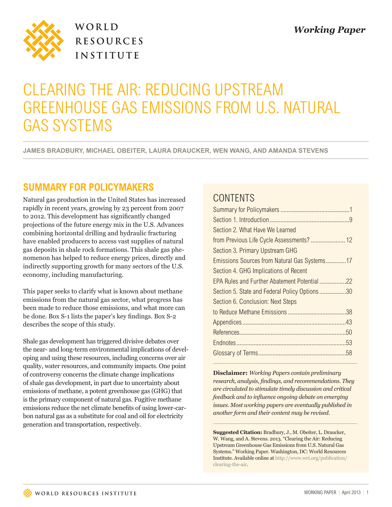

WORLD **RESOURCES INSTITUTE** 

# CLEARING THE AIR: REDUCING UPSTREAM GREENHOUSE GAS EMISSIONS FROM U.S. NATURAL GAS SYSTEMS

**JAMES BRADBURY, MICHAEL OBEITER, LAURA DRAUCKER, WEN WANG, AND AMANDA STEVENS**

## **SUMMARY FOR POLICYMAKERS**

Natural gas production in the United States has increased rapidly in recent years, growing by 23 percent from 2007 to 2012. This development has significantly changed projections of the future energy mix in the U.S. Advances combining horizontal drilling and hydraulic fracturing have enabled producers to access vast supplies of natural gas deposits in shale rock formations. This shale gas phenomenon has helped to reduce energy prices, directly and indirectly supporting growth for many sectors of the U.S. economy, including manufacturing.

This paper seeks to clarify what is known about methane emissions from the natural gas sector, what progress has been made to reduce those emissions, and what more can be done. Box S-1 lists the paper's key findings. Box S-2 describes the scope of this study.

Shale gas development has triggered divisive debates over the near- and long-term environmental implications of developing and using these resources, including concerns over air quality, water resources, and community impacts. One point of controversy concerns the climate change implications of shale gas development, in part due to uncertainty about emissions of methane, a potent greenhouse gas (GHG) that is the primary component of natural gas. Fugitive methane emissions reduce the net climate benefits of using lower-carbon natural gas as a substitute for coal and oil for electricity generation and transportation, respectively.

## CONTENTS

| Section 2. What Have We Learned               |  |
|-----------------------------------------------|--|
|                                               |  |
| Section 3. Primary Upstream GHG               |  |
| Emissions Sources from Natural Gas Systems17  |  |
| Section 4. GHG Implications of Recent         |  |
|                                               |  |
| Section 5. State and Federal Policy Options30 |  |
| Section 6. Conclusion: Next Steps             |  |
|                                               |  |
|                                               |  |
|                                               |  |
|                                               |  |
|                                               |  |
|                                               |  |

**Disclaimer:** *Working Papers contain preliminary research, analysis, findings, and recommendations. They are circulated to stimulate timely discussion and critical feedback and to influence ongoing debate on emerging issues. Most working papers are eventually published in another form and their content may be revised.*

**Suggested Citation:** Bradbury, J., M. Obeiter, L. Draucker, W. Wang, and A. Stevens. 2013. "Clearing the Air: Reducing Upstream Greenhouse Gas Emissions from U.S. Natural Gas Systems." Working Paper. Washington, DC: World Resources Institute. Available online at http://www.wri.org/publication/ clearing-the-air.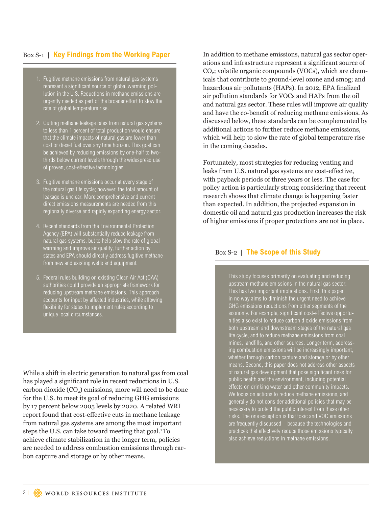### Box S-1 | **Key Findings from the Working Paper**

- 1. Fugitive methane emissions from natural gas systems represent a significant source of global warming pollution in the U.S. Reductions in methane emissions are urgently needed as part of the broader effort to slow the rate of global temperature rise.
- 2. Cutting methane leakage rates from natural gas systems to less than 1 percent of total production would ensure that the climate impacts of natural gas are lower than coal or diesel fuel over any time horizon. This goal can be achieved by reducing emissions by one-half to twothirds below current levels through the widespread use of proven, cost-effective technologies.
- 3. Fugitive methane emissions occur at every stage of the natural gas life cycle; however, the total amount of leakage is unclear. More comprehensive and current direct emissions measurements are needed from this regionally diverse and rapidly expanding energy sector.
- 4. Recent standards from the Environmental Protection Agency (EPA) will substantially reduce leakage from natural gas systems, but to help slow the rate of global warming and improve air quality, further action by states and EPA should directly address fugitive methane from new and existing wells and equipment.
- 5. Federal rules building on existing Clean Air Act (CAA) authorities could provide an appropriate framework for reducing upstream methane emissions. This approach accounts for input by affected industries, while allowing flexibility for states to implement rules according to unique local circumstances.

While a shift in electric generation to natural gas from coal has played a significant role in recent reductions in U.S. carbon dioxide  $(CO<sub>2</sub>)$  emissions, more will need to be done for the U.S. to meet its goal of reducing GHG emissions by 17 percent below 2005 levels by 2020. A related WRI report found that cost-effective cuts in methane leakage from natural gas systems are among the most important steps the U.S. can take toward meeting that goal.<sup>1</sup>To achieve climate stabilization in the longer term, policies are needed to address combustion emissions through carbon capture and storage or by other means.

In addition to methane emissions, natural gas sector operations and infrastructure represent a significant source of CO2; volatile organic compounds (VOCs), which are chemicals that contribute to ground-level ozone and smog; and hazardous air pollutants (HAPs). In 2012, EPA finalized air pollution standards for VOCs and HAPs from the oil and natural gas sector. These rules will improve air quality and have the co-benefit of reducing methane emissions. As discussed below, these standards can be complemented by additional actions to further reduce methane emissions, which will help to slow the rate of global temperature rise in the coming decades.

Fortunately, most strategies for reducing venting and leaks from U.S. natural gas systems are cost-effective, with payback periods of three years or less. The case for policy action is particularly strong considering that recent research shows that climate change is happening faster than expected. In addition, the projected expansion in domestic oil and natural gas production increases the risk of higher emissions if proper protections are not in place.

#### Box S-2 | **The Scope of this Study**

This study focuses primarily on evaluating and reducing upstream methane emissions in the natural gas sector. This has two important implications. First, this paper in no way aims to diminish the urgent need to achieve GHG emissions reductions from other segments of the economy. For example, significant cost-effective opportunities also exist to reduce carbon dioxide emissions from both upstream and downstream stages of the natural gas life cycle, and to reduce methane emissions from coal mines, landfills, and other sources. Longer term, addressing combustion emissions will be increasingly important, whether through carbon capture and storage or by other means. Second, this paper does not address other aspects of natural gas development that pose significant risks for public health and the environment, including potential effects on drinking water and other community impacts. We focus on actions to reduce methane emissions, and generally do not consider additional policies that may be necessary to protect the public interest from these other risks. The one exception is that toxic and VOC emissions are frequently discussed—because the technologies and practices that effectively reduce those emissions typically also achieve reductions in methane emissions.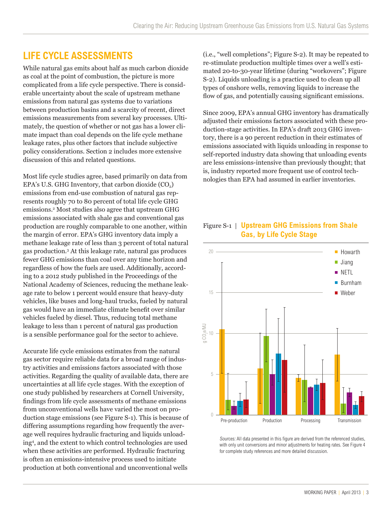## **LIFE CYCLE ASSESSMENTS**

While natural gas emits about half as much carbon dioxide as coal at the point of combustion, the picture is more complicated from a life cycle perspective. There is considerable uncertainty about the scale of upstream methane emissions from natural gas systems due to variations between production basins and a scarcity of recent, direct emissions measurements from several key processes. Ultimately, the question of whether or not gas has a lower climate impact than coal depends on the life cycle methane leakage rates, plus other factors that include subjective policy considerations. Section 2 includes more extensive discussion of this and related questions.

Most life cycle studies agree, based primarily on data from EPA's U.S. GHG Inventory, that carbon dioxide  $(CO<sub>2</sub>)$ emissions from end-use combustion of natural gas represents roughly 70 to 80 percent of total life cycle GHG emissions.2 Most studies also agree that upstream GHG emissions associated with shale gas and conventional gas production are roughly comparable to one another, within the margin of error. EPA's GHG inventory data imply a methane leakage rate of less than 3 percent of total natural gas production.3 At this leakage rate, natural gas produces fewer GHG emissions than coal over any time horizon and regardless of how the fuels are used. Additionally, according to a 2012 study published in the Proceedings of the National Academy of Sciences, reducing the methane leakage rate to below 1 percent would ensure that heavy-duty vehicles, like buses and long-haul trucks, fueled by natural gas would have an immediate climate benefit over similar vehicles fueled by diesel. Thus, reducing total methane leakage to less than 1 percent of natural gas production is a sensible performance goal for the sector to achieve.

Accurate life cycle emissions estimates from the natural gas sector require reliable data for a broad range of industry activities and emissions factors associated with those activities. Regarding the quality of available data, there are uncertainties at all life cycle stages. With the exception of one study published by researchers at Cornell University, findings from life cycle assessments of methane emissions from unconventional wells have varied the most on production stage emissions (see Figure S-1). This is because of differing assumptions regarding how frequently the average well requires hydraulic fracturing and liquids unloading4 , and the extent to which control technologies are used when these activities are performed. Hydraulic fracturing is often an emissions-intensive process used to initiate production at both conventional and unconventional wells

(i.e., "well completions"; Figure S-2). It may be repeated to re-stimulate production multiple times over a well's estimated 20-to-30-year lifetime (during "workovers"; Figure S-2). Liquids unloading is a practice used to clean up all types of onshore wells, removing liquids to increase the flow of gas, and potentially causing significant emissions.

Since 2009, EPA's annual GHG inventory has dramatically adjusted their emissions factors associated with these production-stage activities. In EPA's draft 2013 GHG inventory, there is a 90 percent reduction in their estimates of emissions associated with liquids unloading in response to self-reported industry data showing that unloading events are less emissions-intensive than previously thought; that is, industry reported more frequent use of control technologies than EPA had assumed in earlier inventories.

### Figure S-1 | **Upstream GHG Emissions from Shale Gas, by Life Cycle Stage**



Sources: All data presented in this figure are derived from the referenced studies, with only unit conversions and minor adjustments for heating rates. See Figure 4 for complete study references and more detailed discussion.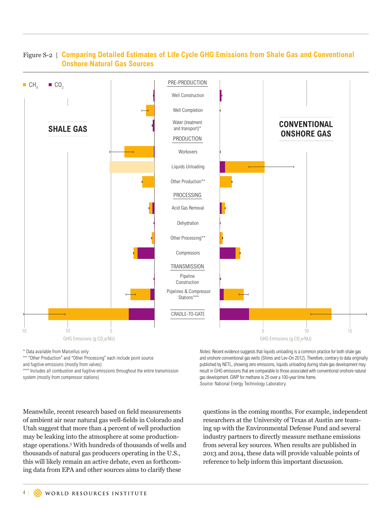

### Figure S-2 | **Comparing Detailed Estimates of Life Cycle GHG Emissions from Shale Gas and Conventional Onshore Natural Gas Sources**

\* Data available from Marcellus only

\*\* "Other Production" and "Other Processing" each include point source

and fugitive emissions (mostly from valves)

\*\*\* Includes all combustion and fugitive emissions throughout the entire transmission system (mostly from compressor stations)

Notes: Recent evidence suggests that liquids unloading is a common practice for both shale gas and onshore conventional gas wells (Shires and Lev-On 2012). Therefore, contrary to data originally published by NETL, showing zero emissions, liquids unloading during shale gas development may result in GHG emissions that are comparable to those associated with conventional onshore natural gas development. GWP for methane is 25 over a 100-year time frame. Source: National Energy Technology Laboratory.

Meanwhile, recent research based on field measurements of ambient air near natural gas well-fields in Colorado and Utah suggest that more than 4 percent of well production may be leaking into the atmosphere at some productionstage operations.5 With hundreds of thousands of wells and thousands of natural gas producers operating in the U.S., this will likely remain an active debate, even as forthcoming data from EPA and other sources aims to clarify these

questions in the coming months. For example, independent researchers at the University of Texas at Austin are teaming up with the Environmental Defense Fund and several industry partners to directly measure methane emissions from several key sources. When results are published in 2013 and 2014, these data will provide valuable points of reference to help inform this important discussion.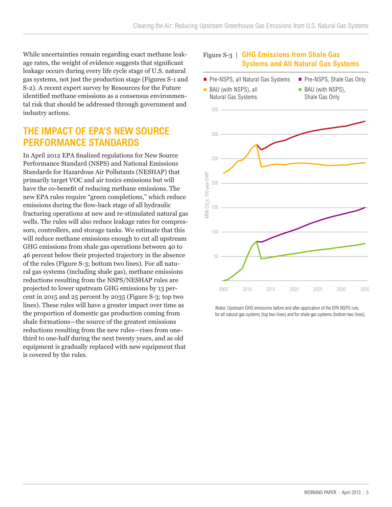While uncertainties remain regarding exact methane leakage rates, the weight of evidence suggests that significant leakage occurs during every life cycle stage of U.S. natural gas systems, not just the production stage (Figures S-1 and S-2). A recent expert survey by Resources for the Future identified methane emissions as a consensus environmental risk that should be addressed through government and industry actions.

## **THE IMPACT OF EPA'S NEW SOURCE PERFORMANCE STANDARDS**

In April 2012 EPA finalized regulations for New Source Performance Standard (NSPS) and National Emissions Standards for Hazardous Air Pollutants (NESHAP) that primarily target VOC and air toxics emissions but will have the co-benefit of reducing methane emissions. The new EPA rules require "green completions," which reduce emissions during the flow-back stage of all hydraulic fracturing operations at new and re-stimulated natural gas wells. The rules will also reduce leakage rates for compressors, controllers, and storage tanks. We estimate that this will reduce methane emissions enough to cut all upstream GHG emissions from shale gas operations between 40 to 46 percent below their projected trajectory in the absence of the rules (Figure S-3; bottom two lines). For all natural gas systems (including shale gas), methane emissions reductions resulting from the NSPS/NESHAP rules are projected to lower upstream GHG emissions by 13 percent in 2015 and 25 percent by 2035 (Figure S-3; top two lines). These rules will have a greater impact over time as the proportion of domestic gas production coming from shale formations—the source of the greatest emissions reductions resulting from the new rules—rises from onethird to one-half during the next twenty years, and as old equipment is gradually replaced with new equipment that is covered by the rules.



Notes: Upstream GHG emissions before and after application of the EPA NSPS rule, for all natural gas systems (top two lines) and for shale gas systems (bottom two lines).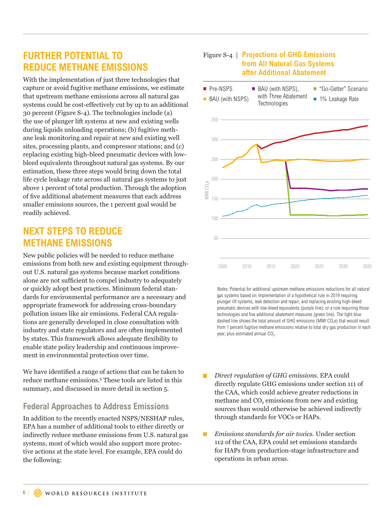## **FURTHER POTENTIAL TO REDUCE METHANE EMISSIONS**

With the implementation of just three technologies that capture or avoid fugitive methane emissions, we estimate that upstream methane emissions across all natural gas systems could be cost-effectively cut by up to an additional 30 percent (Figure S-4). The technologies include (a) the use of plunger lift systems at new and existing wells during liquids unloading operations; (b) fugitive methane leak monitoring and repair at new and existing well sites, processing plants, and compressor stations; and (c) replacing existing high-bleed pneumatic devices with lowbleed equivalents throughout natural gas systems. By our estimation, these three steps would bring down the total life cycle leakage rate across all natural gas systems to just above 1 percent of total production. Through the adoption of five additional abatement measures that each address smaller emissions sources, the 1 percent goal would be readily achieved.

## **NEXT STEPS TO REDUCE METHANE EMISSIONS**

New public policies will be needed to reduce methane emissions from both new and existing equipment throughout U.S. natural gas systems because market conditions alone are not sufficient to compel industry to adequately or quickly adopt best practices. Minimum federal standards for environmental performance are a necessary and appropriate framework for addressing cross-boundary pollution issues like air emissions. Federal CAA regulations are generally developed in close consultation with industry and state regulators and are often implemented by states. This framework allows adequate flexibility to enable state policy leadership and continuous improvement in environmental protection over time.

We have identified a range of actions that can be taken to reduce methane emissions.6 These tools are listed in this summary, and discussed in more detail in section 5.

### **Federal Approaches to Address Emissions**

In addition to the recently enacted NSPS/NESHAP rules, EPA has a number of additional tools to either directly or indirectly reduce methane emissions from U.S. natural gas systems, most of which would also support more protective actions at the state level. For example, EPA could do the following:

### Figure S-4 | **Projections of GHG Emissions from All Natural Gas Systems after Additional Abatement**



Notes: Potential for additional upstream methane emissions reductions for all natural gas systems based on implementation of a hypothetical rule in 2019 requiring plunger lift systems, leak detection and repair, and replacing existing high-bleed pneumatic devices with low-bleed equivalents (purple line); or a rule requiring those technologies and five additional abatement measures (green line). The light blue dashed line shows the total amount of GHG emissions (MMt CO<sub>2</sub>e) that would result from 1 percent fugitive methane emissions relative to total dry gas production in each year, plus estimated annual CO<sub>2</sub>.

- *Direct regulation of GHG emissions.* EPA could directly regulate GHG emissions under section 111 of the CAA, which could achieve greater reductions in methane and  $CO<sub>2</sub>$  emissions from new and existing sources than would otherwise be achieved indirectly through standards for VOCs or HAPs.
- *Emissions standards for air toxics.* Under section 112 of the CAA, EPA could set emissions standards for HAPs from production-stage infrastructure and operations in urban areas.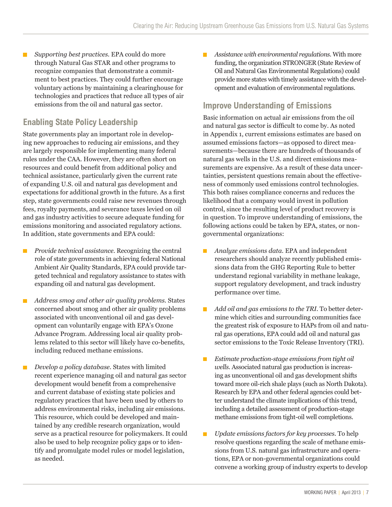*Supporting best practices.* EPA could do more  $\Box$ through Natural Gas STAR and other programs to recognize companies that demonstrate a commitment to best practices. They could further encourage voluntary actions by maintaining a clearinghouse for technologies and practices that reduce all types of air emissions from the oil and natural gas sector.

### **Enabling State Policy Leadership**

State governments play an important role in developing new approaches to reducing air emissions, and they are largely responsible for implementing many federal rules under the CAA. However, they are often short on resources and could benefit from additional policy and technical assistance, particularly given the current rate of expanding U.S. oil and natural gas development and expectations for additional growth in the future. As a first step, state governments could raise new revenues through fees, royalty payments, and severance taxes levied on oil and gas industry activities to secure adequate funding for emissions monitoring and associated regulatory actions. In addition, state governments and EPA could:

- *Provide technical assistance.* Recognizing the central п role of state governments in achieving federal National Ambient Air Quality Standards, EPA could provide targeted technical and regulatory assistance to states with expanding oil and natural gas development.
- *Address smog and other air quality problems.* States concerned about smog and other air quality problems associated with unconventional oil and gas development can voluntarily engage with EPA's Ozone Advance Program. Addressing local air quality problems related to this sector will likely have co-benefits, including reduced methane emissions.
- *Develop a policy database.* States with limited  $\blacksquare$ recent experience managing oil and natural gas sector development would benefit from a comprehensive and current database of existing state policies and regulatory practices that have been used by others to address environmental risks, including air emissions. This resource, which could be developed and maintained by any credible research organization, would serve as a practical resource for policymakers. It could also be used to help recognize policy gaps or to identify and promulgate model rules or model legislation, as needed.

 *Assistance with environmental regulations.* With more funding, the organization STRONGER (State Review of Oil and Natural Gas Environmental Regulations) could provide more states with timely assistance with the development and evaluation of environmental regulations.

## **Improve Understanding of Emissions**

Basic information on actual air emissions from the oil and natural gas sector is difficult to come by. As noted in Appendix 1, current emissions estimates are based on assumed emissions factors—as opposed to direct measurements—because there are hundreds of thousands of natural gas wells in the U.S. and direct emissions measurements are expensive. As a result of these data uncertainties, persistent questions remain about the effectiveness of commonly used emissions control technologies. This both raises compliance concerns and reduces the likelihood that a company would invest in pollution control, since the resulting level of product recovery is in question. To improve understanding of emissions, the following actions could be taken by EPA, states, or nongovernmental organizations:

- *Analyze emissions data.* EPA and independent researchers should analyze recently published emissions data from the GHG Reporting Rule to better understand regional variability in methane leakage, support regulatory development, and track industry performance over time.
- П *Add oil and gas emissions to the TRI.* To better determine which cities and surrounding communities face the greatest risk of exposure to HAPs from oil and natural gas operations, EPA could add oil and natural gas sector emissions to the Toxic Release Inventory (TRI).
- *Estimate production-stage emissions from tight oil*  п *wells.* Associated natural gas production is increasing as unconventional oil and gas development shifts toward more oil-rich shale plays (such as North Dakota). Research by EPA and other federal agencies could better understand the climate implications of this trend, including a detailed assessment of production-stage methane emissions from tight-oil well completions.
- *Update emissions factors for key processes.* To help **The State** resolve questions regarding the scale of methane emissions from U.S. natural gas infrastructure and operations, EPA or non-governmental organizations could convene a working group of industry experts to develop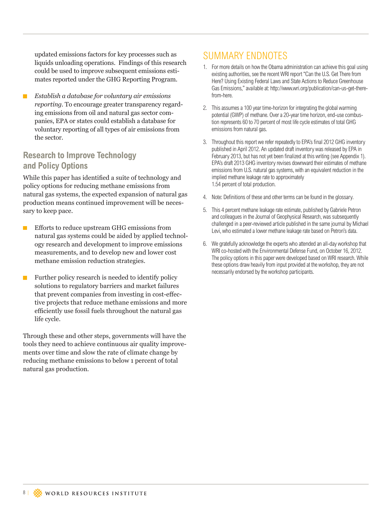updated emissions factors for key processes such as liquids unloading operations. Findings of this research could be used to improve subsequent emissions estimates reported under the GHG Reporting Program.

 *Establish a database for voluntary air emissions reporting.* To encourage greater transparency regarding emissions from oil and natural gas sector companies, EPA or states could establish a database for voluntary reporting of all types of air emissions from the sector.

### **Research to Improve Technology and Policy Options**

While this paper has identified a suite of technology and policy options for reducing methane emissions from natural gas systems, the expected expansion of natural gas production means continued improvement will be necessary to keep pace.

- $\blacksquare$  Efforts to reduce upstream GHG emissions from natural gas systems could be aided by applied technology research and development to improve emissions measurements, and to develop new and lower cost methane emission reduction strategies.
- $\blacksquare$  Further policy research is needed to identify policy solutions to regulatory barriers and market failures that prevent companies from investing in cost-effective projects that reduce methane emissions and more efficiently use fossil fuels throughout the natural gas life cycle.

Through these and other steps, governments will have the tools they need to achieve continuous air quality improvements over time and slow the rate of climate change by reducing methane emissions to below 1 percent of total natural gas production.

## SUMMARY ENDNOTES

- 1. For more details on how the Obama administration can achieve this goal using existing authorities, see the recent WRI report "Can the U.S. Get There from Here? Using Existing Federal Laws and State Actions to Reduce Greenhouse Gas Emissions," available at: http://www.wri.org/publication/can-us-get-therefrom-here.
- 2. This assumes a 100 year time-horizon for integrating the global warming potential (GWP) of methane. Over a 20-year time horizon, end-use combustion represents 60 to 70 percent of most life cycle estimates of total GHG emissions from natural gas.
- 3. Throughout this report we refer repeatedly to EPA's final 2012 GHG inventory published in April 2012. An updated draft inventory was released by EPA in February 2013, but has not yet been finalized at this writing (see Appendix 1). EPA's draft 2013 GHG inventory revises downward their estimates of methane emissions from U.S. natural gas systems, with an equivalent reduction in the implied methane leakage rate to approximately 1.54 percent of total production.
- 4. Note: Definitions of these and other terms can be found in the glossary.
- 5. This 4 percent methane leakage rate estimate, published by Gabriele Petron and colleagues in the Journal of Geophysical Research, was subsequently challenged in a peer-reviewed article published in the same journal by Michael Levi, who estimated a lower methane leakage rate based on Petron's data.
- 6. We gratefully acknowledge the experts who attended an all-day workshop that WRI co-hosted with the Environmental Defense Fund, on October 16, 2012. The policy options in this paper were developed based on WRI research. While these options draw heavily from input provided at the workshop, they are not necessarily endorsed by the workshop participants.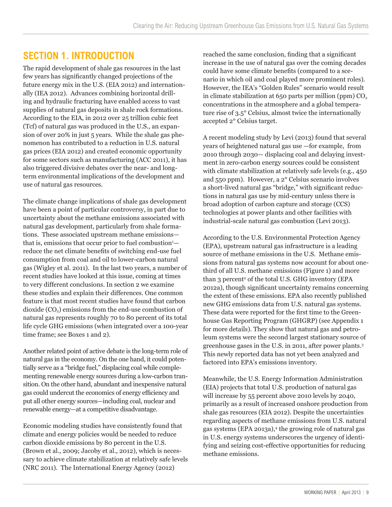## **SECTION 1. INTRODUCTION**

The rapid development of shale gas resources in the last few years has significantly changed projections of the future energy mix in the U.S. (EIA 2012) and internationally (IEA 2012). Advances combining horizontal drilling and hydraulic fracturing have enabled access to vast supplies of natural gas deposits in shale rock formations. According to the EIA, in 2012 over 25 trillion cubic feet (Tcf) of natural gas was produced in the U.S., an expansion of over 20% in just 5 years. While the shale gas phenomenon has contributed to a reduction in U.S. natural gas prices (EIA 2012) and created economic opportunity for some sectors such as manufacturing (ACC 2011), it has also triggered divisive debates over the near- and longterm environmental implications of the development and use of natural gas resources.

The climate change implications of shale gas development have been a point of particular controversy, in part due to uncertainty about the methane emissions associated with natural gas development, particularly from shale formations. These associated upstream methane emissions that is, emissions that occur prior to fuel combustion<sup>1</sup> reduce the net climate benefits of switching end-use fuel consumption from coal and oil to lower-carbon natural gas (Wigley et al. 2011). In the last two years, a number of recent studies have looked at this issue, coming at times to very different conclusions. In section 2 we examine these studies and explain their differences. One common feature is that most recent studies have found that carbon  $divide (CO<sub>2</sub>)$  emissions from the end-use combustion of natural gas represents roughly 70 to 80 percent of its total life cycle GHG emissions (when integrated over a 100-year time frame; see Boxes 1 and 2).

Another related point of active debate is the long-term role of natural gas in the economy. On the one hand, it could potentially serve as a "bridge fuel," displacing coal while complementing renewable energy sources during a low-carbon transition. On the other hand, abundant and inexpensive natural gas could undercut the economics of energy efficiency and put all other energy sources—including coal, nuclear and renewable energy—at a competitive disadvantage.

Economic modeling studies have consistently found that climate and energy policies would be needed to reduce carbon dioxide emissions by 80 percent in the U.S. (Brown et al., 2009; Jacoby et al., 2012), which is necessary to achieve climate stabilization at relatively safe levels (NRC 2011). The International Energy Agency (2012)

reached the same conclusion, finding that a significant increase in the use of natural gas over the coming decades could have some climate benefits (compared to a scenario in which oil and coal played more prominent roles). However, the IEA's "Golden Rules" scenario would result in climate stabilization at 650 parts per million (ppm)  $CO<sub>2</sub>$ concentrations in the atmosphere and a global temperature rise of 3.5° Celsius, almost twice the internationally accepted 2° Celsius target.

A recent modeling study by Levi (2013) found that several years of heightened natural gas use —for example, from 2010 through 2030— displacing coal and delaying investment in zero-carbon energy sources could be consistent with climate stabilization at relatively safe levels (e.g., 450 and 550 ppm). However, a 2° Celsius scenario involves a short-lived natural gas "bridge," with significant reductions in natural gas use by mid-century unless there is broad adoption of carbon capture and storage (CCS) technologies at power plants and other facilities with industrial-scale natural gas combustion (Levi 2013).

According to the U.S. Environmental Protection Agency (EPA), upstream natural gas infrastructure is a leading source of methane emissions in the U.S. Methane emissions from natural gas systems now account for about onethird of all U.S. methane emissions (Figure 1) and more than 3 percent<sup>2</sup> of the total U.S. GHG inventory (EPA 2012a), though significant uncertainty remains concerning the extent of these emissions. EPA also recently published new GHG emissions data from U.S. natural gas systems. These data were reported for the first time to the Greenhouse Gas Reporting Program (GHGRP) (see Appendix 1 for more details). They show that natural gas and petroleum systems were the second largest stationary source of greenhouse gases in the U.S. in 2011, after power plants.3 This newly reported data has not yet been analyzed and factored into EPA's emissions inventory.

Meanwhile, the U.S. Energy Information Administration (EIA) projects that total U.S. production of natural gas will increase by 55 percent above 2010 levels by 2040, primarily as a result of increased onshore production from shale gas resources (EIA 2012). Despite the uncertainties regarding aspects of methane emissions from U.S. natural gas systems (EPA 2013a),<sup>4</sup> the growing role of natural gas in U.S. energy systems underscores the urgency of identifying and seizing cost-effective opportunities for reducing methane emissions.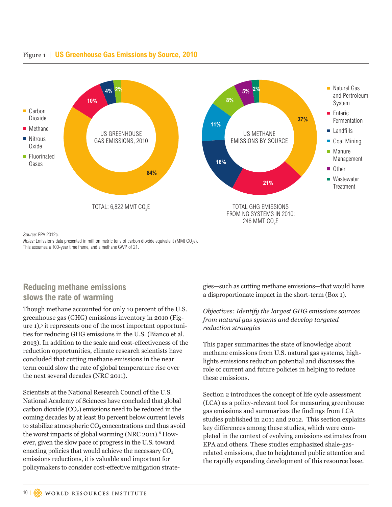

### Figure 1 | **US Greenhouse Gas Emissions by Source, 2010**

Source: EPA 2012a.

Notes: Emissions data presented in million metric tons of carbon dioxide equivalent (MMt  $CO<sub>2</sub>e$ ). This assumes a 100-year time frame, and a methane GWP of 21.

## **Reducing methane emissions slows the rate of warming**

Though methane accounted for only 10 percent of the U.S. greenhouse gas (GHG) emissions inventory in 2010 (Figure 1),5 it represents one of the most important opportunities for reducing GHG emissions in the U.S. (Bianco et al. 2013). In addition to the scale and cost-effectiveness of the reduction opportunities, climate research scientists have concluded that cutting methane emissions in the near term could slow the rate of global temperature rise over the next several decades (NRC 2011).

Scientists at the National Research Council of the U.S. National Academy of Sciences have concluded that global carbon dioxide  $(CO<sub>2</sub>)$  emissions need to be reduced in the coming decades by at least 80 percent below current levels to stabilize atmospheric  $CO<sub>2</sub>$  concentrations and thus avoid the worst impacts of global warming (NRC 2011).<sup>6</sup> However, given the slow pace of progress in the U.S. toward enacting policies that would achieve the necessary  $CO<sub>2</sub>$ emissions reductions, it is valuable and important for policymakers to consider cost-effective mitigation strategies—such as cutting methane emissions—that would have a disproportionate impact in the short-term (Box 1).

#### *Objectives: Identify the largest GHG emissions sources from natural gas systems and develop targeted reduction strategies*

This paper summarizes the state of knowledge about methane emissions from U.S. natural gas systems, highlights emissions reduction potential and discusses the role of current and future policies in helping to reduce these emissions.

Section 2 introduces the concept of life cycle assessment (LCA) as a policy-relevant tool for measuring greenhouse gas emissions and summarizes the findings from LCA studies published in 2011 and 2012. This section explains key differences among these studies, which were completed in the context of evolving emissions estimates from EPA and others. These studies emphasized shale-gasrelated emissions, due to heightened public attention and the rapidly expanding development of this resource base.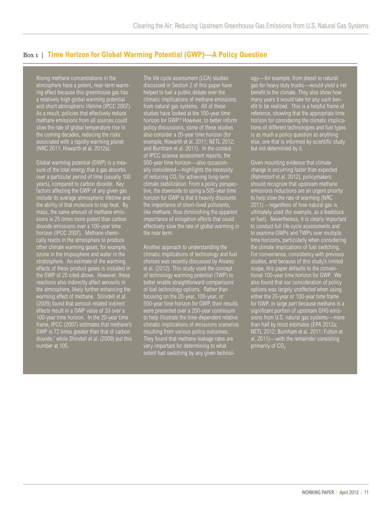### Box 1 | **Time Horizon for Global Warming Potential (GWP)—A Policy Question**

Rising methane concentrations in the atmosphere have a potent, near-term warming effect because this greenhouse gas has a relatively high global warming potential and short atmospheric lifetime (IPCC 2007). As a result, policies that effectively reduce methane emissions from all sources could slow the rate of global temperature rise in the coming decades, reducing the risks associated with a rapidly warming planet (NRC 2011; Howarth et al. 2012a).

Global warming potential (GWP) is a measure of the total energy that a gas absorbs over a particular period of time (usually 100 years), compared to carbon dioxide. Key factors affecting the GWP of any given gas include its average atmospheric lifetime and the ability of that molecule to trap heat. By mass, the same amount of methane emissions is 25 times more potent than carbon dioxide emissions over a 100-year time horizon (IPCC 2007). Methane chemically reacts in the atmosphere to produce other climate warming gases; for example, ozone in the troposphere and water in the stratosphere. An estimate of the warming effects of these product gases is included in the GWP of 25 cited above. However, these reactions also indirectly affect aerosols in the atmosphere, likely further enhancing the warming effect of methane. Shindell et al. (2009) found that aerosol-related indirect effects result in a GWP value of 33 over a 100-year time horizon. In the 20-year time frame, IPCC (2007) estimates that methane's GWP is 72 times greater than that of carbon dioxide,7 while Shindell et al. (2009) put this number at 105.

The life cycle assessment (LCA) studies discussed in Section 2 of this paper have helped to fuel a public debate over the climatic implications of methane emissions from natural gas systems. All of these studies have looked at the 100-year time horizon for GWP.<sup>8</sup> However, to better inform policy discussions, some of these studies also consider a 20-year time horizon (for example, Howarth et al. 2011; NETL 2012; and Burnham et al. 2011). In the context of IPCC science assessment reports, the 500-year time horizon—also occasionally considered—highlights the necessity of reducing  $CO<sub>2</sub>$  for achieving long-term climate stabilization. From a policy perspective, the downside to using a 500-year time horizon for GWP is that it heavily discounts the importance of short-lived pollutants, like methane, thus diminishing the apparent importance of mitigation efforts that could effectively slow the rate of global warming in the near term.

Another approach to understanding the climatic implications of technology and fuel choices was recently discussed by Alvarez et al. (2012). This study used the concept of technology warming potential (TWP) to better enable straightforward comparisons of fuel technology options. Rather than focusing on the 20-year, 100-year, or 500-year time horizon for GWP, their results were presented over a 200-year continuum to help illustrate the time-dependent relative resulting from various policy outcomes. They found that methane leakage rates are very important for determining to what extent fuel switching by any given technology—for example, from diesel to natural gas for heavy duty trucks—would yield a net benefit to the climate. They also show how many years it would take for any such benefit to be realized. This is a helpful frame of reference, showing that the appropriate time horizon for considering the climatic implications of different technologies and fuel types is as much a policy question as anything else, one that is informed by scientific study but not determined by it.

Given mounting evidence that climate change is occurring faster than expected (Rahmstorf et al. 2012), policymakers should recognize that upstream methane emissions reductions are an urgent priority to help slow the rate of warming (NRC  $\overline{2011}$  – regardless of how natural gas is ultimately used (for example, as a feedstock or fuel). Nevertheless, it is clearly important to conduct full life cycle assessments and to examine GWPs and TWPs over multiple time horizons, particularly when considering the climate implications of fuel switching. For convenience, consistency with previous studies, and because of this study's limited scope, this paper defaults to the conventional 100-year time horizon for GWP. We also found that our consideration of policy options was largely unaffected when using either the 20-year or 100-year time frame for GWP, in large part because methane is a significant portion of upstream GHG emissions from U.S. natural gas systems—more than half by most estimates (EPA 2012a; NETL 2012; Burnham et al. 2011; Fulton et al. 2011)—with the remainder consisting primarily of  $CO<sub>2</sub>$ .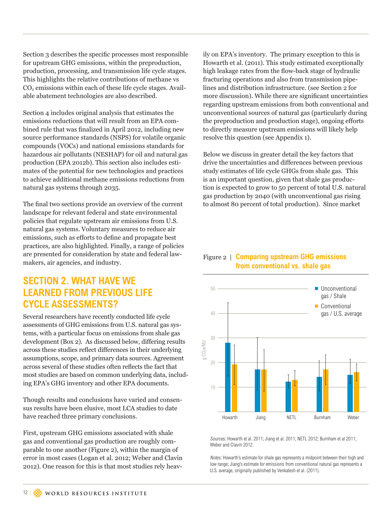Section 3 describes the specific processes most responsible for upstream GHG emissions, within the preproduction, production, processing, and transmission life cycle stages. This highlights the relative contributions of methane vs  $CO<sub>2</sub>$  emissions within each of these life cycle stages. Available abatement technologies are also described.

Section 4 includes original analysis that estimates the emissions reductions that will result from an EPA combined rule that was finalized in April 2012, including new source performance standards (NSPS) for volatile organic compounds (VOCs) and national emissions standards for hazardous air pollutants (NESHAP) for oil and natural gas production (EPA 2012b). This section also includes estimates of the potential for new technologies and practices to achieve additional methane emissions reductions from natural gas systems through 2035.

The final two sections provide an overview of the current landscape for relevant federal and state environmental policies that regulate upstream air emissions from U.S. natural gas systems. Voluntary measures to reduce air emissions, such as efforts to define and propagate best practices, are also highlighted. Finally, a range of policies are presented for consideration by state and federal lawmakers, air agencies, and industry.

## **SECTION 2. WHAT HAVE WE LEARNED FROM PREVIOUS LIFE CYCLE ASSESSMENTS?**

Several researchers have recently conducted life cycle assessments of GHG emissions from U.S. natural gas systems, with a particular focus on emissions from shale gas development (Box 2). As discussed below, differing results across these studies reflect differences in their underlying assumptions, scope, and primary data sources. Agreement across several of these studies often reflects the fact that most studies are based on common underlying data, including EPA's GHG inventory and other EPA documents.

Though results and conclusions have varied and consensus results have been elusive, most LCA studies to date have reached three primary conclusions.

First, upstream GHG emissions associated with shale gas and conventional gas production are roughly comparable to one another (Figure 2), within the margin of error in most cases (Logan et al. 2012; Weber and Clavin 2012). One reason for this is that most studies rely heav-

ily on EPA's inventory. The primary exception to this is Howarth et al. (2011). This study estimated exceptionally high leakage rates from the flow-back stage of hydraulic fracturing operations and also from transmission pipelines and distribution infrastructure. (see Section 2 for more discussion). While there are significant uncertainties regarding upstream emissions from both conventional and unconventional sources of natural gas (particularly during the preproduction and production stage), ongoing efforts to directly measure upstream emissions will likely help resolve this question (see Appendix 1).

Below we discuss in greater detail the key factors that drive the uncertainties and differences between previous study estimates of life cycle GHGs from shale gas. This is an important question, given that shale gas production is expected to grow to 50 percent of total U.S. natural gas production by 2040 (with unconventional gas rising to almost 80 percent of total production). Since market

### Figure 2 | **Comparing upstream GHG emissions from conventional vs. shale gas**



Sources: Howarth et al. 2011; Jiang et al. 2011; NETL 2012; Burnham et al 2011; Weber and Clavin 2012.

Notes: Howarth's estimate for shale gas represents a midpoint between their high and low range; Jiang's estimate for emissions from conventional natural gas represents a U.S. average, originally published by Venkatesh et al. (2011).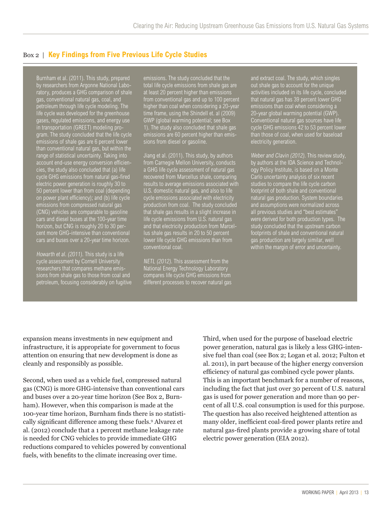### Box 2 | **Key Findings from Five Previous Life Cycle Studies**

Burnham et al. (2011). This study, prepared by researchers from Argonne National Laboratory, produces a GHG comparison of shale gas, conventional natural gas, coal, and petroleum through life cycle modeling. The life cycle was developed for the greenhouse gases, regulated emissions, and energy use in transportation (GREET) modeling program. The study concluded that the life cycle emissions of shale gas are 6 percent lower than conventional natural gas, but within the range of statistical uncertainty. Taking into account end-use energy conversion efficiencies, the study also concluded that (a) life cycle GHG emissions from natural gas-fired electric power generation is roughly 30 to 50 percent lower than from coal (depending on power plant efficiency); and (b) life cycle emissions from compressed natural gas (CNG) vehicles are comparable to gasoline cars and diesel buses at the 100-year time horizon, but CNG is roughly 20 to 30 percent more GHG-intensive than conventional cars and buses over a 20-year time horizon.

Howarth et al. (2011). This study is a life cycle assessment by Cornell University researchers that compares methane emissions from shale gas to those from coal and petroleum, focusing considerably on fugitive

emissions. The study concluded that the total life cycle emissions from shale gas are at least 20 percent higher than emissions from conventional gas and up to 100 percent higher than coal when considering a 20-year time frame, using the Shindell et. al (2009) GWP (global warming potential; see Box 1). The study also concluded that shale gas emissions are 60 percent higher than emissions from diesel or gasoline.

Jiang et al. (2011). This study, by authors from Carnegie Mellon University, conducts a GHG life cycle assessment of natural gas recovered from Marcellus shale, comparing results to average emissions associated with U.S. domestic natural gas, and also to life cycle emissions associated with electricity production from coal. The study concluded that shale gas results in a slight increase in life cycle emissions from U.S. natural gas and that electricity production from Marcellus shale gas results in 20 to 50 percent conventional coal.

NETL (2012). This assessment from the National Energy Technology Laboratory compares life cycle GHG emissions from different processes to recover natural gas and extract coal. The study, which singles out shale gas to account for the unique activities included in its life cycle, concluded that natural gas has 39 percent lower GHG emissions than coal when considering a 20-year global warming potential (GWP). Conventional natural gas sources have life cycle GHG emissions 42 to 53 percent lower than those of coal, when used for baseload electricity generation.

Weber and Clavin (2012). This review study, by authors at the IDA Science and Technology Policy Institute, is based on a Monte Carlo uncertainty analysis of six recent studies to compare the life cycle carbon footprint of both shale and conventional natural gas production. System boundaries and assumptions were normalized across all previous studies and "best estimates were derived for both production types. The study concluded that the upstream carbon footprints of shale and conventional natural gas production are largely similar, well within the margin of error and uncertainty.

expansion means investments in new equipment and infrastructure, it is appropriate for government to focus attention on ensuring that new development is done as cleanly and responsibly as possible.

Second, when used as a vehicle fuel, compressed natural gas (CNG) is more GHG-intensive than conventional cars and buses over a 20-year time horizon (See Box 2, Burnham). However, when this comparison is made at the 100-year time horizon, Burnham finds there is no statistically significant difference among these fuels.<sup>9</sup> Alvarez et al. (2012) conclude that a 1 percent methane leakage rate is needed for CNG vehicles to provide immediate GHG reductions compared to vehicles powered by conventional fuels, with benefits to the climate increasing over time.

Third, when used for the purpose of baseload electric power generation, natural gas is likely a less GHG-intensive fuel than coal (see Box 2; Logan et al. 2012; Fulton et al. 2011), in part because of the higher energy conversion efficiency of natural gas combined cycle power plants. This is an important benchmark for a number of reasons, including the fact that just over 30 percent of U.S. natural gas is used for power generation and more than 90 percent of all U.S. coal consumption is used for this purpose. The question has also received heightened attention as many older, inefficient coal-fired power plants retire and natural gas-fired plants provide a growing share of total electric power generation (EIA 2012).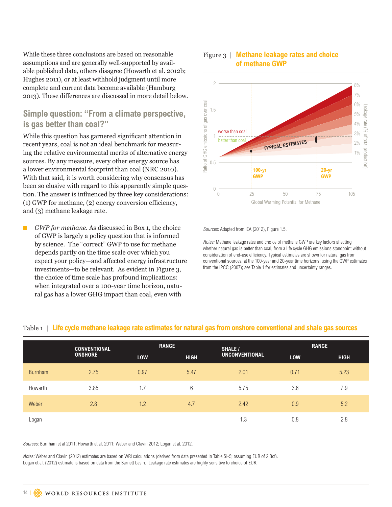While these three conclusions are based on reasonable assumptions and are generally well-supported by available published data, others disagree (Howarth et al. 2012b; Hughes 2011), or at least withhold judgment until more complete and current data become available (Hamburg 2013). These differences are discussed in more detail below.

### **Simple question: "From a climate perspective, is gas better than coal?"**

While this question has garnered significant attention in recent years, coal is not an ideal benchmark for measuring the relative environmental merits of alternative energy sources. By any measure, every other energy source has a lower environmental footprint than coal (NRC 2010). With that said, it is worth considering why consensus has been so elusive with regard to this apparently simple question. The answer is influenced by three key considerations: (1) GWP for methane, (2) energy conversion efficiency, and (3) methane leakage rate.

 $\blacksquare$  *GWP for methane.* As discussed in Box 1, the choice of GWP is largely a policy question that is informed by science. The "correct" GWP to use for methane depends partly on the time scale over which you expect your policy—and affected energy infrastructure investments—to be relevant. As evident in Figure 3, the choice of time scale has profound implications: when integrated over a 100-year time horizon, natural gas has a lower GHG impact than coal, even with



#### Figure 3 | **Methane leakage rates and choice of methane GWP**

Sources: Adapted from IEA (2012), Figure 1.5.

Notes: Methane leakage rates and choice of methane GWP are key factors affecting whether natural gas is better than coal, from a life cycle GHG emissions standpoint without consideration of end-use efficiency. Typical estimates are shown for natural gas from conventional sources, at the 100-year and 20-year time horizons, using the GWP estimates from the IPCC (2007); see Table 1 for estimates and uncertainty ranges.

|                | <b>CONVENTIONAL</b> | <b>RANGE</b>             |                          | <b>SHALE /</b>        | <b>RANGE</b> |             |
|----------------|---------------------|--------------------------|--------------------------|-----------------------|--------------|-------------|
|                | <b>ONSHORE</b>      | LOW                      | <b>HIGH</b>              | <b>UNCONVENTIONAL</b> | <b>LOW</b>   | <b>HIGH</b> |
| <b>Burnham</b> | 2.75                | 0.97                     | 5.47                     | 2.01                  | 0.71         | 5.23        |
| Howarth        | 3.85                | 1.7                      | 6                        | 5.75                  | 3.6          | 7.9         |
| Weber          | 2.8                 | 1.2                      | 4.7                      | 2.42                  | 0.9          | 5.2         |
| Logan          |                     | $\overline{\phantom{0}}$ | $\overline{\phantom{m}}$ | 1.3                   | 0.8          | 2.8         |

#### Table 1 | **Life cycle methane leakage rate estimates for natural gas from onshore conventional and shale gas sources**

Sources: Burnham et al 2011; Howarth et al. 2011; Weber and Clavin 2012; Logan et al. 2012.

Notes: Weber and Clavin (2012) estimates are based on WRI calculations (derived from data presented in Table SI-5; assuming EUR of 2 Bcf). Logan et al. (2012) estimate is based on data from the Barnett basin. Leakage rate estimates are highly sensitive to choice of EUR.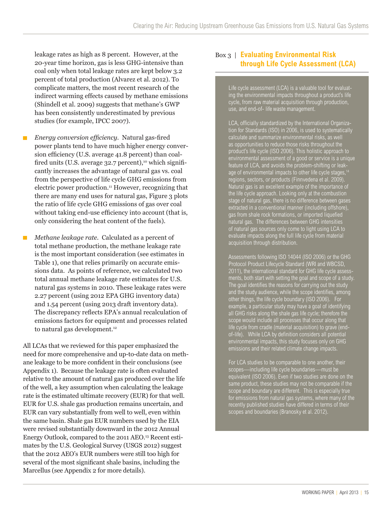leakage rates as high as 8 percent. However, at the 20-year time horizon, gas is less GHG-intensive than coal only when total leakage rates are kept below 3.2 percent of total production (Alvarez et al. 2012). To complicate matters, the most recent research of the indirect warming effects caused by methane emissions (Shindell et al. 2009) suggests that methane's GWP has been consistently underestimated by previous studies (for example, IPCC 2007).

- *Energy conversion efficiency.* Natural gas-fired  $\blacksquare$ power plants tend to have much higher energy conversion efficiency (U.S. average 41.8 percent) than coalfired units (U.S. average  $32.7$  percent),<sup>10</sup> which significantly increases the advantage of natural gas vs. coal from the perspective of life cycle GHG emissions from electric power production.11 However, recognizing that there are many end uses for natural gas, Figure 3 plots the ratio of life cycle GHG emissions of gas over coal without taking end-use efficiency into account (that is, only considering the heat content of the fuels).
- *Methane leakage rate.* Calculated as a percent of П total methane production, the methane leakage rate is the most important consideration (see estimates in Table 1), one that relies primarily on accurate emissions data. As points of reference, we calculated two total annual methane leakage rate estimates for U.S. natural gas systems in 2010. These leakage rates were 2.27 percent (using 2012 EPA GHG inventory data) and 1.54 percent (using 2013 draft inventory data). The discrepancy reflects EPA's annual recalculation of emissions factors for equipment and processes related to natural gas development.<sup>12</sup>

All LCAs that we reviewed for this paper emphasized the need for more comprehensive and up-to-date data on methane leakage to be more confident in their conclusions (see Appendix 1). Because the leakage rate is often evaluated relative to the amount of natural gas produced over the life of the well, a key assumption when calculating the leakage rate is the estimated ultimate recovery (EUR) for that well. EUR for U.S. shale gas production remains uncertain, and EUR can vary substantially from well to well, even within the same basin. Shale gas EUR numbers used by the EIA were revised substantially downward in the 2012 Annual Energy Outlook, compared to the 2011 AEO.13 Recent estimates by the U.S. Geological Survey (USGS 2012) suggest that the 2012 AEO's EUR numbers were still too high for several of the most significant shale basins, including the Marcellus (see Appendix 2 for more details).

### Box 3 | **Evaluating Environmental Risk through Life Cycle Assessment (LCA)**

Life cycle assessment (LCA) is a valuable tool for evaluating the environmental impacts throughout a product's life cycle, from raw material acquisition through production, use, and end-of- life waste management.

LCA, officially standardized by the International Organization for Standards (ISO) in 2006, is used to systematically calculate and summarize environmental risks, as well as opportunities to reduce those risks throughout the product's life cycle (ISO 2006). This holistic approach to environmental assessment of a good or service is a unique feature of LCA, and avoids the problem-shifting or leakage of environmental impacts to other life cycle stages, regions, sectors, or products (Finnvedena et al. 2009). Natural gas is an excellent example of the importance of the life cycle approach. Looking only at the combustion stage of natural gas, there is no difference between gases extracted in a conventional manner (including offshore), gas from shale rock formations, or imported liquefied natural gas. The differences between GHG intensities of natural gas sources only come to light using LCA to evaluate impacts along the full life cycle from material acquisition through distribution.

Assessments following ISO 14044 (ISO 2006) or the GHG Protocol Product Lifecycle Standard (WRI and WBCSD, 2011), the international standard for GHG life cycle assessments, both start with setting the goal and scope of a study. The goal identifies the reasons for carrying out the study and the study audience, while the scope identifies, among other things, the life cycle boundary (ISO 2006). For example, a particular study may have a goal of identifying all GHG risks along the shale gas life cycle; therefore the scope would include all processes that occur along that life cycle from cradle (material acquisition) to grave (endof-life). While LCA by definition considers all potential environmental impacts, this study focuses only on GHG emissions and their related climate change impacts.

For LCA studies to be comparable to one another, their scopes—including life cycle boundaries—must be equivalent (ISO 2006). Even if two studies are done on the same product, these studies may not be comparable if the scope and boundary are different. This is especially true for emissions from natural gas systems, where many of the recently published studies have differed in terms of their scopes and boundaries (Branosky et al. 2012).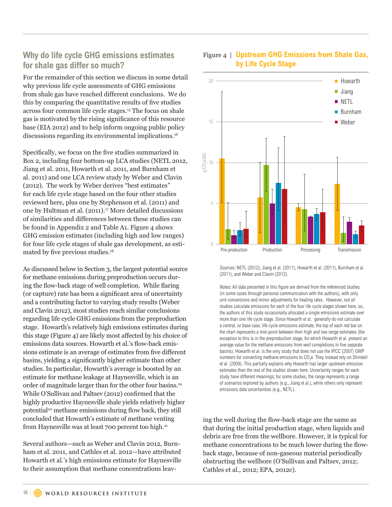### **Why do life cycle GHG emissions estimates for shale gas differ so much?**

For the remainder of this section we discuss in some detail why previous life cycle assessments of GHG emissions from shale gas have reached different conclusions. We do this by comparing the quantitative results of five studies across four common life cycle stages.15 The focus on shale gas is motivated by the rising significance of this resource base (EIA 2012) and to help inform ongoing public policy discussions regarding its environmental implications.16

Specifically, we focus on the five studies summarized in Box 2, including four bottom-up LCA studies (NETL 2012, Jiang et al. 2011, Howarth et al. 2011, and Burnham et al. 2011) and one LCA review study by Weber and Clavin (2012). The work by Weber derives "best estimates" for each life cycle stage based on the four other studies reviewed here, plus one by Stephenson et al. (2011) and one by Hultman et al. (2011).17 More detailed discussions of similarities and differences between these studies can be found in Appendix 2 and Table A1. Figure 4 shows GHG emission estimates (including high and low ranges) for four life cycle stages of shale gas development, as estimated by five previous studies.<sup>18</sup>

As discussed below in Section 3, the largest potential source for methane emissions during preproduction occurs during the flow-back stage of well completion. While flaring (or capture) rate has been a significant area of uncertainty and a contributing factor to varying study results (Weber and Clavin 2012), most studies reach similar conclusions regarding life cycle GHG emissions from the preproduction stage. Howarth's relatively high emissions estimates during this stage (Figure 4) are likely most affected by his choice of emissions data sources. Howarth et al.'s flow-back emissions estimate is an average of estimates from five different basins, yielding a significantly higher estimate than other studies. In particular, Howarth's average is boosted by an estimate for methane leakage at Haynesville, which is an order of magnitude larger than for the other four basins.19 While O'Sullivan and Paltsev (2012) confirmed that the highly productive Haynesville shale yields relatively higher potential20 methane emissions during flow back, they still concluded that Howarth's estimate of methane venting from Haynesville was at least 700 percent too high.<sup>21</sup>

Several authors—such as Weber and Clavin 2012, Burnham et al. 2011, and Cathles et al. 2012—have attributed Howarth et al.'s high emissions estimate for Haynesville to their assumption that methane concentrations leav-



### Figure 4 | **Upstream GHG Emissions from Shale Gas, by Life Cycle Stage**

Sources: NETL (2012), Jiang et al. (2011), Howarth et al. (2011), Burnham et al. (2011), and Weber and Clavin (2012).

Pre-production Production Processing Transmission

 $\cap$ 

5

Example 11<br>
Cathles et al., 2012; EPA, 2012c). The set al. (2011),<br>
Pre-production<br>
Sources: NETL (2012), Jiang et al. (2011),<br>
(2011), and Weber and Clavin (2012).<br>
Notes: All Ida presented in this figure are<br>
(in some c Notes: All data presented in this figure are derived from the referenced studies (in some cases through personal communication with the authors), with only unit conversions and minor adjustments for heating rates. However, not all studies calculate emissions for each of the four life cycle stages shown here, so, the authors of this study occasionally allocated a single emissions estimate over more than one life cycle stage. Since Howarth et al. generally do not calculate a central, or base case, life cycle emissions estimate, the top of each red bar on the chart represents a mid-point between their high and low range estimates (the exception to this is in the preproduction stage, for which Howarth et al. present an average value for the methane emissions from well completions in five separate basins). Howarth et al. is the only study that does not use the IPCC (2007) GWP numbers for converting methane emissions to CO<sub>2</sub>e. They instead rely on Shindell et al. (2009). This partially explains why Howarth has larger upstream emission estimates than the rest of the studies shown here. Uncertainty ranges for each study have different meanings; for some studies, the range represents a range of scenarios explored by authors (e.g., Jiang et al.), while others only represent emissions data uncertainties (e.g., NETL).

ing the well during the flow-back stage are the same as that during the initial production stage, when liquids and debris are free from the wellbore. However, it is typical for methane concentrations to be much lower during the flowback stage, because of non-gaseous material periodically obstructing the wellbore (O'Sullivan and Paltsev, 2012;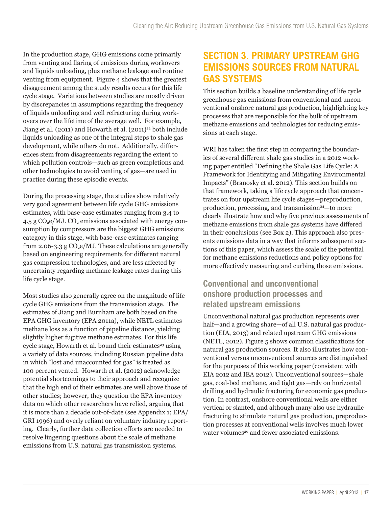In the production stage, GHG emissions come primarily from venting and flaring of emissions during workovers and liquids unloading, plus methane leakage and routine venting from equipment. Figure 4 shows that the greatest disagreement among the study results occurs for this life cycle stage. Variations between studies are mostly driven by discrepancies in assumptions regarding the frequency of liquids unloading and well refracturing during workovers over the lifetime of the average well. For example, Jiang et al. (2011) and Howarth et al. (2011)<sup>22</sup> both include liquids unloading as one of the integral steps to shale gas development, while others do not. Additionally, differences stem from disagreements regarding the extent to which pollution controls—such as green completions and other technologies to avoid venting of gas—are used in practice during these episodic events.

During the processing stage, the studies show relatively very good agreement between life cycle GHG emissions estimates, with base-case estimates ranging from 3.4 to 4.5 g  $CO<sub>2</sub>e/MJ$ .  $CO<sub>2</sub>$  emissions associated with energy consumption by compressors are the biggest GHG emissions category in this stage, with base-case estimates ranging from 2.06-3.3 g  $CO<sub>2</sub>e/MJ$ . These calculations are generally based on engineering requirements for different natural gas compression technologies, and are less affected by uncertainty regarding methane leakage rates during this life cycle stage.

Most studies also generally agree on the magnitude of life cycle GHG emissions from the transmission stage. The estimates of Jiang and Burnham are both based on the EPA GHG inventory (EPA 2011a), while NETL estimates methane loss as a function of pipeline distance, yielding slightly higher fugitive methane estimates. For this life cycle stage, Howarth et al. bound their estimates<sup>23</sup> using a variety of data sources, including Russian pipeline data in which "lost and unaccounted for gas" is treated as 100 percent vented. Howarth et al. (2012) acknowledge potential shortcomings to their approach and recognize that the high end of their estimates are well above those of other studies; however, they question the EPA inventory data on which other researchers have relied, arguing that it is more than a decade out-of-date (see Appendix 1; EPA/ GRI 1996) and overly reliant on voluntary industry reporting. Clearly, further data collection efforts are needed to resolve lingering questions about the scale of methane emissions from U.S. natural gas transmission systems.

## **SECTION 3. PRIMARY UPSTREAM GHG EMISSIONS SOURCES FROM NATURAL GAS SYSTEMS**

This section builds a baseline understanding of life cycle greenhouse gas emissions from conventional and unconventional onshore natural gas production, highlighting key processes that are responsible for the bulk of upstream methane emissions and technologies for reducing emissions at each stage.

WRI has taken the first step in comparing the boundaries of several different shale gas studies in a 2012 working paper entitled "Defining the Shale Gas Life Cycle: A Framework for Identifying and Mitigating Environmental Impacts" (Branosky et al. 2012). This section builds on that framework, taking a life cycle approach that concentrates on four upstream life cycle stages—preproduction, production, processing, and transmission<sup>24</sup>—to more clearly illustrate how and why five previous assessments of methane emissions from shale gas systems have differed in their conclusions (see Box 2). This approach also presents emissions data in a way that informs subsequent sections of this paper, which assess the scale of the potential for methane emissions reductions and policy options for more effectively measuring and curbing those emissions.

### **Conventional and unconventional onshore production processes and related upstream emissions**

Unconventional natural gas production represents over half—and a growing share—of all U.S. natural gas production (EIA, 2013) and related upstream GHG emissions (NETL, 2012). Figure 5 shows common classifications for natural gas production sources. It also illustrates how conventional versus unconventional sources are distinguished for the purposes of this working paper (consistent with EIA 2012 and IEA 2012). Unconventional sources—shale gas, coal-bed methane, and tight gas—rely on horizontal drilling and hydraulic fracturing for economic gas production. In contrast, onshore conventional wells are either vertical or slanted, and although many also use hydraulic fracturing to stimulate natural gas production, preproduction processes at conventional wells involves much lower water volumes<sup>26</sup> and fewer associated emissions.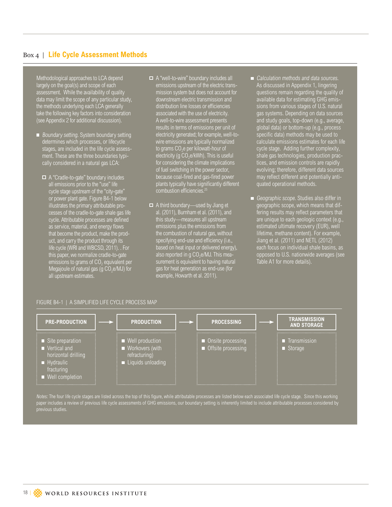### Box 4 | **Life Cycle Assessment Methods**

Methodological approaches to LCA depend largely on the goal(s) and scope of each assessment. While the availability of quality data may limit the scope of any particular study, the methods underlying each LCA generally take the following key factors into consideration (see Appendix 2 for additional discussion).

- Boundary setting. System boundary setting determines which processes, or lifecycle stages, are included in the life cycle assessment. These are the three boundaries typically considered in a natural gas LCA:
	- A "Cradle-to-gate" boundary includes all emissions prior to the "use" life cycle stage upstream of the "city-gate" or power plant gate. Figure B4-1 below illustrates the primary attributable processes of the cradle-to-gate shale gas life cycle. Attributable processes are defined as service, material, and energy flows that become the product, make the product, and carry the product through its life cycle (WRI and WBCSD, 2011). . For this paper, we normalize cradle-to-gate emissions to grams of  $CO<sub>2</sub>$  equivalent per Megajoule of natural gas (g  $CO<sub>2</sub>e/MJ$ ) for all upstream estimates.
- A "well-to-wire" boundary includes all emissions upstream of the electric transmission system but does not account for downstream electric transmission and distribution line losses or efficiencies associated with the use of electricity. A well-to-wire assessment presents results in terms of emissions per unit of electricity generated; for example, well-towire emissions are typically normalized to grams CO $_2$ e per kilowatt-hour of electricity (g  $CO<sub>2</sub>e/kWh$ ). This is useful for considering the climate implications of fuel switching in the power sector, because coal-fired and gas-fired power plants typically have significantly different combustion efficiencies.25
- $\Box$  A third boundary—used by Jiang et al. (2011), Burnham et al. (2011), and this study—measures all upstream emissions plus the emissions from the combustion of natural gas, without specifying end-use and efficiency (i.e., based on heat input or delivered energy), also reported in g  $CO<sub>2</sub>e/MJ$ . This measurement is equivalent to having natural gas for heat generation as end-use (for example, Howarth et al. 2011).
- Calculation methods and data sources. As discussed in Appendix 1, lingering questions remain regarding the quality of available data for estimating GHG emissions from various stages of U.S. natural gas systems. Depending on data sources and study goals, top-down (e.g., average, global data) or bottom-up (e.g., proces specific data) methods may be used to calculate emissions estimates for each life cycle stage. Adding further complexity, shale gas technologies, production practices, and emission controls are rapidly evolving; therefore, different data sources may reflect different and potentially antiquated operational methods.
- Geographic scope. Studies also differ in geographic scope, which means that differing results may reflect parameters that are unique to each geologic context (e.g., estimated ultimate recovery (EUR), well lifetime, methane content). For example, Jiang et al. (2011) and NETL (2012) each focus on individual shale basins, as opposed to U.S. nationwide averages (see Table A1 for more details).

#### FIGURE B4-1 | A SIMPLIFIED LIFE CYCLE PROCESS MAP

| <b>PRE-PRODUCTION</b>                                                                                                                  | <b>PRODUCTION</b>                                                                         | <b>PROCESSING</b>                       | <b>TRANSMISSION</b><br><b>AND STORAGE</b> |
|----------------------------------------------------------------------------------------------------------------------------------------|-------------------------------------------------------------------------------------------|-----------------------------------------|-------------------------------------------|
| $\blacksquare$ Site preparation<br>$\equiv$ Vertical and<br>horizontal drilling<br><b>Hydraulic</b><br>fracturing<br>■ Well completion | ■ Well production<br>$\blacksquare$ Workovers (with<br>refracturing)<br>Liquids unloading | Onsite processing<br>Offsite processing | <b>Transmission</b><br>■ Storage          |

Notes: The four life cycle stages are listed across the top of this figure, while attributable processes are listed below each associated life cycle stage. Since this working previous studies.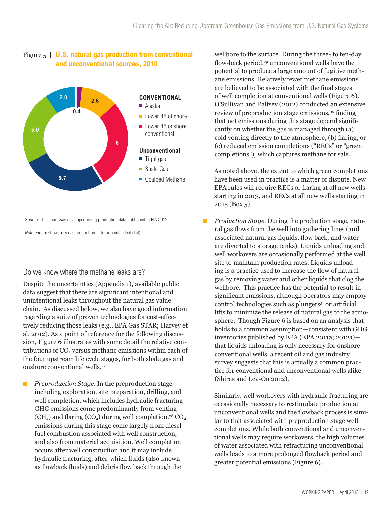

### Figure 5 | **U.S. natural gas production from conventional and unconventional sources, 2010**

Source: This chart was developed using production data published in EIA 2012.

Note: Figure shows dry gas production in trillion cubic feet (Tcf).

### Do we know where the methane leaks are?

Despite the uncertainties (Appendix 1), available public data suggest that there are significant intentional and unintentional leaks throughout the natural gas value chain. As discussed below, we also have good information regarding a suite of proven technologies for cost-effectively reducing those leaks (e.g., EPA Gas STAR; Harvey et al. 2012). As a point of reference for the following discussion, Figure 6 illustrates with some detail the relative contributions of  $CO<sub>2</sub>$  versus methane emissions within each of the four upstream life cycle stages, for both shale gas and onshore conventional wells.27

 *Preproduction Stage.* In the preproduction stage—  $\Box$ including exploration, site preparation, drilling, and well completion, which includes hydraulic fracturing— GHG emissions come predominantly from venting  $(CH<sub>4</sub>)$  and flaring  $(CO<sub>2</sub>)$  during well completion.<sup>28</sup>  $CO<sub>2</sub>$ emissions during this stage come largely from diesel fuel combustion associated with well construction, and also from material acquisition. Well completion occurs after well construction and it may include hydraulic fracturing, after-which fluids (also known as flowback fluids) and debris flow back through the

wellbore to the surface. During the three- to ten-day flow-back period,<sup>29</sup> unconventional wells have the potential to produce a large amount of fugitive methane emissions. Relatively fewer methane emissions are believed to be associated with the final stages of well completion at conventional wells (Figure 6). O'Sullivan and Paltsev (2012) conducted an extensive review of preproduction stage emissions,<sup>30</sup> finding that net emissions during this stage depend significantly on whether the gas is managed through (a) cold venting directly to the atmosphere, (b) flaring, or (c) reduced emission completions ("RECs" or "green completions"), which captures methane for sale.

 As noted above, the extent to which green completions have been used in practice is a matter of dispute. New EPA rules will require RECs or flaring at all new wells starting in 2013, and RECs at all new wells starting in 2015 (Box 5).

 *Production Stage.* During the production stage, natural gas flows from the well into gathering lines (and associated natural gas liquids, flow back, and water are diverted to storage tanks). Liquids unloading and well workovers are occasionally performed at the well site to maintain production rates. Liquids unloading is a practice used to increase the flow of natural gas by removing water and other liquids that clog the wellbore. This practice has the potential to result in significant emissions, although operators may employ  $control techniques such as plungers<sup>31</sup> or artificial$ lifts to minimize the release of natural gas to the atmosphere. Though Figure 6 is based on an analysis that holds to a common assumption—consistent with GHG inventories published by EPA (EPA 2011a; 2012a) that liquids unloading is only necessary for onshore conventional wells, a recent oil and gas industry survey suggests that this is actually a common practice for conventional and unconventional wells alike (Shires and Lev-On 2012).

 Similarly, well workovers with hydraulic fracturing are occasionally necessary to restimulate production at unconventional wells and the flowback process is similar to that associated with preproduction stage well completions. While both conventional and unconventional wells may require workovers, the high volumes of water associated with refracturing unconventional wells leads to a more prolonged flowback period and greater potential emissions (Figure 6).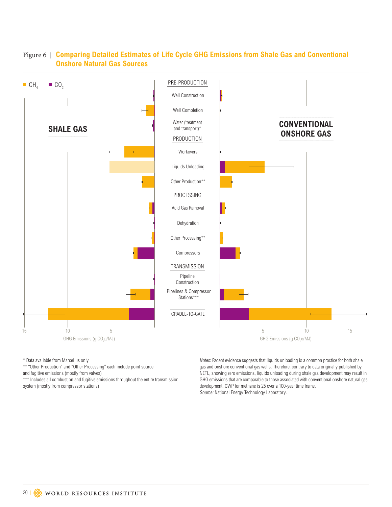

### Figure 6 | **Comparing Detailed Estimates of Life Cycle GHG Emissions from Shale Gas and Conventional Onshore Natural Gas Sources**

\* Data available from Marcellus only

\*\* "Other Production" and "Other Processing" each include point source

and fugitive emissions (mostly from valves)

\*\*\* Includes all combustion and fugitive emissions throughout the entire transmission system (mostly from compressor stations)

Notes: Recent evidence suggests that liquids unloading is a common practice for both shale gas and onshore conventional gas wells. Therefore, contrary to data originally published by NETL, showing zero emissions, liquids unloading during shale gas development may result in GHG emissions that are comparable to those associated with conventional onshore natural gas development. GWP for methane is 25 over a 100-year time frame. Source: National Energy Technology Laboratory.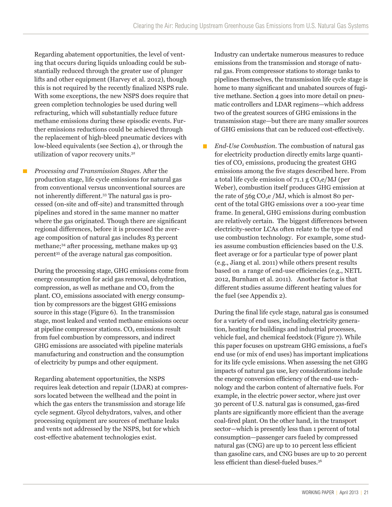Regarding abatement opportunities, the level of venting that occurs during liquids unloading could be substantially reduced through the greater use of plunger lifts and other equipment (Harvey et al. 2012), though this is not required by the recently finalized NSPS rule. With some exceptions, the new NSPS does require that green completion technologies be used during well refracturing, which will substantially reduce future methane emissions during these episodic events. Further emissions reductions could be achieved through the replacement of high-bleed pneumatic devices with low-bleed equivalents (see Section 4), or through the utilization of vapor recovery units.32

 *Processing and Transmission Stages.* After the **T** production stage, life cycle emissions for natural gas from conventional versus unconventional sources are not inherently different.33 The natural gas is processed (on-site and off-site) and transmitted through pipelines and stored in the same manner no matter where the gas originated. Though there are significant regional differences, before it is processed the average composition of natural gas includes 83 percent methane;34 after processing, methane makes up 93 percent35 of the average natural gas composition.

 During the processing stage, GHG emissions come from energy consumption for acid gas removal, dehydration, compression, as well as methane and  $CO<sub>2</sub>$  from the plant.  $CO<sub>2</sub>$  emissions associated with energy consumption by compressors are the biggest GHG emissions source in this stage (Figure 6). In the transmission stage, most leaked and vented methane emissions occur at pipeline compressor stations. CO<sub>2</sub> emissions result from fuel combustion by compressors, and indirect GHG emissions are associated with pipeline materials manufacturing and construction and the consumption of electricity by pumps and other equipment.

 Regarding abatement opportunities, the NSPS requires leak detection and repair (LDAR) at compressors located between the wellhead and the point in which the gas enters the transmission and storage life cycle segment. Glycol dehydrators, valves, and other processing equipment are sources of methane leaks and vents not addressed by the NSPS, but for which cost-effective abatement technologies exist.

 Industry can undertake numerous measures to reduce emissions from the transmission and storage of natural gas. From compressor stations to storage tanks to pipelines themselves, the transmission life cycle stage is home to many significant and unabated sources of fugitive methane. Section 4 goes into more detail on pneumatic controllers and LDAR regimens—which address two of the greatest sources of GHG emissions in the transmission stage—but there are many smaller sources of GHG emissions that can be reduced cost-effectively.

 *End-Use Combustion.* The combustion of natural gas  $\blacksquare$ for electricity production directly emits large quantities of CO<sub>2</sub> emissions, producing the greatest GHG emissions among the five stages described here. From a total life cycle emission of  $71.1 \text{ g } CO<sub>2</sub>e/MJ$  (per Weber), combustion itself produces GHG emission at the rate of  $56g \text{ CO}_2$ e /MJ, which is almost 80 percent of the total GHG emissions over a 100-year time frame. In general, GHG emissions during combustion are relatively certain. The biggest differences between electricity-sector LCAs often relate to the type of end use combustion technology. For example, some studies assume combustion efficiencies based on the U.S. fleet average or for a particular type of power plant (e.g., Jiang et al. 2011) while others present results based on a range of end-use efficiencies (e.g., NETL 2012, Burnham et al. 2011). Another factor is that different studies assume different heating values for the fuel (see Appendix 2).

 During the final life cycle stage, natural gas is consumed for a variety of end uses, including electricity generation, heating for buildings and industrial processes, vehicle fuel, and chemical feedstock (Figure 7). While this paper focuses on upstream GHG emissions, a fuel's end use (or mix of end uses) has important implications for its life cycle emissions. When assessing the net GHG impacts of natural gas use, key considerations include the energy conversion efficiency of the end-use technology and the carbon content of alternative fuels. For example, in the electric power sector, where just over 30 percent of U.S. natural gas is consumed, gas-fired plants are significantly more efficient than the average coal-fired plant. On the other hand, in the transport sector—which is presently less than 1 percent of total consumption—passenger cars fueled by compressed natural gas (CNG) are up to 10 percent less efficient than gasoline cars, and CNG buses are up to 20 percent less efficient than diesel-fueled buses.36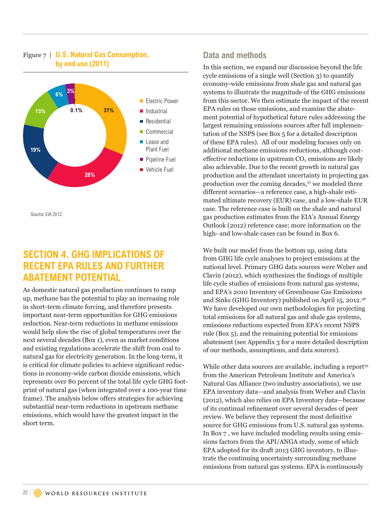### Figure 7 | **U.S. Natural Gas Consumption, by end use (2011)**



Source: EIA 2012.

## **SECTION 4. GHG IMPLICATIONS OF RECENT EPA RULES AND FURTHER ABATEMENT POTENTIAL**

As domestic natural gas production continues to ramp up, methane has the potential to play an increasing role in short-term climate forcing, and therefore presents important near-term opportunities for GHG emissions reduction. Near-term reductions in methane emissions would help slow the rise of global temperatures over the next several decades (Box 1), even as market conditions and existing regulations accelerate the shift from coal to natural gas for electricity generation. In the long-term, it is critical for climate policies to achieve significant reductions in economy-wide carbon dioxide emissions, which represents over 80 percent of the total life cycle GHG footprint of natural gas (when integrated over a 100-year time frame). The analysis below offers strategies for achieving substantial near-term reductions in upstream methane emissions, which would have the greatest impact in the short term.

### **Data and methods**

In this section, we expand our discussion beyond the life cycle emissions of a single well (Section 3) to quantify economy-wide emissions from shale gas and natural gas systems to illustrate the magnitude of the GHG emissions from this sector. We then estimate the impact of the recent EPA rules on those emissions, and examine the abatement potential of hypothetical future rules addressing the largest remaining emissions sources after full implementation of the NSPS (see Box 5 for a detailed description of these EPA rules). All of our modeling focuses only on additional methane emissions reductions, although costeffective reductions in upstream  $CO<sub>2</sub>$  emissions are likely also achievable. Due to the recent growth in natural gas production and the attendant uncertainty in projecting gas production over the coming decades,<sup>37</sup> we modeled three different scenarios—a reference case, a high-shale estimated ultimate recovery (EUR) case, and a low-shale EUR case. The reference case is built on the shale and natural gas production estimates from the EIA's Annual Energy Outlook (2012) reference case; more information on the high- and low-shale cases can be found in Box 6.

We built our model from the bottom up, using data from GHG life cycle analyses to project emissions at the national level. Primary GHG data sources were Weber and Clavin (2012), which synthesizes the findings of multiple life cycle studies of emissions from natural gas systems, and EPA's 2010 Inventory of Greenhouse Gas Emissions and Sinks (GHG Inventory) published on April 15, 2012.38 We have developed our own methodologies for projecting total emissions for all natural gas and shale gas systems, emissions reductions expected from EPA's recent NSPS rule (Box 5), and the remaining potential for emissions abatement (see Appendix 3 for a more detailed description of our methods, assumptions, and data sources).

While other data sources are available, including a report<sup>39</sup> from the American Petroleum Institute and America's Natural Gas Alliance (two industry associations), we use EPA inventory data—and analysis from Weber and Clavin (2012), which also relies on EPA Inventory data—because of its continual refinement over several decades of peer review. We believe they represent the most definitive source for GHG emissions from U.S. natural gas systems. In Box 7 , we have included modeling results using emissions factors from the API/ANGA study, some of which EPA adopted for its draft 2013 GHG inventory, to illustrate the continuing uncertainty surrounding methane emissions from natural gas systems. EPA is continuously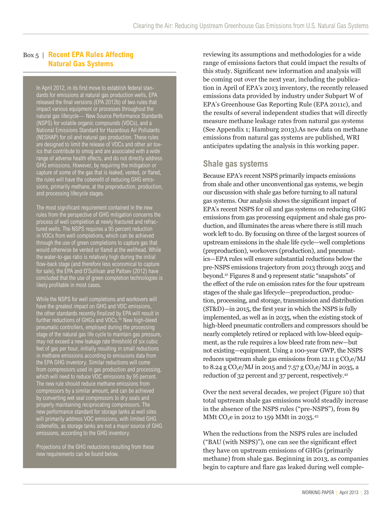### Box 5 | **Recent EPA Rules Affecting Natural Gas Systems**

In April 2012, in its first move to establish federal standards for emissions at natural gas production wells, EPA released the final versions (EPA 2012b) of two rules that impact various equipment or processes throughout the natural gas lifecycle— New Source Performance Standards (NSPS) for volatile organic compounds (VOCs), and a National Emissions Standard for Hazardous Air Pollutants (NESHAP) for oil and natural gas production. These rules are designed to limit the release of VOCs and other air toxics that contribute to smog and are associated with a wide range of adverse health effects, and do not directly address GHG emissions. However, by requiring the mitigation or capture of some of the gas that is leaked, vented, or flared, the rules will have the cobenefit of reducing GHG emissions, primarily methane, at the preproduction, production, and processing lifecycle stages.

The most significant requirement contained in the new rules from the perspective of GHG mitigation concerns the process of well completion at newly fractured and refractured wells. The NSPS requires a 95 percent reduction in VOCs from well completions, which can be achieved through the use of green completions to capture gas that would otherwise be vented or flared at the wellhead. While the water-to-gas ratio is relatively high during the initial flow-back stage (and therefore less economical to capture for sale), the EPA and O'Sullivan and Paltsev (2012) have concluded that the use of green completion technologies is likely profitable in most cases.

While the NSPS for well completions and workovers will have the greatest impact on GHG and VOC emissions the other standards recently finalized by EPA will result in further reductions of GHGs and VOCs.<sup>40</sup> New high-bleed pneumatic controllers, employed during the processing stage of the natural gas life cycle to maintain gas pressure, may not exceed a new leakage rate threshold of six cubic feet of gas per hour, initially resulting in small reductions in methane emissions according to emissions data from the EPA GHG inventory. Similar reductions will come from compressors used in gas production and processing, which will need to reduce VOC emissions by 95 percent. The new rule should reduce methane emissions from compressors by a similar amount, and can be achieved by converting wet seal compressors to dry seals and properly maintaining reciprocating compressors. The new performance standard for storage tanks at well sites will primarily address VOC emissions, with limited GHG cobenefits, as storage tanks are not a major source of GHG emissions, according to the GHG inventory.

Projections of the GHG reductions resulting from these new requirements can be found below.

reviewing its assumptions and methodologies for a wide range of emissions factors that could impact the results of this study. Significant new information and analysis will be coming out over the next year, including the publication in April of EPA's 2013 inventory, the recently released emissions data provided by industry under Subpart W of EPA's Greenhouse Gas Reporting Rule (EPA 2011c), and the results of several independent studies that will directly measure methane leakage rates from natural gas systems (See Appendix 1; Hamburg 2013).As new data on methane emissions from natural gas systems are published, WRI anticipates updating the analysis in this working paper.

### **Shale gas systems**

Because EPA's recent NSPS primarily impacts emissions from shale and other unconventional gas systems, we begin our discussion with shale gas before turning to all natural gas systems. Our analysis shows the significant impact of EPA's recent NSPS for oil and gas systems on reducing GHG emissions from gas processing equipment and shale gas production, and illuminates the areas where there is still much work left to do. By focusing on three of the largest sources of upstream emissions in the shale life cycle—well completions (preproduction), workovers (production), and pneumatics—EPA rules will ensure substantial reductions below the pre-NSPS emissions trajectory from 2013 through 2035 and beyond.41 Figures 8 and 9 represent static "snapshots" of the effect of the rule on emission rates for the four upstream stages of the shale gas lifecycle—preproduction, production, processing, and storage, transmission and distribution (ST&D)—in 2015, the first year in which the NSPS is fully implemented, as well as in 2035, when the existing stock of high-bleed pneumatic controllers and compressors should be nearly completely retired or replaced with low-bleed equipment, as the rule requires a low bleed rate from new—but not existing—equipment. Using a 100-year GWP, the NSPS reduces upstream shale gas emissions from  $12.11 \text{ g } CO<sub>2</sub>e/MJ$ to 8.24 g  $CO<sub>2</sub>e/MJ$  in 2015 and 7.57 g  $CO<sub>2</sub>e/MJ$  in 2035, a reduction of 32 percent and 37 percent, respectively.42

Over the next several decades, we project (Figure 10) that total upstream shale gas emissions would steadily increase in the absence of the NSPS rules ("pre-NSPS"), from 89 MMt CO<sub>2</sub>e in 2012 to 159 MMt in 2035.<sup>43</sup>

When the reductions from the NSPS rules are included ("BAU (with NSPS)"), one can see the significant effect they have on upstream emissions of GHGs (primarily methane) from shale gas. Beginning in 2013, as companies begin to capture and flare gas leaked during well comple-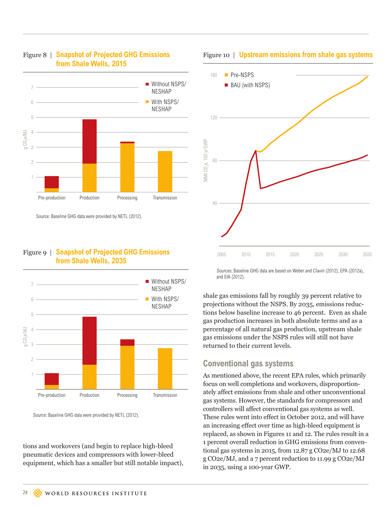

#### Figure 8 | **Snapshot of Projected GHG Emissions from Shale Wells, 2015**

Source: Baseline GHG data were provided by NETL (2012).

#### Figure 9 | **Snapshot of Projected GHG Emissions from Shale Wells, 2035**



Source: Baseline GHG data were provided by NETL (2012).

tions and workovers (and begin to replace high-bleed pneumatic devices and compressors with lower-bleed equipment, which has a smaller but still notable impact),

#### Figure 10 | **Upstream emissions from shale gas systems**



Sources: Baseline GHG data are based on Weber and Clavin (2012), EPA (2012a), and EIA (2012).

shale gas emissions fall by roughly 39 percent relative to projections without the NSPS. By 2035, emissions reductions below baseline increase to 46 percent. Even as shale gas production increases in both absolute terms and as a percentage of all natural gas production, upstream shale gas emissions under the NSPS rules will still not have returned to their current levels.

### **Conventional gas systems**

As mentioned above, the recent EPA rules, which primarily focus on well completions and workovers, disproportionately affect emissions from shale and other unconventional gas systems. However, the standards for compressors and controllers will affect conventional gas systems as well. These rules went into effect in October 2012, and will have an increasing effect over time as high-bleed equipment is replaced, as shown in Figures 11 and 12. The rules result in a 1 percent overall reduction in GHG emissions from conventional gas systems in 2015, from 12.87 g CO2e/MJ to 12.68 g CO2e/MJ, and a 7 percent reduction to 11.99 g CO2e/MJ in 2035, using a 100-year GWP.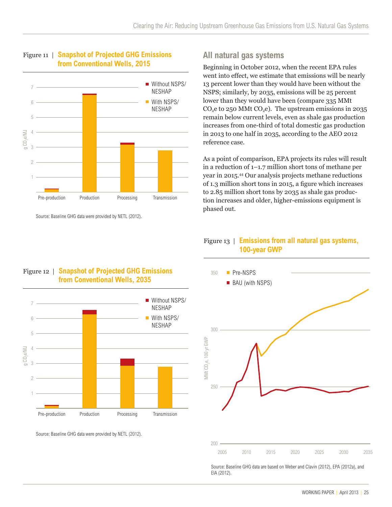

Figure 11 | **Snapshot of Projected GHG Emissions from Conventional Wells, 2015**

Source: Baseline GHG data were provided by NETL (2012).

### **All natural gas systems**

Beginning in October 2012, when the recent EPA rules went into effect, we estimate that emissions will be nearly 13 percent lower than they would have been without the NSPS; similarly, by 2035, emissions will be 25 percent lower than they would have been (compare 335 MMt  $CO<sub>2</sub>e$  to 250 MMt  $CO<sub>2</sub>e$ ). The upstream emissions in 2035 remain below current levels, even as shale gas production increases from one-third of total domestic gas production in 2013 to one half in 2035, according to the AEO 2012 reference case.

As a point of comparison, EPA projects its rules will result in a reduction of 1–1.7 million short tons of methane per year in 2015.44 Our analysis projects methane reductions of 1.3 million short tons in 2015, a figure which increases to 2.85 million short tons by 2035 as shale gas production increases and older, higher-emissions equipment is phased out.

### Figure 13 | **Emissions from all natural gas systems, 100-year GWP**



Source: Baseline GHG data were provided by NETL (2012).



Source: Baseline GHG data are based on Weber and Clavin (2012), EPA (2012a), and EIA (2012).

### Figure 12 | **Snapshot of Projected GHG Emissions from Conventional Wells, 2035**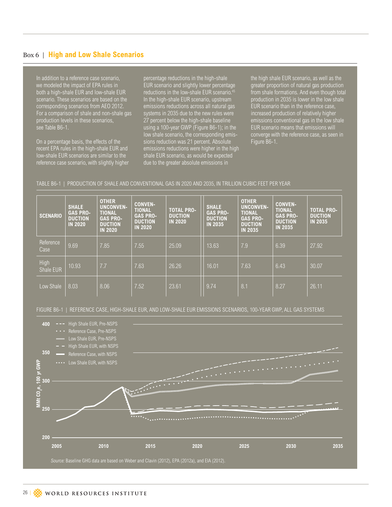#### Box 6 | **High and Low Shale Scenarios**

In addition to a reference case scenario, we modeled the impact of EPA rules in both a high-shale EUR and low-shale EUR scenario. These scenarios are based on the corresponding scenarios from AEO 2012. For a comparison of shale and non-shale gas production levels in these scenarios, see Table B6-1.

On a percentage basis, the effects of the recent EPA rules in the high-shale EUR and low-shale EUR scenarios are similar to the reference case scenario, with slightly higher percentage reductions in the high-shale EUR scenario and slightly lower percentage reductions in the low-shale EUR scenario.<sup>4</sup> In the high-shale EUR scenario, upstream emissions reductions across all natural gas systems in 2035 due to the new rules were 27 percent below the high-shale baseline using a 100-year GWP (Figure B6-1); in the low shale scenario, the corresponding emissions reduction was 21 percent. Absolute emissions reductions were higher in the high shale EUR scenario, as would be expected due to the greater absolute emissions in

the high shale EUR scenario, as well as the greater proportion of natural gas production from shale formations. And even though total production in 2035 is lower in the low shale EUR scenario than in the reference case, increased production of relatively higher emissions conventional gas in the low shale EUR scenario means that emissions will converge with the reference case, as seen in Figure B6-1.

#### TABLE B6-1 | PRODUCTION OF SHALE AND CONVENTIONAL GAS IN 2020 AND 2035, IN TRILLION CUBIC FEET PER YEAR

| <b>SCENARIO</b>   | <b>SHALE</b><br><b>GAS PRO-</b><br><b>DUCTION</b><br><b>IN 2020</b> | <b>OTHER</b><br><b>UNCONVEN-</b><br><b>TIONAL</b><br><b>GAS PRO-</b><br><b>DUCTION</b><br><b>IN 2020</b> | <b>CONVEN-</b><br><b>TIONAL</b><br><b>GAS PRO-</b><br><b>DUCTION</b><br><b>IN 2020</b> | <b>TOTAL PRO-</b><br><b>DUCTION</b><br><b>IN 2020</b> | <b>SHALE</b><br><b>GAS PRO-</b><br><b>DUCTION</b><br><b>IN 2035</b> | <b>OTHER</b><br><b>UNCONVEN-</b><br><b>TIONAL</b><br><b>GAS PRO-</b><br><b>DUCTION</b><br><b>IN 2035</b> | <b>CONVEN-</b><br><b>TIONAL</b><br><b>GAS PRO-</b><br><b>DUCTION</b><br><b>IN 2035</b> | <b>TOTAL PRO-</b><br><b>DUCTION</b><br><b>IN 2035</b> |
|-------------------|---------------------------------------------------------------------|----------------------------------------------------------------------------------------------------------|----------------------------------------------------------------------------------------|-------------------------------------------------------|---------------------------------------------------------------------|----------------------------------------------------------------------------------------------------------|----------------------------------------------------------------------------------------|-------------------------------------------------------|
| Reference<br>Case | 9.69                                                                | 7.85                                                                                                     | 7.55                                                                                   | 25.09                                                 | 13.63                                                               | 7.9                                                                                                      | 6.39                                                                                   | 27.92                                                 |
| High<br>Shale EUR | 10.93                                                               | 7.7                                                                                                      | 7.63                                                                                   | 26.26                                                 | 16.01                                                               | 7.63                                                                                                     | 6.43                                                                                   | 30.07                                                 |
| Low Shale         | 8.03                                                                | 8.06                                                                                                     | 7.52                                                                                   | 23.61                                                 | 9.74                                                                | 8.1                                                                                                      | 8.27                                                                                   | 26.11                                                 |

FIGURE B6-1 | REFERENCE CASE, HIGH-SHALE EUR, AND LOW-SHALE EUR EMISSIONS SCENARIOS, 100-YEAR GWP, ALL GAS SYSTEMS

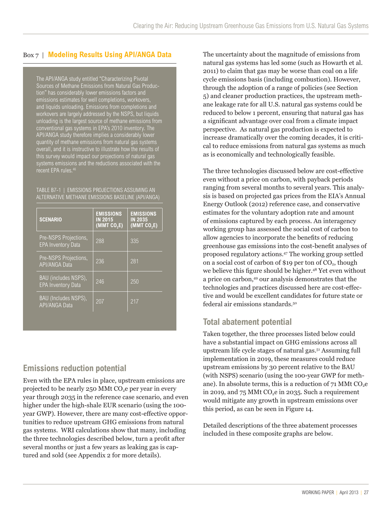### Box 7 | **Modeling Results Using API/ANGA Data**

The API/ANGA study entitled "Characterizing Pivotal Sources of Methane Emissions from Natural Gas Production" has considerably lower emissions factors and emissions estimates for well completions, workovers, and liquids unloading. Emissions from completions and workovers are largely addressed by the NSPS, but liquids unloading is the largest source of methane emissions from conventional gas systems in EPA's 2010 inventory. The API/ANGA study therefore implies a considerably lower quantity of methane emissions from natural gas systems overall, and it is instructive to illustrate how the results of this survey would impact our projections of natural gas systems emissions and the reductions associated with the recent EPA rules.46

TABLE B7-1 | EMISSIONS PROJECTIONS ASSUMING AN ALTERNATIVE METHANE EMISSIONS BASELINE (API/ANGA)

| <b>SCENARIO</b>                                    | <b>EMISSIONS</b><br><b>IN 2015</b><br>(MMT CO, E) | <b>EMISSIONS</b><br><b>IN 2035</b><br>(MMT CO, E) |
|----------------------------------------------------|---------------------------------------------------|---------------------------------------------------|
| Pre-NSPS Projections,<br><b>EPA Inventory Data</b> | 288                                               | 335                                               |
| Pre-NSPS Projections,<br><b>API/ANGA Data</b>      | 236                                               | 281                                               |
| BAU (includes NSPS),<br><b>EPA Inventory Data</b>  | 246                                               | 250                                               |
| BAU (Includes NSPS),<br><b>API/ANGA Data</b>       | 207                                               | 217                                               |

### **Emissions reduction potential**

Even with the EPA rules in place, upstream emissions are projected to be nearly  $250$  MMt CO<sub>2</sub>e per year in every year through 2035 in the reference case scenario, and even higher under the high-shale EUR scenario (using the 100 year GWP). However, there are many cost-effective opportunities to reduce upstream GHG emissions from natural gas systems. WRI calculations show that many, including the three technologies described below, turn a profit after several months or just a few years as leaking gas is captured and sold (see Appendix 2 for more details).

The uncertainty about the magnitude of emissions from natural gas systems has led some (such as Howarth et al. 2011) to claim that gas may be worse than coal on a life cycle emissions basis (including combustion). However, through the adoption of a range of policies (see Section 5) and cleaner production practices, the upstream methane leakage rate for all U.S. natural gas systems could be reduced to below 1 percent, ensuring that natural gas has a significant advantage over coal from a climate impact perspective. As natural gas production is expected to increase dramatically over the coming decades, it is critical to reduce emissions from natural gas systems as much as is economically and technologically feasible.

The three technologies discussed below are cost-effective even without a price on carbon, with payback periods ranging from several months to several years. This analysis is based on projected gas prices from the EIA's Annual Energy Outlook (2012) reference case, and conservative estimates for the voluntary adoption rate and amount of emissions captured by each process. An interagency working group has assessed the social cost of carbon to allow agencies to incorporate the benefits of reducing greenhouse gas emissions into the cost-benefit analyses of proposed regulatory actions.47 The working group settled on a social cost of carbon of \$19 per ton of  $CO<sub>2</sub>$ , though we believe this figure should be higher.<sup>48</sup> Yet even without a price on carbon,49 our analysis demonstrates that the technologies and practices discussed here are cost-effective and would be excellent candidates for future state or federal air emissions standards.50

### **Total abatement potential**

Taken together, the three processes listed below could have a substantial impact on GHG emissions across all upstream life cycle stages of natural gas.51 Assuming full implementation in 2019, these measures could reduce upstream emissions by 30 percent relative to the BAU (with NSPS) scenario (using the 100-year GWP for methane). In absolute terms, this is a reduction of  $71$  MMt CO<sub>2</sub>e in 2019, and 75 MMt  $CO<sub>2</sub>e$  in 2035. Such a requirement would mitigate any growth in upstream emissions over this period, as can be seen in Figure 14.

Detailed descriptions of the three abatement processes included in these composite graphs are below.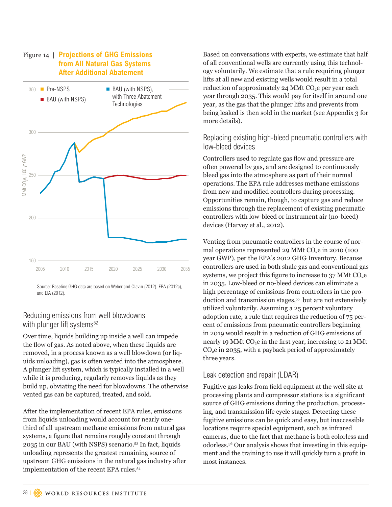

Source: Baseline GHG data are based on Weber and Clavin (2012), EPA (2012a), and EIA (2012).

### Reducing emissions from well blowdowns with plunger lift systems<sup>52</sup>

Over time, liquids building up inside a well can impede the flow of gas. As noted above, when these liquids are removed, in a process known as a well blowdown (or liquids unloading), gas is often vented into the atmosphere. A plunger lift system, which is typically installed in a well while it is producing, regularly removes liquids as they build up, obviating the need for blowdowns. The otherwise vented gas can be captured, treated, and sold.

After the implementation of recent EPA rules, emissions from liquids unloading would account for nearly onethird of all upstream methane emissions from natural gas systems, a figure that remains roughly constant through 2035 in our BAU (with NSPS) scenario.53 In fact, liquids unloading represents the greatest remaining source of upstream GHG emissions in the natural gas industry after implementation of the recent EPA rules.54

Based on conversations with experts, we estimate that half of all conventional wells are currently using this technology voluntarily. We estimate that a rule requiring plunger lifts at all new and existing wells would result in a total reduction of approximately 24 MMt  $CO<sub>2</sub>e$  per year each year through 2035. This would pay for itself in around one year, as the gas that the plunger lifts and prevents from being leaked is then sold in the market (see Appendix 3 for more details).

### Replacing existing high-bleed pneumatic controllers with low-bleed devices

Controllers used to regulate gas flow and pressure are often powered by gas, and are designed to continuously bleed gas into the atmosphere as part of their normal operations. The EPA rule addresses methane emissions from new and modified controllers during processing. Opportunities remain, though, to capture gas and reduce emissions through the replacement of existing pneumatic controllers with low-bleed or instrument air (no-bleed) devices (Harvey et al., 2012).

Venting from pneumatic controllers in the course of normal operations represented 29 MMt  $CO<sub>2</sub>e$  in 2010 (100 year GWP), per the EPA's 2012 GHG Inventory. Because controllers are used in both shale gas and conventional gas systems, we project this figure to increase to  $37$  MMt CO<sub>2</sub>e in 2035. Low-bleed or no-bleed devices can eliminate a high percentage of emissions from controllers in the production and transmission stages,<sup>55</sup> but are not extensively utilized voluntarily. Assuming a 25 percent voluntary adoption rate, a rule that requires the reduction of 75 percent of emissions from pneumatic controllers beginning in 2019 would result in a reduction of GHG emissions of nearly 19 MMt  $CO<sub>2</sub>e$  in the first year, increasing to 21 MMt  $CO<sub>2</sub>e$  in 2035, with a payback period of approximately three years.

#### Leak detection and repair (LDAR)

Fugitive gas leaks from field equipment at the well site at processing plants and compressor stations is a significant source of GHG emissions during the production, processing, and transmission life cycle stages. Detecting these fugitive emissions can be quick and easy, but inaccessible locations require special equipment, such as infrared cameras, due to the fact that methane is both colorless and odorless.56 Our analysis shows that investing in this equipment and the training to use it will quickly turn a profit in most instances.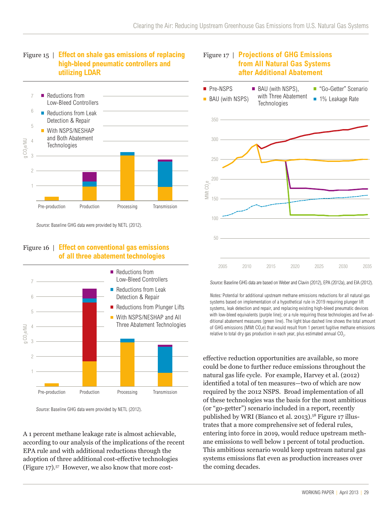Figure 17 | **Projections of GHG Emissions** 





Source: Baseline GHG data were provided by NETL (2012).

### Figure 16 | **Effect on conventional gas emissions of all three abatement technologies**



Source: Baseline GHG data were provided by NETL (2012).

A 1 percent methane leakage rate is almost achievable, according to our analysis of the implications of the recent EPA rule and with additional reductions through the adoption of three additional cost-effective technologies (Figure 17).57 However, we also know that more cost-



Source: Baseline GHG data are based on Weber and Clavin (2012), EPA (2012a), and EIA (2012).

Notes: Potential for additional upstream methane emissions reductions for all natural gas systems based on implementation of a hypothetical rule in 2019 requiring plunger lift systems, leak detection and repair, and replacing existing high-bleed pneumatic devices with low-bleed equivalents (purple line); or a rule requiring those technologies and five additional abatement measures (green line). The light blue dashed line shows the total amount of GHG emissions (MMt  $CO<sub>2</sub>e$ ) that would result from 1 percent fugitive methane emissions relative to total dry gas production in each year, plus estimated annual CO<sub>2</sub>.

effective reduction opportunities are available, so more could be done to further reduce emissions throughout the natural gas life cycle. For example, Harvey et al. (2012) identified a total of ten measures—two of which are now required by the 2012 NSPS. Broad implementation of all of these technologies was the basis for the most ambitious (or "go-getter") scenario included in a report, recently published by WRI (Bianco et al. 2013).58 Figure 17 illustrates that a more comprehensive set of federal rules, entering into force in 2019, would reduce upstream methane emissions to well below 1 percent of total production. This ambitious scenario would keep upstream natural gas systems emissions flat even as production increases over the coming decades.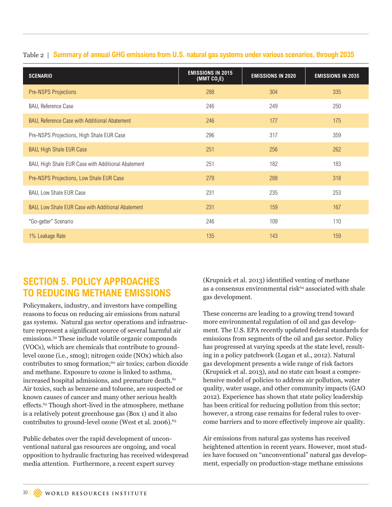|  | Table 2   Summary of annual GHG emissions from U.S. natural gas systems under various scenarios, through 2035 |  |  |  |  |
|--|---------------------------------------------------------------------------------------------------------------|--|--|--|--|
|  |                                                                                                               |  |  |  |  |

| <b>SCENARIO</b>                                    | <b>EMISSIONS IN 2015</b><br>(MMT $CO2E$ ) | <b>EMISSIONS IN 2020</b> | <b>EMISSIONS IN 2035</b> |
|----------------------------------------------------|-------------------------------------------|--------------------------|--------------------------|
| <b>Pre-NSPS Projections</b>                        | 288                                       | 304                      | 335                      |
| BAU, Reference Case                                | 246                                       | 249                      | 250                      |
| BAU, Reference Case with Additional Abatement      | 246                                       | 177                      | 175                      |
| Pre-NSPS Projections, High Shale EUR Case          | 296                                       | 317                      | 359                      |
| <b>BAU, High Shale EUR Case</b>                    | 251                                       | 256                      | 262                      |
| BAU, High Shale EUR Case with Additional Abatement | 251                                       | 182                      | 183                      |
| Pre-NSPS Projections, Low Shale EUR Case           | 278                                       | 288                      | 318                      |
| BAU, Low Shale EUR Case                            | 231                                       | 235                      | 253                      |
| BAU, Low Shale EUR Case with Additional Abatement  | 231                                       | 159                      | 167                      |
| "Go-getter" Scenario                               | 246                                       | 109                      | 110                      |
| 1% Leakage Rate                                    | 135                                       | 143                      | 159                      |

## **SECTION 5. POLICY APPROACHES TO REDUCING METHANE EMISSIONS**

Policymakers, industry, and investors have compelling reasons to focus on reducing air emissions from natural gas systems. Natural gas sector operations and infrastructure represent a significant source of several harmful air emissions.59 These include volatile organic compounds (VOCs), which are chemicals that contribute to groundlevel ozone (i.e., smog); nitrogen oxide (NOx) which also contributes to smog formation;<sup>60</sup> air toxics; carbon dioxide and methane. Exposure to ozone is linked to asthma, increased hospital admissions, and premature death.<sup>61</sup> Air toxics, such as benzene and toluene, are suspected or known causes of cancer and many other serious health effects.62 Though short-lived in the atmosphere, methane is a relatively potent greenhouse gas (Box 1) and it also contributes to ground-level ozone (West et al. 2006).<sup>63</sup>

Public debates over the rapid development of unconventional natural gas resources are ongoing, and vocal opposition to hydraulic fracturing has received widespread media attention. Furthermore, a recent expert survey

(Krupnick et al. 2013) identified venting of methane as a consensus environmental risk<sup>64</sup> associated with shale gas development.

These concerns are leading to a growing trend toward more environmental regulation of oil and gas development. The U.S. EPA recently updated federal standards for emissions from segments of the oil and gas sector. Policy has progressed at varying speeds at the state level, resulting in a policy patchwork (Logan et al., 2012). Natural gas development presents a wide range of risk factors (Krupnick et al. 2013), and no state can boast a comprehensive model of policies to address air pollution, water quality, water usage, and other community impacts (GAO 2012). Experience has shown that state policy leadership has been critical for reducing pollution from this sector; however, a strong case remains for federal rules to overcome barriers and to more effectively improve air quality.

Air emissions from natural gas systems has received heightened attention in recent years. However, most studies have focused on "unconventional" natural gas development, especially on production-stage methane emissions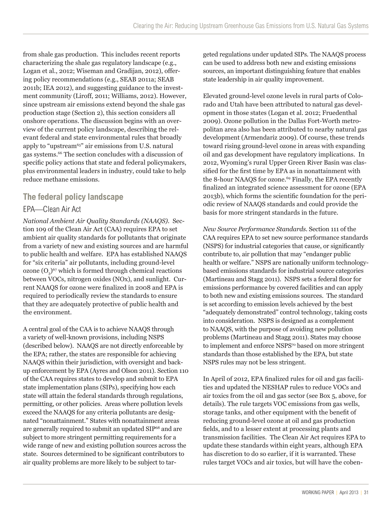from shale gas production. This includes recent reports characterizing the shale gas regulatory landscape (e.g., Logan et al., 2012; Wiseman and Gradijan, 2012), offering policy recommendations (e.g., SEAB 2011a; SEAB 2011b; IEA 2012), and suggesting guidance to the investment community (Liroff, 2011; Williams, 2012). However, since upstream air emissions extend beyond the shale gas production stage (Section 2), this section considers all onshore operations. The discussion begins with an overview of the current policy landscape, describing the relevant federal and state environmental rules that broadly apply to "upstream65" air emissions from U.S. natural gas systems.66 The section concludes with a discussion of specific policy actions that state and federal policymakers, plus environmental leaders in industry, could take to help reduce methane emissions.

## **The federal policy landscape** EPA—Clean Air Act

*National Ambient Air Quality Standards (NAAQS).* Section 109 of the Clean Air Act (CAA) requires EPA to set ambient air quality standards for pollutants that originate from a variety of new and existing sources and are harmful to public health and welfare. EPA has established NAAQS for "six criteria" air pollutants, including ground-level ozone  $(O_2)^{67}$  which is formed through chemical reactions between VOCs, nitrogen oxides (NOx), and sunlight. Current NAAQS for ozone were finalized in 2008 and EPA is required to periodically review the standards to ensure that they are adequately protective of public health and the environment.

A central goal of the CAA is to achieve NAAQS through a variety of well-known provisions, including NSPS (described below). NAAQS are not directly enforceable by the EPA; rather, the states are responsible for achieving NAAQS within their jurisdiction, with oversight and backup enforcement by EPA (Ayres and Olson 2011). Section 110 of the CAA requires states to develop and submit to EPA state implementation plans (SIPs), specifying how each state will attain the federal standards through regulations, permitting, or other policies. Areas where pollution levels exceed the NAAQS for any criteria pollutants are designated "nonattainment." States with nonattainment areas are generally required to submit an updated SIP68 and are subject to more stringent permitting requirements for a wide range of new and existing pollution sources across the state. Sources determined to be significant contributors to air quality problems are more likely to be subject to targeted regulations under updated SIPs. The NAAQS process can be used to address both new and existing emissions sources, an important distinguishing feature that enables state leadership in air quality improvement.

Elevated ground-level ozone levels in rural parts of Colorado and Utah have been attributed to natural gas development in those states (Logan et al. 2012; Fruedenthal 2009). Ozone pollution in the Dallas Fort-Worth metropolitan area also has been attributed to nearby natural gas development (Armendariz 2009). Of course, these trends toward rising ground-level ozone in areas with expanding oil and gas development have regulatory implications. In 2012, Wyoming's rural Upper Green River Basin was classified for the first time by EPA as in nonattainment with the 8-hour NAAQS for ozone.<sup>69</sup> Finally, the EPA recently finalized an integrated science assessment for ozone (EPA 2013b), which forms the scientific foundation for the periodic review of NAAQS standards and could provide the basis for more stringent standards in the future.

*New Source Performance Standards.* Section 111 of the CAA requires EPA to set new source performance standards (NSPS) for industrial categories that cause, or significantly contribute to, air pollution that may "endanger public health or welfare." NSPS are nationally uniform technologybased emissions standards for industrial source categories (Martineau and Stagg 2011). NSPS sets a federal floor for emissions performance by covered facilities and can apply to both new and existing emissions sources. The standard is set according to emission levels achieved by the best "adequately demonstrated" control technology, taking costs into consideration. NSPS is designed as a complement to NAAQS, with the purpose of avoiding new pollution problems (Martineau and Stagg 2011). States may choose to implement and enforce NSPS<sup>70</sup> based on more stringent standards than those established by the EPA, but state NSPS rules may not be less stringent.

In April of 2012, EPA finalized rules for oil and gas facilities and updated the NESHAP rules to reduce VOCs and air toxics from the oil and gas sector (see Box 5, above, for details). The rule targets VOC emissions from gas wells, storage tanks, and other equipment with the benefit of reducing ground-level ozone at oil and gas production fields, and to a lesser extent at processing plants and transmission facilities. The Clean Air Act requires EPA to update these standards within eight years, although EPA has discretion to do so earlier, if it is warranted. These rules target VOCs and air toxics, but will have the coben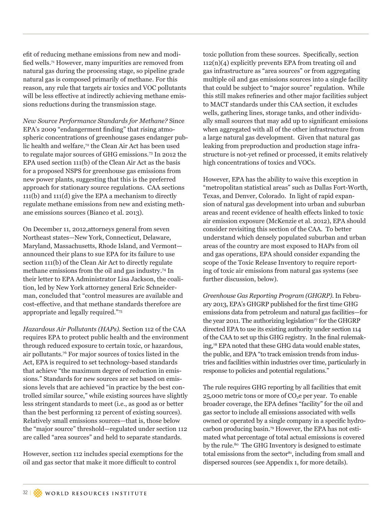efit of reducing methane emissions from new and modified wells.71 However, many impurities are removed from natural gas during the processing stage, so pipeline grade natural gas is composed primarily of methane. For this reason, any rule that targets air toxics and VOC pollutants will be less effective at indirectly achieving methane emissions reductions during the transmission stage.

*New Source Performance Standards for Methane?* Since EPA's 2009 "endangerment finding" that rising atmospheric concentrations of greenhouse gases endanger public health and welfare,<sup>72</sup> the Clean Air Act has been used to regulate major sources of GHG emissions.73 In 2012 the EPA used section 111(b) of the Clean Air Act as the basis for a proposed NSPS for greenhouse gas emissions from new power plants, suggesting that this is the preferred approach for stationary source regulations. CAA sections 111(b) and 111(d) give the EPA a mechanism to directly regulate methane emissions from new and existing methane emissions sources (Bianco et al. 2013).

On December 11, 2012,attorneys general from seven Northeast states—New York, Connecticut, Delaware, Maryland, Massachusetts, Rhode Island, and Vermont announced their plans to sue EPA for its failure to use section 111(b) of the Clean Air Act to directly regulate methane emissions from the oil and gas industry.74 In their letter to EPA Administrator Lisa Jackson, the coalition, led by New York attorney general Eric Schneiderman, concluded that "control measures are available and cost-effective, and that methane standards therefore are appropriate and legally required."75

*Hazardous Air Pollutants (HAPs).* Section 112 of the CAA requires EPA to protect public health and the environment through reduced exposure to certain toxic, or hazardous, air pollutants.76 For major sources of toxics listed in the Act, EPA is required to set technology-based standards that achieve "the maximum degree of reduction in emissions." Standards for new sources are set based on emissions levels that are achieved "in practice by the best controlled similar source," while existing sources have slightly less stringent standards to meet (i.e., as good as or better than the best performing 12 percent of existing sources). Relatively small emissions sources—that is, those below the "major source" threshold—regulated under section 112 are called "area sources" and held to separate standards.

However, section 112 includes special exemptions for the oil and gas sector that make it more difficult to control

toxic pollution from these sources. Specifically, section  $112(n)(4)$  explicitly prevents EPA from treating oil and gas infrastructure as "area sources" or from aggregating multiple oil and gas emissions sources into a single facility that could be subject to "major source" regulation. While this still makes refineries and other major facilities subject to MACT standards under this CAA section, it excludes wells, gathering lines, storage tanks, and other individually small sources that may add up to significant emissions when aggregated with all of the other infrastructure from a large natural gas development. Given that natural gas leaking from preproduction and production stage infrastructure is not-yet refined or processed, it emits relatively high concentrations of toxics and VOCs.

However, EPA has the ability to waive this exception in "metropolitan statistical areas" such as Dallas Fort-Worth, Texas, and Denver, Colorado. In light of rapid expansion of natural gas development into urban and suburban areas and recent evidence of health effects linked to toxic air emission exposure (McKenzie et al. 2012), EPA should consider revisiting this section of the CAA. To better understand which densely populated suburban and urban areas of the country are most exposed to HAPs from oil and gas operations, EPA should consider expanding the scope of the Toxic Release Inventory to require reporting of toxic air emissions from natural gas systems (see further discussion, below).

*Greenhouse Gas Reporting Program (GHGRP).* In February 2013, EPA's GHGRP published for the first time GHG emissions data from petroleum and natural gas facilities—for the year 2011. The authorizing legislation<sup>77</sup> for the GHGRP directed EPA to use its existing authority under section 114 of the CAA to set up this GHG registry. In the final rulemaking,78 EPA noted that these GHG data would enable states, the public, and EPA "to track emission trends from industries and facilities within industries over time, particularly in response to policies and potential regulations."

The rule requires GHG reporting by all facilities that emit 25,000 metric tons or more of  $CO<sub>2</sub>e$  per year. To enable broader coverage, the EPA defines "facility" for the oil and gas sector to include all emissions associated with wells owned or operated by a single company in a specific hydrocarbon producing basin.79 However, the EPA has not estimated what percentage of total actual emissions is covered by the rule.<sup>80</sup> The GHG Inventory is designed to estimate total emissions from the sector $s<sub>1</sub>$ , including from small and dispersed sources (see Appendix 1, for more details).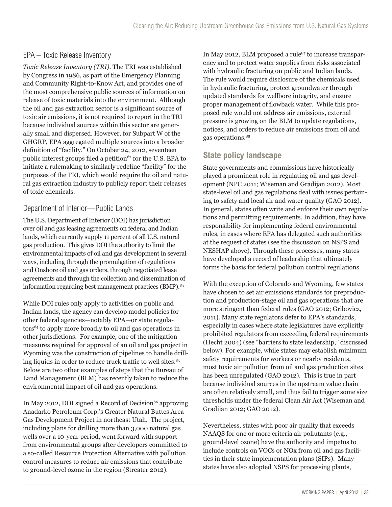### EPA – Toxic Release Inventory

*Toxic Release Inventory (TRI).* The TRI was established by Congress in 1986, as part of the Emergency Planning and Community Right-to-Know Act, and provides one of the most comprehensive public sources of information on release of toxic materials into the environment. Although the oil and gas extraction sector is a significant source of toxic air emissions, it is not required to report in the TRI because individual sources within this sector are generally small and dispersed. However, for Subpart W of the GHGRP, EPA aggregated multiple sources into a broader definition of "facility." On October 24, 2012, seventeen public interest groups filed a petition<sup>82</sup> for the U.S. EPA to initiate a rulemaking to similarly redefine "facility" for the purposes of the TRI, which would require the oil and natural gas extraction industry to publicly report their releases of toxic chemicals.

### Department of Interior—Public Lands

The U.S. Department of Interior (DOI) has jurisdiction over oil and gas leasing agreements on federal and Indian lands, which currently supply 11 percent of all U.S. natural gas production. This gives DOI the authority to limit the environmental impacts of oil and gas development in several ways, including through the promulgation of regulations and Onshore oil and gas orders, through negotiated lease agreements and through the collection and dissemination of information regarding best management practices (BMP).<sup>83</sup>

While DOI rules only apply to activities on public and Indian lands, the agency can develop model policies for other federal agencies—notably EPA—or state regulators84 to apply more broadly to oil and gas operations in other jurisdictions. For example, one of the mitigation measures required for approval of an oil and gas project in Wyoming was the construction of pipelines to handle drilling liquids in order to reduce truck traffic to well sites.<sup>85</sup> Below are two other examples of steps that the Bureau of Land Management (BLM) has recently taken to reduce the environmental impact of oil and gas operations.

In May 2012, DOI signed a Record of Decision<sup>86</sup> approving Anadarko Petroleum Corp.'s Greater Natural Buttes Area Gas Development Project in northeast Utah. The project, including plans for drilling more than 3,000 natural gas wells over a 10-year period, went forward with support from environmental groups after developers committed to a so-called Resource Protection Alternative with pollution control measures to reduce air emissions that contribute to ground-level ozone in the region (Streater 2012).

In May 2012, BLM proposed a rule<sup>87</sup> to increase transparency and to protect water supplies from risks associated with hydraulic fracturing on public and Indian lands. The rule would require disclosure of the chemicals used in hydraulic fracturing, protect groundwater through updated standards for wellbore integrity, and ensure proper management of flowback water. While this proposed rule would not address air emissions, external pressure is growing on the BLM to update regulations, notices, and orders to reduce air emissions from oil and gas operations.88

### **State policy landscape**

State governments and commissions have historically played a prominent role in regulating oil and gas development (NPC 2011; Wiseman and Gradijan 2012). Most state-level oil and gas regulations deal with issues pertaining to safety and local air and water quality (GAO 2012). In general, states often write and enforce their own regulations and permitting requirements. In addition, they have responsibility for implementing federal environmental rules, in cases where EPA has delegated such authorities at the request of states (see the discussion on NSPS and NESHAP above). Through these processes, many states have developed a record of leadership that ultimately forms the basis for federal pollution control regulations.

With the exception of Colorado and Wyoming, few states have chosen to set air emissions standards for preproduction and production-stage oil and gas operations that are more stringent than federal rules (GAO 2012; Gribovicz, 2011). Many state regulators defer to EPA's standards, especially in cases where state legislatures have explicitly prohibited regulators from exceeding federal requirements (Hecht 2004) (see "barriers to state leadership," discussed below). For example, while states may establish minimum safety requirements for workers or nearby residents, most toxic air pollution from oil and gas production sites has been unregulated (GAO 2012). This is true in part because individual sources in the upstream value chain are often relatively small, and thus fail to trigger some size thresholds under the federal Clean Air Act (Wiseman and Gradijan 2012; GAO 2012).

Nevertheless, states with poor air quality that exceeds NAAQS for one or more criteria air pollutants (e.g., ground-level ozone) have the authority and impetus to include controls on VOCs or NOx from oil and gas facilities in their state implementation plans (SIPs). Many states have also adopted NSPS for processing plants,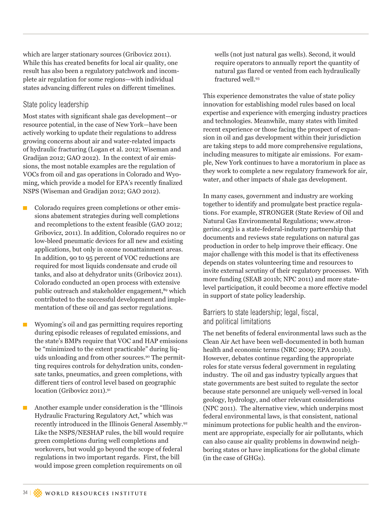which are larger stationary sources (Gribovicz 2011). While this has created benefits for local air quality, one result has also been a regulatory patchwork and incomplete air regulation for some regions—with individual states advancing different rules on different timelines.

#### State policy leadership

Most states with significant shale gas development—or resource potential, in the case of New York—have been actively working to update their regulations to address growing concerns about air and water-related impacts of hydraulic fracturing (Logan et al. 2012; Wiseman and Gradijan 2012; GAO 2012). In the context of air emissions, the most notable examples are the regulation of VOCs from oil and gas operations in Colorado and Wyoming, which provide a model for EPA's recently finalized NSPS (Wiseman and Gradijan 2012; GAO 2012).

- $\blacksquare$  Colorado requires green completions or other emissions abatement strategies during well completions and recompletions to the extent feasible (GAO 2012; Gribovicz, 2011). In addition, Colorado requires no or low-bleed pneumatic devices for all new and existing applications, but only in ozone nonattainment areas. In addition, 90 to 95 percent of VOC reductions are required for most liquids condensate and crude oil tanks, and also at dehydrator units (Gribovicz 2011). Colorado conducted an open process with extensive public outreach and stakeholder engagement,<sup>89</sup> which contributed to the successful development and implementation of these oil and gas sector regulations.
- Wyoming's oil and gas permitting requires reporting during episodic releases of regulated emissions, and the state's BMPs require that VOC and HAP emissions be "minimized to the extent practicable" during liquids unloading and from other sources.90 The permitting requires controls for dehydration units, condensate tanks, pneumatics, and green completions, with different tiers of control level based on geographic location (Gribovicz 2011).<sup>91</sup>

 Another example under consideration is the "Illinois Hydraulic Fracturing Regulatory Act," which was recently introduced in the Illinois General Assembly.92 Like the NSPS/NESHAP rules, the bill would require green completions during well completions and workovers, but would go beyond the scope of federal regulations in two important regards. First, the bill would impose green completion requirements on oil

wells (not just natural gas wells). Second, it would require operators to annually report the quantity of natural gas flared or vented from each hydraulically fractured well.93

This experience demonstrates the value of state policy innovation for establishing model rules based on local expertise and experience with emerging industry practices and technologies. Meanwhile, many states with limited recent experience or those facing the prospect of expansion in oil and gas development within their jurisdiction are taking steps to add more comprehensive regulations, including measures to mitigate air emissions. For example, New York continues to have a moratorium in place as they work to complete a new regulatory framework for air, water, and other impacts of shale gas development.

In many cases, government and industry are working together to identify and promulgate best practice regulations. For example, STRONGER (State Review of Oil and Natural Gas Environmental Regulations; www.strongerinc.org) is a state-federal-industry partnership that documents and reviews state regulations on natural gas production in order to help improve their efficacy. One major challenge with this model is that its effectiveness depends on states volunteering time and resources to invite external scrutiny of their regulatory processes. With more funding (SEAB 2011b; NPC 2011) and more statelevel participation, it could become a more effective model in support of state policy leadership.

### Barriers to state leadership; legal, fiscal, and political limitations

The net benefits of federal environmental laws such as the Clean Air Act have been well-documented in both human health and economic terms (NRC 2009; EPA 2011b). However, debates continue regarding the appropriate roles for state versus federal government in regulating industry. The oil and gas industry typically argues that state governments are best suited to regulate the sector because state personnel are uniquely well-versed in local geology, hydrology, and other relevant considerations (NPC 2011). The alternative view, which underpins most federal environmental laws, is that consistent, national minimum protections for public health and the environment are appropriate, especially for air pollutants, which can also cause air quality problems in downwind neighboring states or have implications for the global climate (in the case of GHGs).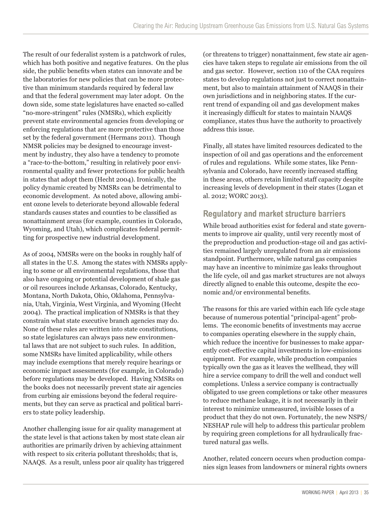The result of our federalist system is a patchwork of rules, which has both positive and negative features. On the plus side, the public benefits when states can innovate and be the laboratories for new policies that can be more protective than minimum standards required by federal law and that the federal government may later adopt. On the down side, some state legislatures have enacted so-called "no-more-stringent" rules (NMSRs), which explicitly prevent state environmental agencies from developing or enforcing regulations that are more protective than those set by the federal government (Hermans 2011). Though NMSR policies may be designed to encourage investment by industry, they also have a tendency to promote a "race-to-the-bottom," resulting in relatively poor environmental quality and fewer protections for public health in states that adopt them (Hecht 2004). Ironically, the policy dynamic created by NMSRs can be detrimental to economic development. As noted above, allowing ambient ozone levels to deteriorate beyond allowable federal standards causes states and counties to be classified as nonattainment areas (for example, counties in Colorado, Wyoming, and Utah), which complicates federal permitting for prospective new industrial development.

As of 2004, NMSRs were on the books in roughly half of all states in the U.S. Among the states with NMSRs applying to some or all environmental regulations, those that also have ongoing or potential development of shale gas or oil resources include Arkansas, Colorado, Kentucky, Montana, North Dakota, Ohio, Oklahoma, Pennsylvania, Utah, Virginia, West Virginia, and Wyoming (Hecht 2004). The practical implication of NMSRs is that they constrain what state executive branch agencies may do. None of these rules are written into state constitutions, so state legislatures can always pass new environmental laws that are not subject to such rules. In addition, some NMSRs have limited applicability, while others may include exemptions that merely require hearings or economic impact assessments (for example, in Colorado) before regulations may be developed. Having NMSRs on the books does not necessarily prevent state air agencies from curbing air emissions beyond the federal requirements, but they can serve as practical and political barriers to state policy leadership.

Another challenging issue for air quality management at the state level is that actions taken by most state clean air authorities are primarily driven by achieving attainment with respect to six criteria pollutant thresholds; that is, NAAQS. As a result, unless poor air quality has triggered

(or threatens to trigger) nonattainment, few state air agencies have taken steps to regulate air emissions from the oil and gas sector. However, section 110 of the CAA requires states to develop regulations not just to correct nonattainment, but also to maintain attainment of NAAQS in their own jurisdictions and in neighboring states. If the current trend of expanding oil and gas development makes it increasingly difficult for states to maintain NAAQS compliance, states thus have the authority to proactively address this issue.

Finally, all states have limited resources dedicated to the inspection of oil and gas operations and the enforcement of rules and regulations. While some states, like Pennsylvania and Colorado, have recently increased staffing in these areas, others retain limited staff capacity despite increasing levels of development in their states (Logan et al. 2012; WORC 2013).

### **Regulatory and market structure barriers**

While broad authorities exist for federal and state governments to improve air quality, until very recently most of the preproduction and production-stage oil and gas activities remained largely unregulated from an air emissions standpoint. Furthermore, while natural gas companies may have an incentive to minimize gas leaks throughout the life cycle, oil and gas market structures are not always directly aligned to enable this outcome, despite the economic and/or environmental benefits.

The reasons for this are varied within each life cycle stage because of numerous potential "principal-agent" problems. The economic benefits of investments may accrue to companies operating elsewhere in the supply chain, which reduce the incentive for businesses to make apparently cost-effective capital investments in low-emissions equipment. For example, while production companies typically own the gas as it leaves the wellhead, they will hire a service company to drill the well and conduct well completions. Unless a service company is contractually obligated to use green completions or take other measures to reduce methane leakage, it is not necessarily in their interest to minimize unmeasured, invisible losses of a product that they do not own. Fortunately, the new NSPS/ NESHAP rule will help to address this particular problem by requiring green completions for all hydraulically fractured natural gas wells.

Another, related concern occurs when production companies sign leases from landowners or mineral rights owners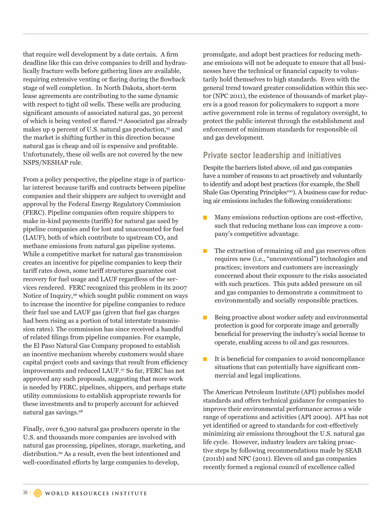that require well development by a date certain. A firm deadline like this can drive companies to drill and hydraulically fracture wells before gathering lines are available, requiring extensive venting or flaring during the flowback stage of well completion. In North Dakota, short-term lease agreements are contributing to the same dynamic with respect to tight oil wells. These wells are producing significant amounts of associated natural gas, 30 percent of which is being vented or flared.94 Associated gas already makes up 9 percent of U.S. natural gas production,<sup>95</sup> and the market is shifting further in this direction because natural gas is cheap and oil is expensive and profitable. Unfortunately, these oil wells are not covered by the new NSPS/NESHAP rule.

From a policy perspective, the pipeline stage is of particular interest because tariffs and contracts between pipeline companies and their shippers are subject to oversight and approval by the Federal Energy Regulatory Commission (FERC). Pipeline companies often require shippers to make in-kind payments (tariffs) for natural gas used by pipeline companies and for lost and unaccounted for fuel  $(LAUF)$ , both of which contribute to upstream  $CO<sub>2</sub>$  and methane emissions from natural gas pipeline systems. While a competitive market for natural gas transmission creates an incentive for pipeline companies to keep their tariff rates down, some tariff structures guarantee cost recovery for fuel usage and LAUF regardless of the services rendered. FERC recognized this problem in its 2007 Notice of Inquiry,96 which sought public comment on ways to increase the incentive for pipeline companies to reduce their fuel use and LAUF gas (given that fuel gas charges had been rising as a portion of total interstate transmission rates). The commission has since received a handful of related filings from pipeline companies. For example, the El Paso Natural Gas Company proposed to establish an incentive mechanism whereby customers would share capital project costs and savings that result from efficiency improvements and reduced LAUF.97 So far, FERC has not approved any such proposals, suggesting that more work is needed by FERC, pipelines, shippers, and perhaps state utility commissions to establish appropriate rewards for these investments and to properly account for achieved natural gas savings.98

Finally, over 6,300 natural gas producers operate in the U.S. and thousands more companies are involved with natural gas processing, pipelines, storage, marketing, and distribution.99 As a result, even the best intentioned and well-coordinated efforts by large companies to develop,

promulgate, and adopt best practices for reducing methane emissions will not be adequate to ensure that all businesses have the technical or financial capacity to voluntarily hold themselves to high standards. Even with the general trend toward greater consolidation within this sector (NPC 2011), the existence of thousands of market players is a good reason for policymakers to support a more active government role in terms of regulatory oversight, to protect the public interest through the establishment and enforcement of minimum standards for responsible oil and gas development.

## **Private sector leadership and initiatives**

Despite the barriers listed above, oil and gas companies have a number of reasons to act proactively and voluntarily to identify and adopt best practices (for example, the Shell Shale Gas Operating Principles<sup>100</sup>). A business case for reducing air emissions includes the following considerations:

- Many emissions reduction options are cost-effective, such that reducing methane loss can improve a company's competitive advantage.
- The extraction of remaining oil and gas reserves often requires new (i.e., "unconventional") technologies and practices; investors and customers are increasingly concerned about their exposure to the risks associated with such practices. This puts added pressure on oil and gas companies to demonstrate a commitment to environmentally and socially responsible practices.
- Being proactive about worker safety and environmental protection is good for corporate image and generally beneficial for preserving the industry's social license to operate, enabling access to oil and gas resources.
- It is beneficial for companies to avoid noncompliance situations that can potentially have significant commercial and legal implications.

The American Petroleum Institute (API) publishes model standards and offers technical guidance for companies to improve their environmental performance across a wide range of operations and activities (API 2009). API has not yet identified or agreed to standards for cost-effectively minimizing air emissions throughout the U.S. natural gas life cycle. However, industry leaders are taking proactive steps by following recommendations made by SEAB (2011b) and NPC (2011). Eleven oil and gas companies recently formed a regional council of excellence called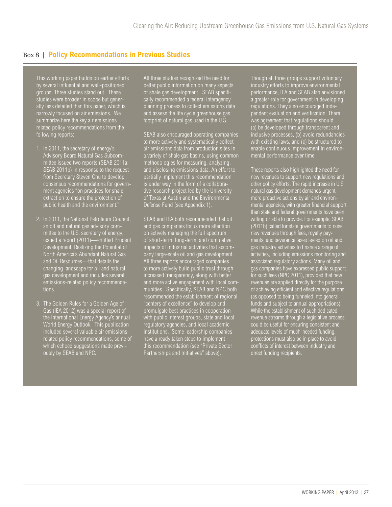### Box 8 | **Policy Recommendations in Previous Studies**

This working paper builds on earlier efforts by several influential and well-positioned groups. Three studies stand out. These studies were broader in scope but generally less detailed than this paper, which is narrowly focused on air emissions. We summarize here the key air emissions related policy recommendations from the following reports:

- 1. In 2011, the secretary of energy's Advisory Board Natural Gas Subcommittee issued two reports (SEAB 2011a; SEAB 2011b) in response to the request from Secretary Steven Chu to develop consensus recommendations for government agencies "on practices for shale extraction to ensure the protection of public health and the environment."
- 2. In 2011, the National Petroleum Council, an oil and natural gas advisory committee to the U.S. secretary of energy, issued a report (2011)—entitled Prudent Development; Realizing the Potential of North America's Abundant Natural Gas and Oil Resources—that details the changing landscape for oil and natural gas development and includes several emissions-related policy recommendations.
- 3. The Golden Rules for a Golden Age of Gas (IEA 2012) was a special report of the International Energy Agency's annual World Energy Outlook. This publication included several valuable air emissionsrelated policy recommendations, some of which echoed suggestions made previously by SEAB and NPC.

All three studies recognized the need for better public information on many aspects of shale gas development. SEAB specifically recommended a federal interagency planning process to collect emissions data and assess the life cycle greenhouse gas footprint of natural gas used in the U.S.

SEAB also encouraged operating companies to more actively and systematically collect air emissions data from production sites in a variety of shale gas basins, using common methodologies for measuring, analyzing, and disclosing emissions data. An effort to partially implement this recommendation is under way in the form of a collaborative research project led by the University of Texas at Austin and the Environmental Defense Fund (see Appendix 1).

SEAB and IEA both recommended that oil and gas companies focus more attention on actively managing the full spectrum of short-term, long-term, and cumulative impacts of industrial activities that accompany large-scale oil and gas development. All three reports encouraged companies to more actively build public trust through increased transparency, along with better and more active engagement with local communities. Specifically, SEAB and NPC both recommended the establishment of regional "centers of excellence" to develop and promulgate best practices in cooperation with public interest groups, state and local regulatory agencies, and local academic institutions. Some leadership companies have already taken steps to implement this recommendation (see "Private Sector Partnerships and Initiatives" above).

Though all three groups support voluntary industry efforts to improve environmental performance, IEA and SEAB also envisioned a greater role for government in developing regulations. They also encouraged independent evaluation and verification. There was agreement that regulations should (a) be developed through transparent and inclusive processes, (b) avoid redundancies with existing laws, and (c) be structured to enable continuous improvement in environmental performance over time.

These reports also highlighted the need for new revenues to support new regulations and other policy efforts. The rapid increase in U.S. natural gas development demands urgent, more proactive actions by air and environmental agencies, with greater financial support than state and federal governments have been willing or able to provide. For example, SEAB (2011b) called for state governments to raise new revenues through fees, royalty payments, and severance taxes levied on oil and gas industry activities to finance a range of activities, including emissions monitoring and associated regulatory actions. Many oil and gas companies have expressed public support for such fees (NPC 2011), provided that new revenues are applied directly for the purpose of achieving efficient and effective regulations (as opposed to being funneled into general funds and subject to annual appropriations). While the establishment of such dedicated revenue streams through a legislative process could be useful for ensuring consistent and adequate levels of much-needed funding, protections must also be in place to avoid conflicts of interest between industry and direct funding recipients.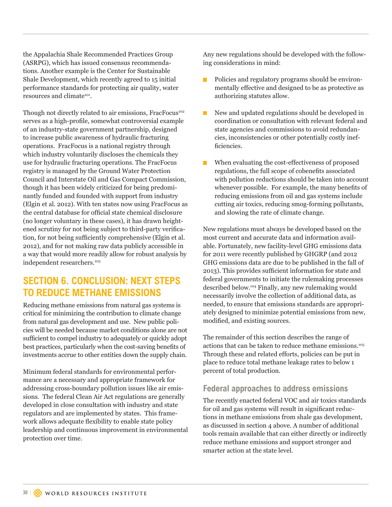the Appalachia Shale Recommended Practices Group (ASRPG), which has issued consensus recommendations. Another example is the Center for Sustainable Shale Development, which recently agreed to 15 initial performance standards for protecting air quality, water resources and climate<sup>101</sup>.

Though not directly related to air emissions, FracFocus<sup>102</sup> serves as a high-profile, somewhat controversial example of an industry-state government partnership, designed to increase public awareness of hydraulic fracturing operations. FracFocus is a national registry through which industry voluntarily discloses the chemicals they use for hydraulic fracturing operations. The FracFocus registry is managed by the Ground Water Protection Council and Interstate Oil and Gas Compact Commission, though it has been widely criticized for being predominantly funded and founded with support from industry (Elgin et al. 2012). With ten states now using FracFocus as the central database for official state chemical disclosure (no longer voluntary in these cases), it has drawn heightened scrutiny for not being subject to third-party verification, for not being sufficiently comprehensive (Elgin et al. 2012), and for not making raw data publicly accessible in a way that would more readily allow for robust analysis by independent researchers.<sup>103</sup>

## **SECTION 6. CONCLUSION: NEXT STEPS TO REDUCE METHANE EMISSIONS**

Reducing methane emissions from natural gas systems is critical for minimizing the contribution to climate change from natural gas development and use. New public policies will be needed because market conditions alone are not sufficient to compel industry to adequately or quickly adopt best practices, particularly when the cost-saving benefits of investments accrue to other entities down the supply chain.

Minimum federal standards for environmental performance are a necessary and appropriate framework for addressing cross-boundary pollution issues like air emissions. The federal Clean Air Act regulations are generally developed in close consultation with industry and state regulators and are implemented by states. This framework allows adequate flexibility to enable state policy leadership and continuous improvement in environmental protection over time.

Any new regulations should be developed with the following considerations in mind:

- **Policies and regulatory programs should be environ**mentally effective and designed to be as protective as authorizing statutes allow.
- New and updated regulations should be developed in coordination or consultation with relevant federal and state agencies and commissions to avoid redundancies, inconsistencies or other potentially costly inefficiencies.
- When evaluating the cost-effectiveness of proposed regulations, the full scope of cobenefits associated with pollution reductions should be taken into account whenever possible. For example, the many benefits of reducing emissions from oil and gas systems include cutting air toxics, reducing smog-forming pollutants, and slowing the rate of climate change.

New regulations must always be developed based on the most current and accurate data and information available. Fortunately, new facility-level GHG emissions data for 2011 were recently published by GHGRP (and 2012 GHG emissions data are due to be published in the fall of 2013). This provides sufficient information for state and federal governments to initiate the rulemaking processes described below.104 Finally, any new rulemaking would necessarily involve the collection of additional data, as needed, to ensure that emissions standards are appropriately designed to minimize potential emissions from new, modified, and existing sources.

The remainder of this section describes the range of actions that can be taken to reduce methane emissions.105 Through these and related efforts, policies can be put in place to reduce total methane leakage rates to below 1 percent of total production.

### **Federal approaches to address emissions**

The recently enacted federal VOC and air toxics standards for oil and gas systems will result in significant reductions in methane emissions from shale gas development, as discussed in section 4 above. A number of additional tools remain available that can either directly or indirectly reduce methane emissions and support stronger and smarter action at the state level.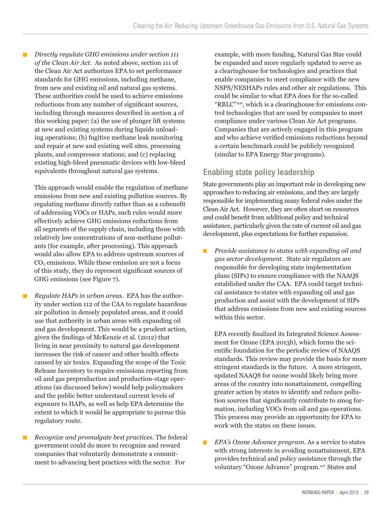*Directly regulate GHG emissions under section 111*   $\Box$ *of the Clean Air Act.* As noted above, section 111 of the Clean Air Act authorizes EPA to set performance standards for GHG emissions, including methane, from new and existing oil and natural gas systems. These authorities could be used to achieve emissions reductions from any number of significant sources, including through measures described in section 4 of this working paper: (a) the use of plunger lift systems at new and existing systems during liquids unloading operations; (b) fugitive methane leak monitoring and repair at new and existing well sites, processing plants, and compressor stations; and (c) replacing existing high-bleed pneumatic devices with low-bleed equivalents throughout natural gas systems.

 This approach would enable the regulation of methane emissions from new and existing pollution sources. By regulating methane directly rather than as a cobenefit of addressing VOCs or HAPs, such rules would more effectively achieve GHG emissions reductions from all segments of the supply chain, including those with relatively low concentrations of non-methane pollutants (for example, after processing). This approach would also allow EPA to address upstream sources of  $CO<sub>2</sub>$  emissions. While these emission are not a focus of this study, they do represent significant sources of GHG emissions (see Figure 7).

- *Regulate HAPs in urban areas.* EPA has the authority under section 112 of the CAA to regulate hazardous air pollution in densely populated areas, and it could use that authority in urban areas with expanding oil and gas development. This would be a prudent action, given the findings of McKenzie et al. (2012) that living in near proximity to natural gas development increases the risk of cancer and other health effects caused by air toxics. Expanding the scope of the Toxic Release Inventory to require emissions reporting from oil and gas preproduction and production-stage operations (as discussed below) would help policymakers and the public better understand current levels of exposure to HAPs, as well as help EPA determine the extent to which it would be appropriate to pursue this regulatory route.
- *Recognize and promulgate best practices.* The federal П government could do more to recognize and reward companies that voluntarily demonstrate a commitment to advancing best practices with the sector. For

example, with more funding, Natural Gas Star could be expanded and more regularly updated to serve as a clearinghouse for technologies and practices that enable companies to meet compliance with the new NSPS/NESHAPs rules and other air regulations. This could be similar to what EPA does for the so-called "RBLC"106, which is a clearinghouse for emissions control technologies that are used by companies to meet compliance under various Clean Air Act programs. Companies that are actively engaged in this program and who achieve verified emissions reductions beyond a certain benchmark could be publicly recognized (similar to EPA Energy Star programs).

## **Enabling state policy leadership**

State governments play an important role in developing new approaches to reducing air emissions, and they are largely responsible for implementing many federal rules under the Clean Air Act. However, they are often short on resources and could benefit from additional policy and technical assistance, particularly given the rate of current oil and gas development, plus expectations for further expansion.

 *Provide assistance to states with expanding oil and*   $\mathbf{r}$ *gas sector development.* State air regulators are responsible for developing state implementation plans (SIPs) to ensure compliance with the NAAQS established under the CAA. EPA could target technical assistance to states with expanding oil and gas production and assist with the development of SIPs that address emissions from new and existing sources within this sector.

 EPA recently finalized its Integrated Science Assessment for Ozone (EPA 2013b), which forms the scientific foundation for the periodic review of NAAQS standards. This review may provide the basis for more stringent standards in the future. A more stringent, updated NAAQS for ozone would likely bring more areas of the country into nonattainment, compelling greater action by states to identify and reduce pollution sources that significantly contribute to smog formation, including VOCs from oil and gas operations. This process may provide an opportunity for EPA to work with the states on these issues.

 *EPA's Ozone Advance program.* As a service to states with strong interests in avoiding nonattainment, EPA provides technical and policy assistance through the voluntary "Ozone Advance" program.107 States and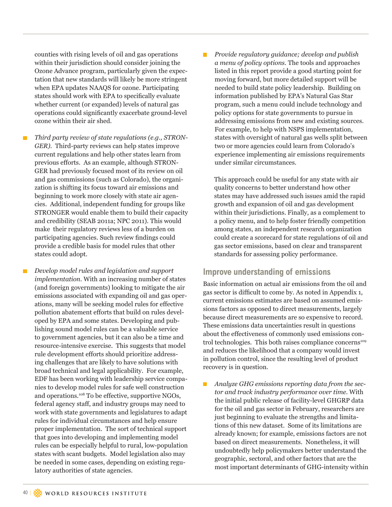counties with rising levels of oil and gas operations within their jurisdiction should consider joining the Ozone Advance program, particularly given the expectation that new standards will likely be more stringent when EPA updates NAAQS for ozone. Participating states should work with EPA to specifically evaluate whether current (or expanded) levels of natural gas operations could significantly exacerbate ground-level ozone within their air shed.

 *Third party review of state regulations (e.g., STRON-GER).* Third-party reviews can help states improve current regulations and help other states learn from previous efforts. As an example, although STRON-GER had previously focused most of its review on oil and gas commissions (such as Colorado), the organization is shifting its focus toward air emissions and beginning to work more closely with state air agencies. Additional, independent funding for groups like STRONGER would enable them to build their capacity and credibility (SEAB 2011a; NPC 2011). This would make their regulatory reviews less of a burden on participating agencies. Such review findings could provide a credible basis for model rules that other states could adopt.

п

 *Develop model rules and legislation and support implementation.* With an increasing number of states (and foreign governments) looking to mitigate the air emissions associated with expanding oil and gas operations, many will be seeking model rules for effective pollution abatement efforts that build on rules developed by EPA and some states. Developing and publishing sound model rules can be a valuable service to government agencies, but it can also be a time and resource-intensive exercise. This suggests that model rule development efforts should prioritize addressing challenges that are likely to have solutions with broad technical and legal applicability. For example, EDF has been working with leadership service companies to develop model rules for safe well construction and operations.108 To be effective, supportive NGOs, federal agency staff, and industry groups may need to work with state governments and legislatures to adapt rules for individual circumstances and help ensure proper implementation. The sort of technical support that goes into developing and implementing model rules can be especially helpful to rural, low-population states with scant budgets. Model legislation also may be needed in some cases, depending on existing regulatory authorities of state agencies.

 *Provide regulatory guidance; develop and publish a menu of policy options.* The tools and approaches listed in this report provide a good starting point for moving forward, but more detailed support will be needed to build state policy leadership. Building on information published by EPA's Natural Gas Star program, such a menu could include technology and policy options for state governments to pursue in addressing emissions from new and existing sources. For example, to help with NSPS implementation, states with oversight of natural gas wells split between two or more agencies could learn from Colorado's experience implementing air emissions requirements under similar circumstances.

 This approach could be useful for any state with air quality concerns to better understand how other states may have addressed such issues amid the rapid growth and expansion of oil and gas development within their jurisdictions. Finally, as a complement to a policy menu, and to help foster friendly competition among states, an independent research organization could create a scorecard for state regulations of oil and gas sector emissions, based on clear and transparent standards for assessing policy performance.

### **Improve understanding of emissions**

Basic information on actual air emissions from the oil and gas sector is difficult to come by. As noted in Appendix 1, current emissions estimates are based on assumed emissions factors as opposed to direct measurements, largely because direct measurements are so expensive to record. These emissions data uncertainties result in questions about the effectiveness of commonly used emissions control technologies. This both raises compliance concerns<sup>109</sup> and reduces the likelihood that a company would invest in pollution control, since the resulting level of product recovery is in question.

 *Analyze GHG emissions reporting data from the sector and track industry performance over time.* With the initial public release of facility-level GHGRP data for the oil and gas sector in February, researchers are just beginning to evaluate the strengths and limitations of this new dataset. Some of its limitations are already known; for example, emissions factors are not based on direct measurements. Nonetheless, it will undoubtedly help policymakers better understand the geographic, sectoral, and other factors that are the most important determinants of GHG-intensity within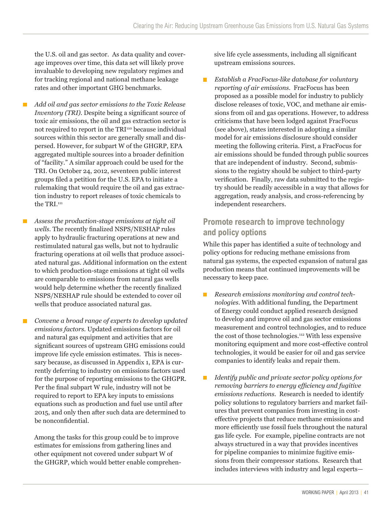the U.S. oil and gas sector. As data quality and coverage improves over time, this data set will likely prove invaluable to developing new regulatory regimes and for tracking regional and national methane leakage rates and other important GHG benchmarks.

- *Add oil and gas sector emissions to the Toxic Release Inventory (TRI).* Despite being a significant source of toxic air emissions, the oil and gas extraction sector is not required to report in the TRI<sup>110</sup> because individual sources within this sector are generally small and dispersed. However, for subpart W of the GHGRP, EPA aggregated multiple sources into a broader definition of "facility." A similar approach could be used for the TRI. On October 24, 2012, seventeen public interest groups filed a petition for the U.S. EPA to initiate a rulemaking that would require the oil and gas extraction industry to report releases of toxic chemicals to the TRI.<sup>111</sup>
- *Assess the production-stage emissions at tight oil wells.* The recently finalized NSPS/NESHAP rules apply to hydraulic fracturing operations at new and restimulated natural gas wells, but not to hydraulic fracturing operations at oil wells that produce associated natural gas. Additional information on the extent to which production-stage emissions at tight oil wells are comparable to emissions from natural gas wells would help determine whether the recently finalized NSPS/NESHAP rule should be extended to cover oil wells that produce associated natural gas.
- п *Convene a broad range of experts to develop updated emissions factors.* Updated emissions factors for oil and natural gas equipment and activities that are significant sources of upstream GHG emissions could improve life cycle emission estimates. This is necessary because, as discussed in Appendix 1, EPA is currently deferring to industry on emissions factors used for the purpose of reporting emissions to the GHGPR. Per the final subpart W rule, industry will not be required to report to EPA key inputs to emissions equations such as production and fuel use until after 2015, and only then after such data are determined to be nonconfidential.

 Among the tasks for this group could be to improve estimates for emissions from gathering lines and other equipment not covered under subpart W of the GHGRP, which would better enable comprehensive life cycle assessments, including all significant upstream emissions sources.

 *Establish a FracFocus-like database for voluntary reporting of air emissions.* FracFocus has been proposed as a possible model for industry to publicly disclose releases of toxic, VOC, and methane air emissions from oil and gas operations. However, to address criticisms that have been lodged against FracFocus (see above), states interested in adopting a similar model for air emissions disclosure should consider meeting the following criteria. First, a FracFocus for air emissions should be funded through public sources that are independent of industry. Second, submissions to the registry should be subject to third-party verification. Finally, raw data submitted to the registry should be readily accessible in a way that allows for aggregation, ready analysis, and cross-referencing by independent researchers.

### **Promote research to improve technology and policy options**

While this paper has identified a suite of technology and policy options for reducing methane emissions from natural gas systems, the expected expansion of natural gas production means that continued improvements will be necessary to keep pace.

- $\blacksquare$  *Research emissions monitoring and control technologies.* With additional funding, the Department of Energy could conduct applied research designed to develop and improve oil and gas sector emissions measurement and control technologies, and to reduce the cost of those technologies.112 With less expensive monitoring equipment and more cost-effective control technologies, it would be easier for oil and gas service companies to identify leaks and repair them.
- *Identify public and private sector policy options for*   $\blacksquare$ *removing barriers to energy efficiency and fugitive emissions reductions.* Research is needed to identify policy solutions to regulatory barriers and market failures that prevent companies from investing in costeffective projects that reduce methane emissions and more efficiently use fossil fuels throughout the natural gas life cycle. For example, pipeline contracts are not always structured in a way that provides incentives for pipeline companies to minimize fugitive emissions from their compressor stations. Research that includes interviews with industry and legal experts—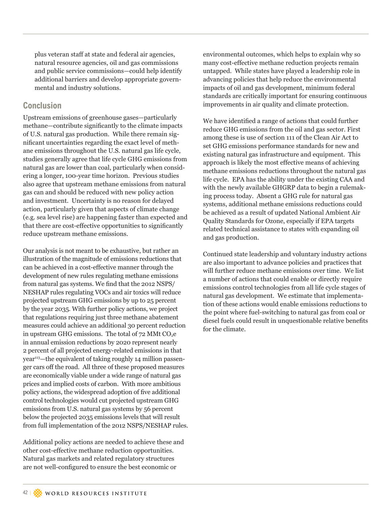plus veteran staff at state and federal air agencies, natural resource agencies, oil and gas commissions and public service commissions—could help identify additional barriers and develop appropriate governmental and industry solutions.

### **Conclusion**

Upstream emissions of greenhouse gases—particularly methane—contribute significantly to the climate impacts of U.S. natural gas production. While there remain significant uncertainties regarding the exact level of methane emissions throughout the U.S. natural gas life cycle, studies generally agree that life cycle GHG emissions from natural gas are lower than coal, particularly when considering a longer, 100-year time horizon. Previous studies also agree that upstream methane emissions from natural gas can and should be reduced with new policy action and investment. Uncertainty is no reason for delayed action, particularly given that aspects of climate change (e.g. sea level rise) are happening faster than expected and that there are cost-effective opportunities to significantly reduce upstream methane emissions.

Our analysis is not meant to be exhaustive, but rather an illustration of the magnitude of emissions reductions that can be achieved in a cost-effective manner through the development of new rules regulating methane emissions from natural gas systems. We find that the 2012 NSPS/ NESHAP rules regulating VOCs and air toxics will reduce projected upstream GHG emissions by up to 25 percent by the year 2035. With further policy actions, we project that regulations requiring just three methane abatement measures could achieve an additional 30 percent reduction in upstream GHG emissions. The total of  $72$  MMt CO<sub>2</sub>e in annual emission reductions by 2020 represent nearly 2 percent of all projected energy-related emissions in that year<sup>113</sup>—the equivalent of taking roughly 14 million passenger cars off the road. All three of these proposed measures are economically viable under a wide range of natural gas prices and implied costs of carbon. With more ambitious policy actions, the widespread adoption of five additional control technologies would cut projected upstream GHG emissions from U.S. natural gas systems by 56 percent below the projected 2035 emissions levels that will result from full implementation of the 2012 NSPS/NESHAP rules.

Additional policy actions are needed to achieve these and other cost-effective methane reduction opportunities. Natural gas markets and related regulatory structures are not well-configured to ensure the best economic or

environmental outcomes, which helps to explain why so many cost-effective methane reduction projects remain untapped. While states have played a leadership role in advancing policies that help reduce the environmental impacts of oil and gas development, minimum federal standards are critically important for ensuring continuous improvements in air quality and climate protection.

We have identified a range of actions that could further reduce GHG emissions from the oil and gas sector. First among these is use of section 111 of the Clean Air Act to set GHG emissions performance standards for new and existing natural gas infrastructure and equipment. This approach is likely the most effective means of achieving methane emissions reductions throughout the natural gas life cycle. EPA has the ability under the existing CAA and with the newly available GHGRP data to begin a rulemaking process today. Absent a GHG rule for natural gas systems, additional methane emissions reductions could be achieved as a result of updated National Ambient Air Quality Standards for Ozone, especially if EPA targets related technical assistance to states with expanding oil and gas production.

Continued state leadership and voluntary industry actions are also important to advance policies and practices that will further reduce methane emissions over time. We list a number of actions that could enable or directly require emissions control technologies from all life cycle stages of natural gas development. We estimate that implementation of these actions would enable emissions reductions to the point where fuel-switching to natural gas from coal or diesel fuels could result in unquestionable relative benefits for the climate.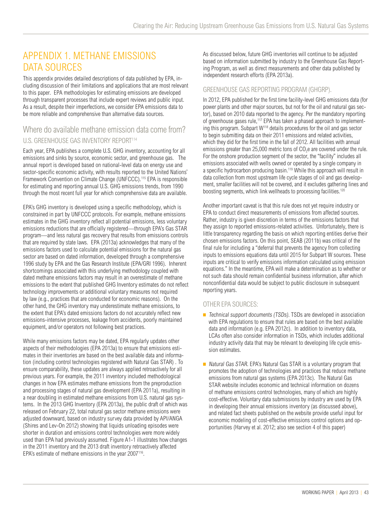## APPENDIX 1. METHANE EMISSIONS DATA SOURCES

This appendix provides detailed descriptions of data published by EPA, including discussion of their limitations and applications that are most relevant to this paper. EPA methodologies for estimating emissions are developed through transparent processes that include expert reviews and public input. As a result, despite their imperfections, we consider EPA emissions data to be more reliable and comprehensive than alternative data sources.

### Where do available methane emission data come from? U.S. GREENHOUSE GAS INVENTORY REPORT114

Each year, EPA publishes a complete U.S. GHG inventory, accounting for all emissions and sinks by source, economic sector, and greenhouse gas. The annual report is developed based on national-level data on energy use and sector-specific economic activity, with results reported to the United Nations' Framework Convention on Climate Change (UNFCCC).<sup>115</sup> EPA is responsible for estimating and reporting annual U.S. GHG emissions trends, from 1990 through the most recent full year for which comprehensive data are available.

EPA's GHG inventory is developed using a specific methodology, which is constrained in part by UNFCCC protocols. For example, methane emissions estimates in the GHG inventory reflect all potential emissions, less voluntary emissions reductions that are officially registered—through EPA's Gas STAR program—and less natural gas recovery that results from emissions controls that are required by state laws. EPA (2013a) acknowledges that many of the emissions factors used to calculate potential emissions for the natural gas sector are based on dated information, developed through a comprehensive 1996 study by EPA and the Gas Research Institute (EPA/GRI 1996). Inherent shortcomings associated with this underlying methodology coupled with dated methane emissions factors may result in an overestimate of methane emissions to the extent that published GHG Inventory estimates do not reflect technology improvements or additional voluntary measures not required by law (e.g., practices that are conducted for economic reasons). On the other hand, the GHG inventory may underestimate methane emissions, to the extent that EPA's dated emissions factors do not accurately reflect new emissions-intensive processes, leakage from accidents, poorly maintained equipment, and/or operators not following best practices.

While many emissions factors may be dated, EPA regularly updates other aspects of their methodologies (EPA 2013a) to ensure that emissions estimates in their inventories are based on the best available data and information (including control technologies registered with Natural Gas STAR) . To ensure comparability, these updates are always applied retroactively for all previous years. For example, the 2011 inventory included methodological changes in how EPA estimates methane emissions from the preproduction and processing stages of natural gas development (EPA 2011a), resulting in a near doubling in estimated methane emissions from U.S. natural gas systems. In the 2013 GHG Inventory (EPA 2013a), the public draft of which was released on February 22, total natural gas sector methane emissions were adjusted downward, based on industry survey data provided by API/ANGA (Shires and Lev-On 2012) showing that liquids unloading episodes were shorter in duration and emissions control technologies were more widely used than EPA had previously assumed. Figure A1-1 illustrates how changes in the 2011 inventory and the 2013 draft inventory retroactively affected EPA's estimate of methane emissions in the year 2007116.

As discussed below, future GHG inventories will continue to be adjusted based on information submitted by industry to the Greenhouse Gas Reporting Program, as well as direct measurements and other data published by independent research efforts (EPA 2013a).

#### GREENHOUSE GAS REPORTING PROGRAM (GHGRP).

In 2012, EPA published for the first time facility-level GHG emissions data (for power plants and other major sources, but not for the oil and natural gas sector), based on 2010 data reported to the agency. Per the mandatory reporting of greenhouse gases rule,<sup>117</sup> EPA has taken a phased approach to implementing this program. Subpart W118 details procedures for the oil and gas sector to begin submitting data on their 2011 emissions and related activities, which they did for the first time in the fall of 2012. All facilities with annual emissions greater than 25,000 metric tons of  $CO<sub>2</sub>e$  are covered under the rule. For the onshore production segment of the sector, the "facility" includes all emissions associated with wells owned or operated by a single company in a specific hydrocarbon producing basin.119 While this approach will result in data collection from most upstream life cycle stages of oil and gas development, smaller facilities will not be covered, and it excludes gathering lines and boosting segments, which link wellheads to processing facilities.<sup>120</sup>

Another important caveat is that this rule does not yet require industry or EPA to conduct direct measurements of emissions from affected sources. Rather, industry is given discretion in terms of the emissions factors that they assign to reported emissions-related activities. Unfortunately, there is little transparency regarding the basis on which reporting entities derive their chosen emissions factors. On this point, SEAB (2011b) was critical of the final rule for including a "deferral that prevents the agency from collecting inputs to emissions equations data until 2015 for Subpart W sources. These inputs are critical to verify emissions information calculated using emission equations." In the meantime, EPA will make a determination as to whether or not such data should remain confidential business information, after which nonconfidential data would be subject to public disclosure in subsequent reporting years.

#### OTHER EPA SOURCES:

- $\blacksquare$  Technical support documents (TSDs). TSDs are developed in association with EPA regulations to ensure that rules are based on the best available data and information (e.g. EPA 2012c). In addition to inventory data, LCAs often also consider information in TSDs, which includes additional industry activity data that may be relevant to developing life cycle emission estimates.
- Natural Gas STAR. EPA's Natural Gas STAR is a voluntary program that promotes the adoption of technologies and practices that reduce methane emissions from natural gas systems (EPA 2013c). The Natural Gas STAR website includes economic and technical information on dozens of methane emissions control technologies, many of which are highly cost-effective. Voluntary data submissions by industry are used by EPA in developing their annual emissions inventory (as discussed above), and related fact sheets published on the website provide useful input for economic modeling of cost-effective emissions control options and opportunities (Harvey et al. 2012; also see section 4 of this paper)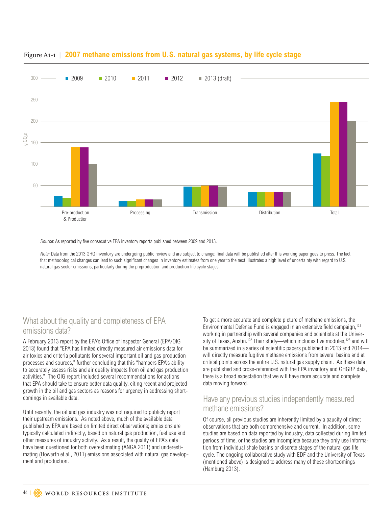

### Figure A1-1 | **2007 methane emissions from U.S. natural gas systems, by life cycle stage**

Source: As reported by five consecutive EPA inventory reports published between 2009 and 2013.

Note: Data from the 2013 GHG inventory are undergoing public review and are subject to change; final data will be published after this working paper goes to press. The fact that methodological changes can lead to such significant changes in inventory estimates from one year to the next illustrates a high level of uncertainty with regard to U.S. natural gas sector emissions, particularly during the preproduction and production life cycle stages.

### What about the quality and completeness of EPA emissions data?

A February 2013 report by the EPA's Office of Inspector General (EPA/OIG 2013) found that "EPA has limited directly measured air emissions data for air toxics and criteria pollutants for several important oil and gas production processes and sources," further concluding that this "hampers EPA's ability to accurately assess risks and air quality impacts from oil and gas production activities." The OIG report included several recommendations for actions that EPA should take to ensure better data quality, citing recent and projected growth in the oil and gas sectors as reasons for urgency in addressing shortcomings in available data.

Until recently, the oil and gas industry was not required to publicly report their upstream emissions. As noted above, much of the available data published by EPA are based on limited direct observations; emissions are typically calculated indirectly, based on natural gas production, fuel use and other measures of industry activity. As a result, the quality of EPA's data have been questioned for both overestimating (ANGA 2011) and underestimating (Howarth et al., 2011) emissions associated with natural gas development and production.

To get a more accurate and complete picture of methane emissions, the Environmental Defense Fund is engaged in an extensive field campaign,<sup>121</sup> working in partnership with several companies and scientists at the University of Texas, Austin.<sup>122</sup> Their study—which includes five modules,<sup>123</sup> and will be summarized in a series of scientific papers published in 2013 and 2014 will directly measure fugitive methane emissions from several basins and at critical points across the entire U.S. natural gas supply chain. As these data are published and cross-referenced with the EPA inventory and GHGRP data, there is a broad expectation that we will have more accurate and complete data moving forward.

### Have any previous studies independently measured methane emissions?

Of course, all previous studies are inherently limited by a paucity of direct observations that are both comprehensive and current. In addition, some studies are based on data reported by industry, data collected during limited periods of time, or the studies are incomplete because they only use information from individual shale basins or discrete stages of the natural gas life cycle. The ongoing collaborative study with EDF and the University of Texas (mentioned above) is designed to address many of these shortcomings (Hamburg 2013).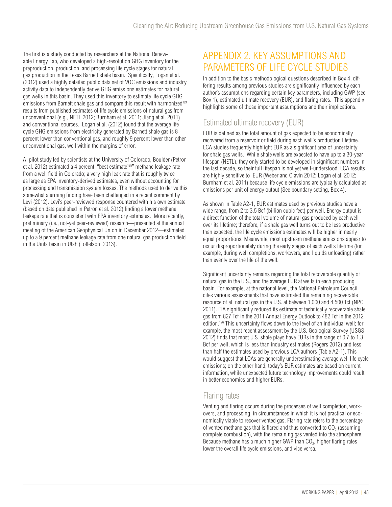The first is a study conducted by researchers at the National Renewable Energy Lab, who developed a high-resolution GHG inventory for the preproduction, production, and processing life cycle stages for natural gas production in the Texas Barnett shale basin. Specifically, Logan et al. (2012) used a highly detailed public data set of VOC emissions and industry activity data to independently derive GHG emissions estimates for natural gas wells in this basin. They used this inventory to estimate life cycle GHG emissions from Barnett shale gas and compare this result with harmonized<sup>124</sup> results from published estimates of life cycle emissions of natural gas from unconventional (e.g., NETL 2012; Burnham et al. 2011; Jiang et al. 2011) and conventional sources. Logan et al. (2012) found that the average life cycle GHG emissions from electricity generated by Barnett shale gas is 8 percent lower than conventional gas, and roughly 9 percent lower than other unconventional gas, well within the margins of error.

A pilot study led by scientists at the University of Colorado, Boulder (Petron et al. 2012) estimated a 4 percent "best estimate<sup>125</sup>" methane leakage rate from a well field in Colorado; a very high leak rate that is roughly twice as large as EPA inventory-derived estimates, even without accounting for processing and transmission system losses. The methods used to derive this somewhat alarming finding have been challenged in a recent comment by Levi (2012). Levi's peer-reviewed response countered with his own estimate (based on data published in Petron et al. 2012) finding a lower methane leakage rate that is consistent with EPA inventory estimates. More recently, preliminary (i.e., not-yet peer-reviewed) research—presented at the annual meeting of the American Geophysical Union in December 2012—estimated up to a 9 percent methane leakage rate from one natural gas production field in the Uinta basin in Utah (Tollefson 2013).

## APPENDIX 2. KEY ASSUMPTIONS AND PARAMETERS OF LIFE CYCLE STUDIES

In addition to the basic methodological questions described in Box 4, differing results among previous studies are significantly influenced by each author's assumptions regarding certain key parameters, including GWP (see Box 1), estimated ultimate recovery (EUR), and flaring rates. This appendix highlights some of those important assumptions and their implications.

## Estimated ultimate recovery (EUR)

EUR is defined as the total amount of gas expected to be economically recovered from a reservoir or field during each well's production lifetime. LCA studies frequently highlight EUR as a significant area of uncertainty for shale gas wells. While shale wells are expected to have up to a 30-year lifespan (NETL), they only started to be developed in significant numbers in the last decade, so their full lifespan is not yet well-understood. LCA results are highly sensitive to EUR (Weber and Clavin 2012; Logan et al. 2012; Burnham et al. 2011) because life cycle emissions are typically calculated as emissions per unit of energy output (See boundary setting, Box 4).

As shown in Table A2-1, EUR estimates used by previous studies have a wide range, from 2 to 3.5 Bcf (billion cubic feet) per well. Energy output is a direct function of the total volume of natural gas produced by each well over its lifetime; therefore, if a shale gas well turns out to be less productive than expected, the life cycle emissions estimates will be higher in nearly equal proportions. Meanwhile, most upstream methane emissions appear to occur disproportionately during the early stages of each well's lifetime (for example, during well completions, workovers, and liquids unloading) rather than evenly over the life of the well.

Significant uncertainty remains regarding the total recoverable quantity of natural gas in the U.S., and the average EUR at wells in each producing basin. For example, at the national level, the National Petroleum Council cites various assessments that have estimated the remaining recoverable resource of all natural gas in the U.S. at between 1,000 and 4,500 Tcf (NPC 2011). EIA significantly reduced its estimate of technically recoverable shale gas from 827 Tcf in the 2011 Annual Energy Outlook to 482 Tcf in the 2012 edition.126 This uncertainty flows down to the level of an individual well; for example, the most recent assessment by the U.S. Geological Survey (USGS 2012) finds that most U.S. shale plays have EURs in the range of 0.7 to 1.3 Bcf per well, which is less than industry estimates (Rogers 2012) and less than half the estimates used by previous LCA authors (Table A2-1). This would suggest that LCAs are generally underestimating average well life cycle emissions; on the other hand, today's EUR estimates are based on current information, while unexpected future technology improvements could result in better economics and higher EURs.

### Flaring rates

Venting and flaring occurs during the processes of well completion, workovers, and processing, in circumstances in which it is not practical or economically viable to recover vented gas. Flaring rate refers to the percentage of vented methane gas that is flared and thus converted to  $CO<sub>2</sub>$  (assuming complete combustion), with the remaining gas vented into the atmosphere. Because methane has a much higher GWP than CO<sub>2</sub>, higher flaring rates lower the overall life cycle emissions, and vice versa.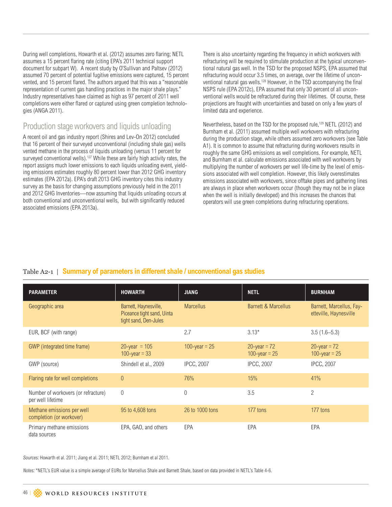During well completions, Howarth et al. (2012) assumes zero flaring; NETL assumes a 15 percent flaring rate (citing EPA's 2011 technical support document for subpart W). A recent study by O'Sullivan and Paltsev (2012) assumed 70 percent of potential fugitive emissions were captured, 15 percent vented, and 15 percent flared. The authors argued that this was a "reasonable representation of current gas handling practices in the major shale plays." Industry representatives have claimed as high as 97 percent of 2011 well completions were either flared or captured using green completion technologies (ANGA 2011).

### Production stage workovers and liquids unloading

A recent oil and gas industry report (Shires and Lev-On 2012) concluded that 16 percent of their surveyed unconventional (including shale gas) wells vented methane in the process of liquids unloading (versus 11 percent for surveyed conventional wells).<sup>127</sup> While these are fairly high activity rates, the report assigns much lower emissions to each liquids unloading event, yielding emissions estimates roughly 80 percent lower than 2012 GHG inventory estimates (EPA 2012a). EPA's draft 2013 GHG inventory cites this industry survey as the basis for changing assumptions previously held in the 2011 and 2012 GHG Inventories—now assuming that liquids unloading occurs at both conventional and unconventional wells, but with significantly reduced associated emissions (EPA 2013a).

There is also uncertainty regarding the frequency in which workovers with refracturing will be required to stimulate production at the typical unconventional natural gas well. In the TSD for the proposed NSPS, EPA assumed that refracturing would occur 3.5 times, on average, over the lifetime of unconventional natural gas wells.<sup>128</sup> However, in the TSD accompanying the final NSPS rule (EPA 2012c), EPA assumed that only 30 percent of all unconventional wells would be refractured during their lifetimes. Of course, these projections are fraught with uncertainties and based on only a few years of limited data and experience.

Nevertheless, based on the TSD for the proposed rule,<sup>129</sup> NETL (2012) and Burnham et al. (2011) assumed multiple well workovers with refracturing during the production stage, while others assumed zero workovers (see Table A1). It is common to assume that refracturing during workovers results in roughly the same GHG emissions as well completions. For example, NETL and Burnham et al. calculate emissions associated with well workovers by multiplying the number of workovers per well life-time by the level of emissions associated with well completion. However, this likely overestimates emissions associated with workovers, since offtake pipes and gathering lines are always in place when workovers occur (though they may not be in place when the well is initially developed) and this increases the chances that operators will use green completions during refracturing operations.

### Table A2-1 | **Summary of parameters in different shale / unconventional gas studies**

| <b>PARAMETER</b>                                         | <b>HOWARTH</b>                                                               | <b>JIANG</b>      | <b>NETL</b>                        | <b>BURNHAM</b>                                     |
|----------------------------------------------------------|------------------------------------------------------------------------------|-------------------|------------------------------------|----------------------------------------------------|
| Geographic area                                          | Barnett, Haynesville,<br>Piceance tight sand, Uinta<br>tight sand, Den-Jules | <b>Marcellus</b>  | <b>Barnett &amp; Marcellus</b>     | Barnett, Marcellus, Fay-<br>etteville, Haynesville |
| EUR, BCF (with range)                                    |                                                                              | 2.7               | $3.13*$                            | $3.5(1.6-5.3)$                                     |
| GWP (integrated time frame)                              | $20$ -year = 105<br>100-year = $33$                                          | 100-year = $25$   | $20$ -year = 72<br>100-year = $25$ | $20$ -year = 72<br>100-year = $25$                 |
| GWP (source)                                             | Shindell et al., 2009                                                        | <b>IPCC, 2007</b> | <b>IPCC, 2007</b>                  | <b>IPCC, 2007</b>                                  |
| Flaring rate for well completions                        | $\theta$                                                                     | 76%               | 15%                                | 41%                                                |
| Number of workovers (or refracture)<br>per well lifetime | $\overline{0}$                                                               | 0                 | 3.5                                | $\overline{2}$                                     |
| Methane emissions per well<br>completion (or workover)   | 95 to 4,608 tons                                                             | 26 to 1000 tons   | 177 tons                           | 177 tons                                           |
| Primary methane emissions<br>data sources                | EPA, GAO, and others                                                         | EPA               | EPA                                | EPA                                                |

Sources: Howarth et al. 2011; Jiang et al. 2011; NETL 2012; Burnham et al 2011.

Notes: \*NETL's EUR value is a simple average of EURs for Marcellus Shale and Barnett Shale, based on data provided in NETL's Table 4-6.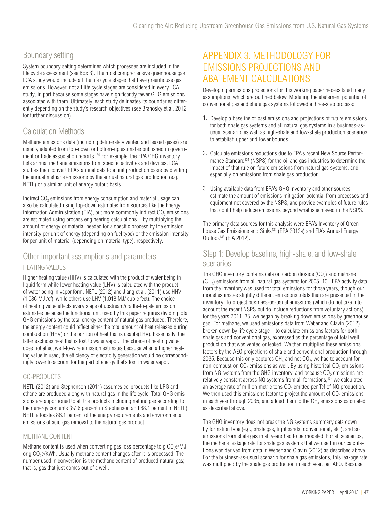### Boundary setting

System boundary setting determines which processes are included in the life cycle assessment (see Box 3). The most comprehensive greenhouse gas LCA study would include all the life cycle stages that have greenhouse gas emissions. However, not all life cycle stages are considered in every LCA study, in part because some stages have significantly fewer GHG emissions associated with them. Ultimately, each study delineates its boundaries differently depending on the study's research objectives (see Branosky et al. 2012 for further discussion).

## Calculation Methods

Methane emissions data (including deliberately vented and leaked gases) are usually adapted from top-down or bottom-up estimates published in government or trade association reports.130 For example, the EPA GHG inventory lists annual methane emissions from specific activities and devices. LCA studies then convert EPA's annual data to a unit production basis by dividing the annual methane emissions by the annual natural gas production (e.g., NETL) or a similar unit of energy output basis.

Indirect  $CO<sub>2</sub>$  emissions from energy consumption and material usage can also be calculated using top-down estimates from sources like the Energy Information Administration (EIA), but more commonly indirect  $CO<sub>2</sub>$  emissions are estimated using process engineering calculations—by multiplying the amount of energy or material needed for a specific process by the emission intensity per unit of energy (depending on fuel type) or the emission intensity for per unit of material (depending on material type), respectively.

### Other important assumptions and parameters HEATING VALUES

Higher heating value (HHV) is calculated with the product of water being in liquid form while lower heating value (LHV) is calculated with the product of water being in vapor form. NETL (2012) and Jiang et al. (2011) use HHV (1.086 MJ /cf), while others use LHV (1.018 MJ/ cubic feet). The choice of heating value affects every stage of upstream/cradle-to-gate emission estimates because the functional unit used by this paper requires dividing total GHG emissions by the total energy content of natural gas produced. Therefore, the energy content could reflect either the total amount of heat released during combustion (HHV) or the portion of heat that is usable(LHV). Essentially, the latter excludes heat that is lost to water vapor. The choice of heating value does not affect well-to-wire emission estimates because when a higher heating value is used, the efficiency of electricity generation would be correspondingly lower to account for the part of energy that's lost in water vapor.

### CO-PRODUCTS

NETL (2012) and Stephenson (2011) assumes co-products like LPG and ethane are produced along with natural gas in the life cycle. Total GHG emissions are apportioned to all the products including natural gas according to their energy contents (87.6 percent in Stephenson and 88.1 percent in NETL). NETL allocates 88.1 percent of the energy requirements and environmental emissions of acid gas removal to the natural gas product.

#### METHANE CONTENT

Methane content is used when converting gas loss percentage to g CO<sub>2</sub>e/MJ or g CO<sub>2</sub>e/KWh. Usually methane content changes after it is processed. The number used in conversion is the methane content of produced natural gas; that is, gas that just comes out of a well.

## APPENDIX 3. METHODOLOGY FOR EMISSIONS PROJECTIONS AND ABATEMENT CALCULATIONS

Developing emissions projections for this working paper necessitated many assumptions, which are outlined below. Modeling the abatement potential of conventional gas and shale gas systems followed a three-step process:

- 1. Develop a baseline of past emissions and projections of future emissions for both shale gas systems and all natural gas systems in a business-asusual scenario, as well as high-shale and low-shale production scenarios to establish upper and lower bounds.
- 2. Calculate emissions reductions due to EPA's recent New Source Performance Standard<sup>131</sup> (NSPS) for the oil and gas industries to determine the impact of that rule on future emissions from natural gas systems, and especially on emissions from shale gas production.
- 3. Using available data from EPA's GHG inventory and other sources, estimate the amount of emissions mitigation potential from processes and equipment not covered by the NSPS, and provide examples of future rules that could help reduce emissions beyond what is achieved in the NSPS.

The primary data sources for this analysis were EPA's Inventory of Greenhouse Gas Emissions and Sinks<sup>132</sup> (EPA 2012a) and EIA's Annual Energy Outlook133 (EIA 2012).

### Step 1: Develop baseline, high-shale, and low-shale scenarios

The GHG inventory contains data on carbon dioxide  $(CO<sub>2</sub>)$  and methane  $(CH<sub>4</sub>)$  emissions from all natural gas systems for 2005–10. EPA activity data from the inventory was used for total emissions for those years, though our model estimates slightly different emissions totals than are presented in the inventory. To project business-as-usual emissions (which do not take into account the recent NSPS but do include reductions from voluntary actions) for the years 2011–35, we began by breaking down emissions by greenhouse gas. For methane, we used emissions data from Weber and Clavin (2012) broken down by life cycle stage—to calculate emissions factors for both shale gas and conventional gas, expressed as the percentage of total well production that was vented or leaked. We then multiplied these emissions factors by the AEO projections of shale and conventional production through 2035. Because this only captures  $CH<sub>4</sub>$  and not  $CO<sub>2</sub>$ , we had to account for non-combustion  $CO<sub>2</sub>$  emissions as well. By using historical  $CO<sub>2</sub>$  emissions from NG systems from the GHG inventory, and because  $CO<sub>2</sub>$  emissions are relatively constant across NG systems from all formations,<sup>134</sup> we calculated an average rate of million metric tons  $CO<sub>2</sub>$  emitted per Tcf of NG production. We then used this emissions factor to project the amount of  $CO<sub>2</sub>$  emissions in each year through 2035, and added them to the  $CH<sub>4</sub>$  emissions calculated as described above.

The GHG inventory does not break the NG systems summary data down by formation type (e.g., shale gas, tight sands, conventional, etc.), and so emissions from shale gas in all years had to be modeled. For all scenarios, the methane leakage rate for shale gas systems that we used in our calculations was derived from data in Weber and Clavin (2012) as described above. For the business-as-usual scenario for shale gas emissions, this leakage rate was multiplied by the shale gas production in each year, per AEO. Because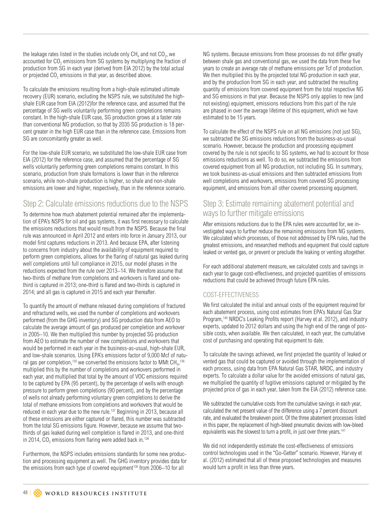the leakage rates listed in the studies include only  $CH<sub>4</sub>$  and not  $CO<sub>2</sub>$ , we accounted for  $CO<sub>2</sub>$  emissions from SG systems by multiplying the fraction of production from SG in each year (derived from EIA 2012) by the total actual or projected CO<sub>2</sub> emissions in that year, as described above.

To calculate the emissions resulting from a high-shale estimated ultimate recovery (EUR) scenario, excluding the NSPS rule, we substituted the highshale EUR case from EIA (2012)for the reference case, and assumed that the percentage of SG wells voluntarily performing green completions remains constant. In the high-shale EUR case, SG production grows at a faster rate than conventional NG production, so that by 2035 SG production is 18 percent greater in the high EUR case than in the reference case. Emissions from SG are concomitantly greater as well.

For the low-shale EUR scenario, we substituted the low-shale EUR case from EIA (2012) for the reference case, and assumed that the percentage of SG wells voluntarily performing green completions remains constant. In this scenario, production from shale formations is lower than in the reference scenario, while non-shale production is higher, so shale and non-shale emissions are lower and higher, respectively, than in the reference scenario.

### Step 2: Calculate emissions reductions due to the NSPS

To determine how much abatement potential remained after the implementation of EPA's NSPS for oil and gas systems, it was first necessary to calculate the emissions reductions that would result from the NSPS. Because the final rule was announced in April 2012 and enters into force in January 2013, our model first captures reductions in 2013. And because EPA, after listening to concerns from industry about the availability of equipment required to perform green completions, allows for the flaring of natural gas leaked during well completions until full compliance in 2015, our model phases in the reductions expected from the rule over 2013–14. We therefore assume that two-thirds of methane from completions and workovers is flared and onethird is captured in 2013; one-third is flared and two-thirds is captured in 2014; and all gas is captured in 2015 and each year thereafter.

To quantify the amount of methane released during completions of fractured and refractured wells, we used the number of completions and workovers performed (from the GHG inventory) and SG production data from AEO to calculate the average amount of gas produced per completion and workover in 2005–10. We then multiplied this number by projected SG production from AEO to estimate the number of new completions and workovers that would be performed in each year in the business-as-usual, high-shale EUR, and low-shale scenarios. Using EPA's emissions factor of 9,000 Mcf of natural gas per completion, $^{\text{135}}$  we converted the emissions factor to MMt CH $_{\text{4}}$ ,  $^{\text{136}}$ multiplied this by the number of completions and workovers performed in each year, and multiplied that total by the amount of VOC emissions required to be captured by EPA (95 percent), by the percentage of wells with enough pressure to perform green completions (90 percent), and by the percentage of wells not already performing voluntary green completions to derive the total of methane emissions from completions and workovers that would be reduced in each year due to the new rule.<sup>137</sup> Beginning in 2013, because all of these emissions are either captured or flared, this number was subtracted from the total SG emissions figure. However, because we assume that twothirds of gas leaked during well completion is flared in 2013, and one-third in 2014,  $CO<sub>2</sub>$  emissions from flaring were added back in.<sup>138</sup>

Furthermore, the NSPS includes emissions standards for some new production and processing equipment as well. The GHG inventory provides data for the emissions from each type of covered equipment<sup>139</sup> from 2006–10 for all

NG systems. Because emissions from these processes do not differ greatly between shale gas and conventional gas, we used the data from these five years to create an average rate of methane emissions per Tcf of production. We then multiplied this by the projected total NG production in each year, and by the production from SG in each year, and subtracted the resulting quantity of emissions from covered equipment from the total respective NG and SG emissions in that year. Because the NSPS only applies to new (and not existing) equipment, emissions reductions from this part of the rule are phased in over the average lifetime of this equipment, which we have estimated to be 15 years.

To calculate the effect of the NSPS rule on all NG emissions (not just SG), we subtracted the SG emissions reductions from the business-as-usual scenario. However, because the production and processing equipment covered by the rule is not specific to SG systems, we had to account for those emissions reductions as well. To do so, we subtracted the emissions from covered equipment from all NG production, not including SG. In summary, we took business-as-usual emissions and then subtracted emissions from well completions and workovers, emissions from covered SG processing equipment, and emissions from all other covered processing equipment.

### Step 3: Estimate remaining abatement potential and ways to further mitigate emissions

After emissions reductions due to the EPA rules were accounted for, we investigated ways to further reduce the remaining emissions from NG systems. We calculated which processes, of those not addressed by EPA rules, had the greatest emissions, and researched methods and equipment that could capture leaked or vented gas, or prevent or preclude the leaking or venting altogether.

For each additional abatement measure, we calculated costs and savings in each year to gauge cost-effectiveness, and projected quantities of emissions reductions that could be achieved through future EPA rules.

### COST-EFFECTIVENESS

We first calculated the initial and annual costs of the equipment required for each abatement process, using cost estimates from EPA's Natural Gas Star Program,140 NRDC's Leaking Profits report (Harvey et al. 2012), and industry experts, updated to 2012 dollars and using the high end of the range of possible costs, when available. We then calculated, in each year, the cumulative cost of purchasing and operating that equipment to date.

To calculate the savings achieved, we first projected the quantity of leaked or vented gas that could be captured or avoided through the implementation of each process, using data from EPA Natural Gas STAR, NRDC, and industry experts. To calculate a dollar value for the avoided emissions of natural gas, we multiplied the quantity of fugitive emissions captured or mitigated by the projected price of gas in each year, taken from the EIA (2012) reference case.

We subtracted the cumulative costs from the cumulative savings in each year, calculated the net present value of the difference using a 7 percent discount rate, and evaluated the breakeven point. Of the three abatement processes listed in this paper, the replacement of high-bleed pneumatic devices with low-bleed equivalents was the slowest to turn a profit, in just over three years.<sup>141</sup>

We did not independently estimate the cost-effectiveness of emissions control technologies used in the "Go-Getter" scenario. However, Harvey et al. (2012) estimated that all of these proposed technologies and measures would turn a profit in less than three years.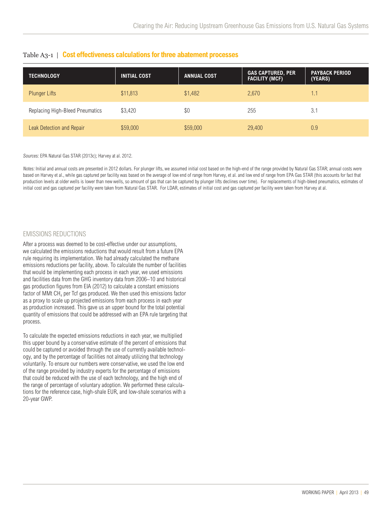| <b>TECHNOLOGY</b>               | <b>INITIAL COST</b> | <b>ANNUAL COST</b> | <b>GAS CAPTURED, PER</b><br><b>FACILITY (MCF)</b> | <b>PAYBACK PERIOD</b><br>(YEARS) |
|---------------------------------|---------------------|--------------------|---------------------------------------------------|----------------------------------|
| <b>Plunger Lifts</b>            | \$11,813            | \$1,482            | 2.670                                             | $\overline{1}$ .1                |
| Replacing High-Bleed Pneumatics | \$3,420             | \$0                | 255                                               | 3.1                              |
| Leak Detection and Repair       | \$59,000            | \$59,000           | 29,400                                            | 0.9                              |

#### Table A3-1 | **Cost effectiveness calculations for three abatement processes**

Sources: EPA Natural Gas STAR (2013c); Harvey at al. 2012.

Notes: Initial and annual costs are presented in 2012 dollars. For plunger lifts, we assumed initial cost based on the high-end of the range provided by Natural Gas STAR; annual costs were based on Harvey et al., while gas captured per facility was based on the average of low end of range from Harvey, et al. and low end of range from EPA Gas STAR (this accounts for fact that production levels at older wells is lower than new wells, so amount of gas that can be captured by plunger lifts declines over time). For replacements of high-bleed pneumatics, estimates of initial cost and gas captured per facility were taken from Natural Gas STAR. For LDAR, estimates of initial cost and gas captured per facility were taken from Harvey at al.

#### EMISSIONS REDUCTIONS

After a process was deemed to be cost-effective under our assumptions, we calculated the emissions reductions that would result from a future EPA rule requiring its implementation. We had already calculated the methane emissions reductions per facility, above. To calculate the number of facilities that would be implementing each process in each year, we used emissions and facilities data from the GHG inventory data from 2006–10 and historical gas production figures from EIA (2012) to calculate a constant emissions factor of MMt  $CH<sub>4</sub>$  per Tcf gas produced. We then used this emissions factor as a proxy to scale up projected emissions from each process in each year as production increased. This gave us an upper bound for the total potential quantity of emissions that could be addressed with an EPA rule targeting that process.

To calculate the expected emissions reductions in each year, we multiplied this upper bound by a conservative estimate of the percent of emissions that could be captured or avoided through the use of currently available technology, and by the percentage of facilities not already utilizing that technology voluntarily. To ensure our numbers were conservative, we used the low end of the range provided by industry experts for the percentage of emissions that could be reduced with the use of each technology, and the high end of the range of percentage of voluntary adoption. We performed these calculations for the reference case, high-shale EUR, and low-shale scenarios with a 20-year GWP.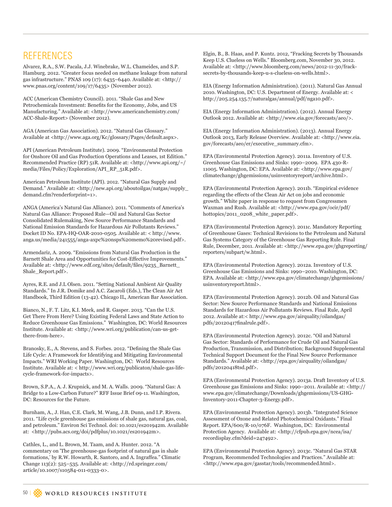## REFERENCES

Alvarez, R.A., S.W. Pacala, J.J. Winebrake, W.L. Chameides, and S.P. Hamburg. 2012. "Greater focus needed on methane leakage from natural gas infrastructure." PNAS 109 (17): 6435–6440. Available at: <http:// www.pnas.org/content/109/17/6435> (November 2012).

ACC (American Chemistry Council). 2011. "Shale Gas and New Petrochemicals Investment: Benefits for the Economy, Jobs, and US Manufacturing." Available at: <http://www.americanchemistry.com/ ACC-Shale-Report> (November 2012).

AGA (American Gas Association). 2012. "Natural Gas Glossary." Available at <http://www.aga.org/Kc/glossary/Pages/default.aspx>.

API (American Petroleum Institute). 2009. "Environmental Protection for Onshore Oil and Gas Production Operations and Leases, 1st Edition." Recommended Practice (RP) 51R. Available at: <http://www.api.org/~/ media/Files/Policy/Exploration/API\_RP\_51R.pdf>.

American Petroleum Institute (API). 2012. "Natural Gas Supply and Demand." Available at: <http://new.api.org/aboutoilgas/natgas/supply\_ demand.cfm?renderforprint=1>.

ANGA (America's Natural Gas Alliance). 2011. "Comments of America's Natural Gas Alliance: Proposed Rule—Oil and Natural Gas Sector Consolidated Rulemaking, New Source Performance Standards and National Emission Standards for Hazardous Air Pollutants Reviews." Docket ID No. EPA-HQ-OAR-2010-0505. Available at: < http://www. anga.us/media/241555/anga-axpc%20nsps%20memo%20revised.pdf>.

Armendariz, A. 2009. "Emissions from Natural Gas Production in the Barnett Shale Area and Opportunities for Cost-Effective Improvements." Available at: <http://www.edf.org/sites/default/files/9235\_Barnett Shale\_Report.pdf>.

Ayres, R.E. and J.L Olsen. 2011. "Setting National Ambient Air Quality Standards." In J.R. Domike and A.C. Zacaroli (Eds.), The Clean Air Act Handbook, Third Edition (13-42). Chicago IL, American Bar Association.

Bianco, N., F. T. Litz, K.I. Meek, and R. Gasper. 2013. "Can the U.S. Get There From Here? Using Existing Federal Laws and State Action to Reduce Greenhouse Gas Emissions." Washington, DC: World Resources Institute. Available at: <http://www.wri.org/publication/can-us-getthere-from-here>.

Branosky, E., A. Stevens, and S. Forbes. 2012. "Defining the Shale Gas Life Cycle: A Framework for Identifying and Mitigating Environmental Impacts." WRI Working Paper. Washington, DC: World Resources Institute. Available at: < http://www.wri.org/publicaton/shale-gas-lifecycle-framework-for-impacts>.

Brown, S.P.A., A. J. Krupnick, and M. A. Walls. 2009. "Natural Gas: A Bridge to a Low-Carbon Future?" RFF Issue Brief 09-11. Washington, DC: Resources for the Future.

Burnham, A., J. Han, C.E. Clark, M. Wang, J.B. Dunn, and I.P. Rivera. 2011. "Life cycle greenhouse gas emissions of shale gas, natural gas, coal, and petroleum." Environ Sci Technol. doi: 10.1021/es201942m. Available at: <http://pubs.acs.org/doi/pdfplus/10.1021/es201942m>.

Cathles, L., and L. Brown, M. Taam, and A. Hunter. 2012. "A commentary on 'The greenhouse-gas footprint of natural gas in shale formations,' by R.W. Howarth, R. Santoro, and A. Ingraffea." Climatic Change 113(2): 525–535. Available at: <http://rd.springer.com/ article/10.1007/s10584-011-0333-0>.

Elgin, B., B. Haas, and P. Kuntz. 2012, "Fracking Secrets by Thousands Keep U.S. Clueless on Wells." Bloomberg.com, November 30, 2012. Available at: <http://www.bloomberg.com/news/2012-11-30/fracksecrets-by-thousands-keep-u-s-clueless-on-wells.html>.

EIA (Energy Information Administration). (2011). Natural Gas Annual 2010. Washington, DC: U.S. Department of Energy. Available at: < http://205.254.135.7/naturalgas/annual/pdf/nga10.pdf>.

EIA (Energy Information Administration). (2012). Annual Energy Outlook 2012. Available at: <http://www.eia.gov/forecasts/aeo/>.

EIA (Energy Information Administration). (2013). Annual Energy Outlook 2013, Early Release Overview. Available at: <http://www.eia. gov/forecasts/aeo/er/executive\_summary.cfm>.

EPA (Environmental Protection Agency). 2011a. Inventory of U.S. Greenhouse Gas Emissions and Sinks: 1990–2009. EPA 430-R-11005. Washington, DC: EPA. Available at: <http://www.epa.gov/ climatechange/ghgemissions/usinventoryreport/archive.html>.

EPA (Environmental Protection Agency). 2011b. "Empirical evidence regarding the effects of the Clean Air Act on jobs and economic growth." White paper in response to request from Congressmen Waxman and Rush. Available at: <http://www.epa.gov/ocir/pdf/ hottopics/2011\_0208\_white\_paper.pdf>.

EPA (Environmental Protection Agency). 2011c. Mandatory Reporting of Greenhouse Gases: Technical Revisions to the Petroleum and Natural Gas Systems Category of the Greenhouse Gas Reporting Rule. Final Rule, December, 2011. Available at: <http://www.epa.gov/ghgreporting/ reporters/subpart/w.html>.

EPA (Environmental Protection Agency). 2012a. Inventory of U.S. Greenhouse Gas Emissions and Sinks: 1990–2010. Washington, DC: EPA. Available at: <http://www.epa.gov/climatechange/ghgemissions/ usinventoryreport.html>.

EPA (Environmental Protection Agency). 2012b. Oil and Natural Gas Sector: New Source Performance Standards and National Emissions Standards for Hazardous Air Pollutants Reviews. Final Rule, April 2012. Available at:< http://www.epa.gov/airquality/oilandgas/ pdfs/20120417finalrule.pdf>.

EPA (Environmental Protection Agency). 2012c. "Oil and Natural Gas Sector: Standards of Performance for Crude Oil and Natural Gas Production, Transmission, and Distribution; Background Supplemental Technical Support Document for the Final New Source Performance Standards." Available at: <http://epa.gov/airquality/oilandgas/ pdfs/20120418tsd.pdf>.

EPA (Environmental Protection Agency). 2013a. Draft Inventory of U.S. Greenhouse gas Emissions and Sinks: 1990–2011. Available at: <http:// www.epa.gov/climatechange/Downloads/ghgemissions/US-GHG-Inventory-2011-Chapter-3-Energy.pdf>.

EPA (Environmental Protection Agency). 2013b. "Integrated Science Assessment of Ozone and Related Photochemical Oxidants." Final Report. EPA/600/R-10/076F. Washington, DC: Environmental Protection Agency. Available at: <http://cfpub.epa.gov/ncea/isa/ recordisplay.cfm?deid=247492>.

EPA (Environmental Protection Agency). 2013c. "Natural Gas STAR Program, Recommended Technologies and Practices." Available at: <http://www.epa.gov/gasstar/tools/recommended.html>.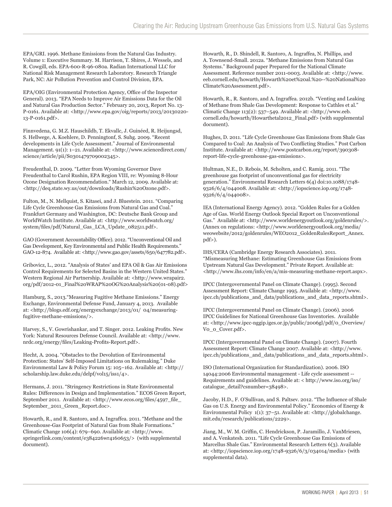EPA/GRI. 1996. Methane Emissions from the Natural Gas Industry. Volume 1: Executive Summary. M. Harrison, T. Shires, J. Wessels, and R. Cowgill, eds. EPA-600-R-96-080a. Radian International LLC for National Risk Management Research Laboratory. Research Triangle Park, NC: Air Pollution Prevention and Control Division, EPA.

EPA/OIG (Environmental Protection Agency, Office of the Inspector General). 2013. "EPA Needs to Improve Air Emissions Data for the Oil and Natural Gas Production Sector." February 20, 2013, Report No. 13- P-0161. Available at: <http://www.epa.gov/oig/reports/2013/20130220- 13-P-0161.pdf>.

Finnvedena, G. M.Z. Hauschildb, T. Ekvallc, J. Guinéed, R. Heijungsd, S. Hellwege, A. Koehlere, D. Penningtonf, S. Suhg. 2009. "Recent developments in Life Cycle Assessment." Journal of Environmental Management. 91(1): 1–21. Available at: <http://www.sciencedirect.com/ science/article/pii/S0301479709002345>.

Freudenthal, D. 2009. "Letter from Wyoming Governor Dave Freudenthal to Carol Rushin, EPA Region VIII, re: Wyoming 8-Hour Ozone Designation Recommendation." March 12, 2009. Available at: <http://deq.state.wy.us/out/downloads/Rushin%20Ozone.pdf>.

Fulton, M., N. Mellquist, S. Kitasei, and J. Bluestein. 2011. "Comparing Life Cycle Greenhouse Gas Emissions from Natural Gas and Coal." Frankfurt Germany and Washington, DC: Deutsche Bank Group and WorldWatch Institute. Available at: <http://www.worldwatch.org/ system/files/pdf/Natural\_Gas\_LCA\_Update\_082511.pdf>.

GAO (Government Accountability Office). 2012. "Unconventional Oil and Gas Development, Key Environmental and Public Health Requirements." GAO-12-874. Available at: <http://www.gao.gov/assets/650/647782.pdf>.

Gribovicz, L., 2012. "Analysis of States' and EPA Oil & Gas Air Emissions Control Requirements for Selected Basins in the Western United States." Western Regional Air Partnership. Available at: <http://www.wrapair2. org/pdf/2012-01\_Final%20WRAP%20OG%20Analysis%20(01-08).pdf>

Hamburg, S., 2013."Measuring Fugitive Methane Emissions." Energy Exchange, Environmental Defense Fund, January 4, 2013. Available at: <http://blogs.edf.org/energyexchange/2013/01/ 04/measuringfugitive-methane-emissions/>.

Harvey, S., V. Gowrishankar, and T. Singer. 2012. Leaking Profits. New York: Natural Resources Defense Council. Available at: <http://www. nrdc.org/energy/files/Leaking-Profits-Report.pdf>.

Hecht, A. 2004. "Obstacles to the Devolution of Environmental Protection: States' Self-Imposed Limitations on Rulemaking." Duke Environmental Law & Policy Forum 15: 105–162. Available at: <http:// scholarship.law.duke.edu/delpf/vol15/iss1/4>.

Hermans, J. 2011. "Stringency Restrictions in State Environmental Rules: Differences in Design and Implementation." ECOS Green Report, September 2011. Available at: <http://www.ecos.org/files/4597\_file\_ September\_2011\_Green\_Report.doc>.

Howarth, R., and R. Santoro, and A. Ingraffea. 2011. "Methane and the Greenhouse-Gas Footprint of Natural Gas from Shale Formations." Climatic Change 106(4): 679–690. Available at: <http://www. springerlink.com/content/e384226wr4160653/> (with supplemental document).

Howarth, R., D. Shindell, R. Santoro, A. Ingraffea, N. Phillips, and A. Townsend-Small. 2012a. "Methane Emissions from Natural Gas Systems." Background paper Prepared for the National Climate Assessment. Reference number 2011-0003. Available at: <http://www. eeb.cornell.edu/howarth/Howarth%20et%20al.%20--%20National%20 Climate%20Assessment.pdf>.

Howarth, R., R. Santoro, and A. Ingraffea. 2012b. "Venting and Leaking of Methane from Shale Gas Development: Response to Cathles et al." Climatic Change 113(2): 537–549. Available at: <http://www.eeb. cornell.edu/howarth/Howarthetal2012\_Final.pdf> (with supplemental document).

Hughes, D. 2011. "Life Cycle Greenhouse Gas Emissions from Shale Gas Compared to Coal: An Analysis of Two Conflicting Studies." Post Carbon Institute. Available at: <http://www.postcarbon.org/report/390308report-life-cycle-greenhouse-gas-emissions>.

Hultman, N.E., D. Rebois, M. Scholten, and C. Ramig. 2011. "The greenhouse gas footprint of unconventional gas for electricity generation." Environmental Research Letters 6(4) doi:10.1088/1748- 9326/6/4/044008. Available at: <http://iopscience.iop.org/1748- 9326/6/4/044008>.

IEA (International Energy Agency). 2012. "Golden Rules for a Golden Age of Gas. World Energy Outlook Special Report on Unconventional Gas." Available at: <http://www.worldenergyoutlook.org/goldenrules/>. (Annex on regulations: <http://www.worldenergyoutlook.org/media/ weowebsite/2012/goldenrules/WEO2012\_GoldenRulesReport\_Annex. pdf>).

IHS/CERA (Cambridge Energy Research Associates). 2011. "Mismeasuring Methane: Estimating Greenhouse Gas Emissions from Upstream Natural Gas Development." Private Report. Available at: <http://www.ihs.com/info/en/a/mis-measuring-methane-report.aspx>.

IPCC (Intergovernmental Panel on Climate Change). (1995). Second Assessment Report: Climate Change 1995. Available at: <http://www. ipcc.ch/publications\_and\_data/publications\_and\_data\_reports.shtml>.

IPCC (Intergovernmental Panel on Climate Change). (2006). 2006 IPCC Guidelines for National Greenhouse Gas Inventories. Available at: <http://www.ipcc-nggip.iges.or.jp/public/2006gl/pdf/0\_Overview/ V0\_0\_Cover.pdf>.

IPCC (Intergovernmental Panel on Climate Change). (2007). Fourth Assessment Report: Climate Change 2007. Available at: <http://www. ipcc.ch/publications\_and\_data/publications\_and\_data\_reports.shtml>.

ISO (International Organization for Standardization). 2006. ISO 14044:2006 Environmental management - Life cycle assessment -- Requirements and guidelines. Available at: < http://www.iso.org/iso/ catalogue\_detail?csnumber=38498>.

Jacoby, H.D., F. O'Sullivan, and S. Paltsev. 2012. "The Influence of Shale Gas on U.S. Energy and Environmental Policy." Economics of Energy & Environmental Policy 1(1): 37–51. Available at: <http://globalchange. mit.edu/research/publications/2229>.

Jiang, M., W. M. Griffin, C. Hendrickson, P. Jaramillo, J. VanMriesen, and A. Venkatesh. 2011. "Life Cycle Greenhouse Gas Emissions of Marcellus Shale Gas." Environmental Research Letters 6(3). Available at: <http://iopscience.iop.org/1748-9326/6/3/034014/media> (with supplemental data).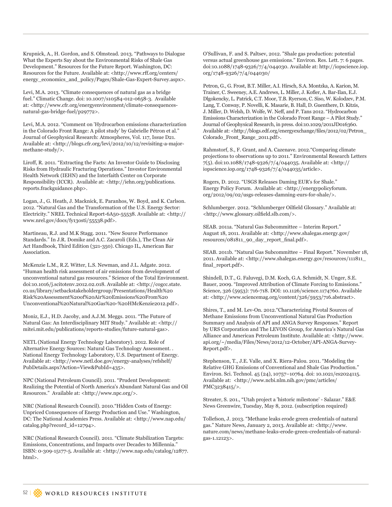Krupnick, A., H. Gordon, and S. Olmstead. 2013. "Pathways to Dialogue What the Experts Say about the Environmental Risks of Shale Gas Development." Resources for the Future Report. Washington, DC: Resources for the Future. Available at: <http://www.rff.org/centers/ energy\_economics\_and\_policy/Pages/Shale-Gas-Expert-Survey.aspx>.

Levi, M.A. 2013. "Climate consequences of natural gas as a bridge fuel." Climatic Change. doi: 10.1007/s10584-012-0658-3. Available at: <http://www.cfr.org/energyenvironment/climate-consequencesnatural-gas-bridge-fuel/p29772>.

Levi, M.A. 2012. "Comment on 'Hydrocarbon emissions characterization in the Colorado Front Range: A pilot study' by Gabrielle Pétron et al." Journal of Geophysical Research: Atmospheres, Vol. 117, Issue D21. Available at: <http://blogs.cfr.org/levi/2012/10/12/revisiting-a-majormethane-study/>.

Liroff, R. 2011. "Extracting the Facts: An Investor Guide to Disclosing Risks from Hydraulic Fracturing Operations." Investor Environmental Health Network (IEHN) and the Interfaith Center on Corporate Responsibility (ICCR). Available at: <http://iehn.org/publications. reports.frackguidance.php>.

Logan, J., G. Heath, J. Macknick, E. Paranhos, W. Boyd, and K. Carlson. 2012. "Natural Gas and the Transformation of the U.S. Energy Sector: Electricity." NREL Technical Report-6A50-55538. Available at: <http:// www.nrel.gov/docs/fy13osti/55538.pdf>.

Martineau, R.J. and M.K Stagg. 2011. "New Source Performance Standards." In J.R. Domike and A.C. Zacaroli (Eds.), The Clean Air Act Handbook, Third Edition (321-350). Chicago IL, American Bar Association.

McKenzie L.M., R.Z. Witter, L.S. Newman, and J.L. Adgate. 2012. "Human health risk assessment of air emissions from development of unconventional natural gas resources." Science of the Total Environment. doi:10.1016/j.scitotenv.2012.02.018. Available at: <http://cogcc.state. co.us/library/setbackstakeholdergroup/Presentations/Health%20 Risk%20Assessment%20of%20Air%20Emissions%20From%20 Unconventional%20Natural%20Gas%20-%20HMcKenzie2012.pdf>.

Moniz, E.J., H.D. Jacoby, and A.J.M. Meggs. 2011. "The Future of Natural Gas: An Interdisciplinary MIT Study." Available at: <http:// mitei.mit.edu/publications/reports-studies/future-natural-gas>.

NETL (National Energy Technology Laboratory). 2012. Role of Alternative Energy Sources: Natural Gas Technology Assessment. . National Energy Technology Laboratory, U.S. Department of Energy. Available at: <http://www.netl.doe.gov/energy-analyses/refshelf/ PubDetails.aspx?Action=View&PubId=435>.

NPC (National Petroleum Council). 2011. "Prudent Development: Realizing the Potential of North America's Abundant Natural Gas and Oil Resources." Available at: <http://www.npc.org/>.

NRC (National Research Council). 2010."Hidden Costs of Energy: Unpriced Consequences of Energy Production and Use." Washington, DC: The National Academies Press. Available at: <http://www.nap.edu/ catalog.php?record\_id=12794>.

NRC (National Research Council). 2011. "Climate Stabilization Targets: Emissions, Concentrations, and Impacts over Decades to Millennia." ISBN: 0-309-15177-5. Available at: <http://www.nap.edu/catalog/12877. html>.

O'Sullivan, F. and S. Paltsev, 2012. "Shale gas production: potential versus actual greenhouse gas emissions." Environ. Res. Lett. 7: 6 pages. doi:10.1088/1748-9326/7/4/044030. Available at: http://iopscience.iop. org/1748-9326/7/4/044030/

Petron, G., G. Frost, B.T. Miller, A.I. Hirsch, S.A. Montzka, A. Karion, M. Trainer, C. Sweeney, A.E. Andrews, L. Miller, J. Kofler, A. Bar-Ilan, E.J. Dlgokencky, L. Patrick, C.T. Moor, T.B. Ryerson, C. Siso, W. Kolodzev, P.M. Lang, T. Conway, P. Novelli, K. Masarie, B. Hall, D. Guenthere, D. Kitzis, J. Miller, D. Welsh, D. Wolfe, W. Neff, and P. Tans 2012. "Hydrocarbon Emissions Characterization in the Colorado Front Range – A Pilot Study." Journal of Geophysical Research, in press. doi:10.1029/2011JD016360. Available at: <http://blogs.edf.org/energyexchange/files/2012/02/Petron\_ Colorado\_Front\_Range\_2011.pdf>.

Rahmstorf, S., F. Grant, and A. Cazenave. 2012."Comparing climate projections to observations up to 2011." Environmental Research Letters 7(5). doi:10.1088/1748-9326/7/4/044035. Available at: <http:// iopscience.iop.org/1748-9326/7/4/044035/article>.

Rogers, D. 2012. "USGS Releases Daming EUR's for Shale." Energy Policy Forum. Available at: <http://energypolicyforum. org/2012/09/02/usgs-releases-damning-eurs-for-shale/>.

Schlumberger. 2012. "Schlumberger Oilfield Glossary." Available at: <http://www.glossary.oilfield.slb.com/>.

SEAB. 2011a. "Natural Gas Subcommittee – Interim Report." August 18, 2011. Available at: <http://www.shalegas.energy.gov/ resources/081811\_90\_day\_report\_final.pdf>.

SEAB. 2011b. "Natural Gas Subcommittee – Final Report." November 18, 2011. Available at: <http://www.shalegas.energy.gov/resources/111811\_ final\_report.pdf>.

Shindell, D.T., G. Faluvegi, D.M. Koch, G.A. Schmidt, N. Unger, S.E. Bauer, 2009. "Improved Attribution of Climate Forcing to Emissions." Science, 326 (5953): 716-718. DOI: 10.1126/science.1174760. Available at: <http://www.sciencemag.org/content/326/5953/716.abstract>.

Shires, T., and M. Lev-On. 2012."Characterizing Pivotal Sources of Methane Emissions from Unconventional Natural Gas Production Summary and Analysis of API and ANGA Survey Responses." Report by URS Corporation and The LEVON Group, for America's Natural Gas Alliance and American Petroleum Institute. Available at: <http://www. api.org/~/media/Files/News/2012/12-October/API-ANGA-Survey-Report.pdf>.

Stephenson, T., J.E. Valle, and X. Riera-Palou. 2011. "Modeling the Relative GHG Emissions of Conventional and Shale Gas Production." Environ. Sci. Technol. 45 (24), 10757–10764. doi: 10.1021/es2024115. Available at: <http://www.ncbi.nlm.nih.gov/pmc/articles/ PMC3238415/>.

Streater, S. 201., "Utah project a 'historic milestone' - Salazar." E&E News Greenwire, Tuesday, May 8, 2012. (subscription required)

Tollefson, J. 2013. "Methane leaks erode green credentials of natural gas." Nature News, January 2, 2013. Available at: <http://www. nature.com/news/methane-leaks-erode-green-credentials-of-naturalgas-1.12123>.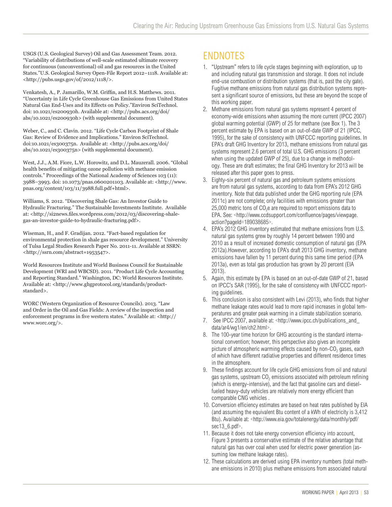USGS (U.S. Geological Survey) Oil and Gas Assessment Team. 2012. "Variability of distributions of well-scale estimated ultimate recovery for continuous (unconventional) oil and gas resources in the United States."U.S. Geological Survey Open-File Report 2012–1118. Available at: <http://pubs.usgs.gov/of/2012/1118/>.

Venkatesh, A., P. Jamarillo, W.M. Griffin, and H.S. Matthews. 2011. "Uncertainty in Life Cycle Greenhouse Gas Emissions from United States Natural Gas End-Uses and its Effects on Policy."Environ SciTechnol. doi: 10.1021/es200930h. Available at: <http://pubs.acs.org/doi/ abs/10.1021/es200930h> (with supplemental document).

Weber, C., and C. Clavin. 2012. "Life Cycle Carbon Footprint of Shale Gas: Review of Evidence and Implications." Environ SciTechnol. doi:10.1021/es300375n. Available at: <http://pubs.acs.org/doi/ abs/10.1021/es300375n> (with supplemental document).

West, J.J., A.M. Fiore, L.W. Horowitz, and D.L. Mauzerall. 2006. "Global health benefits of mitigating ozone pollution with methane emission controls." Proceedings of the National Academy of Sciences 103 (11): 3988–3993. doi: 10.1073/pnas.0600201103. Available at: <http://www. pnas.org/content/103/11/3988.full.pdf+html>.

Williams, S. 2012. "Discovering Shale Gas: An Investor Guide to Hydraulic Fracturing." The Sustainable Investments Institute. Available at: <http://si2news.files.wordpress.com/2012/03/discovering-shalegas-an-investor-guide-to-hydraulic-fracturing.pdf>.

Wiseman, H., and F. Gradijan. 2012. "Fact-based regulation for environmental protection in shale gas resource development." University of Tulsa Legal Studies Research Paper No. 2011-11. Available at SSRN: <http://ssrn.com/abstract=1953547>.

World Resources Institute and World Business Council for Sustainable Development (WRI and WBCSD). 2011. "Product Life Cycle Accounting and Reporting Standard." Washington, DC: World Resources Institute. Available at: <http://www.ghgprotocol.org/standards/productstandard>.

WORC (Western Organization of Resource Councils). 2013. "Law and Order in the Oil and Gas Fields: A review of the inspection and enforcement programs in five western states." Available at: <http:// www.worc.org/>.

## ENDNOTES

- 1. "Upstream" refers to life cycle stages beginning with exploration, up to and including natural gas transmission and storage. It does not include end-use combustion or distribution systems (that is, past the city gate). Fugitive methane emissions from natural gas distribution systems represent a significant source of emissions, but these are beyond the scope of this working paper.
- 2. Methane emissions from natural gas systems represent 4 percent of economy-wide emissions when assuming the more current (IPCC 2007) global warming potential (GWP) of 25 for methane (see Box 1). The 3 percent estimate by EPA is based on an out-of-date GWP of 21 (IPCC, 1995), for the sake of consistency with UNFCCC reporting guidelines. In EPA's draft GHG Inventory for 2013, methane emissions from natural gas systems represent 2.6 percent of total U.S. GHG emissions (3 percent when using the updated GWP of 25), due to a change in methodology. These are draft estimates; the final GHG Inventory for 2013 will be released after this paper goes to press.
- 3. Eighty-six percent of natural gas and petroleum systems emissions are from natural gas systems, according to data from EPA's 2012 GHG inventory. Note that data published under the GHG reporting rule (EPA 2011c) are not complete; only facilities with emissions greater than  $25,000$  metric tons of  $CO<sub>2</sub>e$  are required to report emissions data to EPA. See: <http://www.ccdsupport.com/confluence/pages/viewpage. action?pageId=189038685>.
- 4. EPA's 2012 GHG inventory estimated that methane emissions from U.S. natural gas systems grew by roughly 14 percent between 1990 and 2010 as a result of increased domestic consumption of natural gas (EPA 2012a).However, according to EPA's draft 2013 GHG inventory, methane emissions have fallen by 11 percent during this same time period (EPA 2013a), even as total gas production has grown by 20 percent (EIA 2013).
- 5. Again, this estimate by EPA is based on an out-of-date GWP of 21, based on IPCC's SAR (1995), for the sake of consistency with UNFCCC reporting guidelines.
- 6. This conclusion is also consistent with Levi (2013), who finds that higher methane leakage rates would lead to more rapid increases in global temperatures and greater peak warming in a climate stabilization scenario.
- 7. See IPCC 2007, available at: <http://www.ipcc.ch/publications\_and\_ data/ar4/wg1/en/ch2.html>.
- 8. The 100-year time horizon for GHG accounting is the standard international convention; however, this perspective also gives an incomplete picture of atmospheric warming effects caused by non- $CO<sub>2</sub>$  gases, each of which have different radiative properties and different residence times in the atmosphere.
- 9. These findings account for life cycle GHG emissions from oil and natural gas systems, upstream  $CO<sub>2</sub>$  emissions associated with petroleum refining (which is energy-intensive), and the fact that gasoline cars and dieselfueled heavy-duty vehicles are relatively more energy efficient than comparable CNG vehicles .
- 10. Conversion efficiency estimates are based on heat rates published by EIA (and assuming the equivalent Btu content of a kWh of electricity is 3,412 Btu). Available at: <http://www.eia.gov/totalenergy/data/monthly/pdf/ sec13\_6.pdf>.
- 11. Because it does not take energy conversion efficiency into account, Figure 3 presents a conservative estimate of the relative advantage that natural gas has over coal when used for electric power generation (assuming low methane leakage rates).
- 12. These calculations are derived using EPA inventory numbers (total methane emissions in 2010) plus methane emissions from associated natural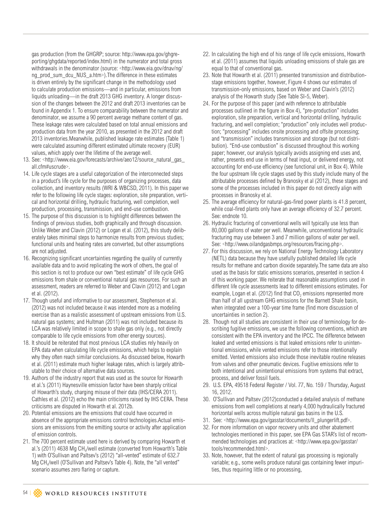gas production (from the GHGRP; source: http://www.epa.gov/ghgreporting/ghgdata/reported/index.html) in the numerator and total gross withdrawals in the denominator (source: <http://www.eia.gov/dnav/ng/ ng\_prod\_sum\_dcu\_NUS\_a.htm>).The difference in these estimates is driven entirely by the significant change in the methodology used to calculate production emissions—and in particular, emissions from liquids unloading—in the draft 2013 GHG inventory. A longer discussion of the changes between the 2012 and draft 2013 inventories can be found in Appendix 1. To ensure comparability between the numerator and denominator, we assume a 90 percent average methane content of gas. These leakage rates were calculated based on total annual emissions and production data from the year 2010, as presented in the 2012 and draft 2013 inventories.Meanwhile, published leakage rate estimates (Table 1) were calculated assuming different estimated ultimate recovery (EUR) values, which apply over the lifetime of the average well.

- 13. See: <http://www.eia.gov/forecasts/archive/aeo12/source\_natural\_gas\_ all.cfm#uscrude>.
- 14. Life cycle stages are a useful categorization of the interconnected steps in a product's life cycle for the purposes of organizing processes, data collection, and inventory results (WRI & WBCSD, 2011). In this paper we refer to the following life cycle stages: exploration, site preparation, vertical and horizontal drilling, hydraulic fracturing, well completion, well production, processing, transmission, and end-use combustion.
- 15. The purpose of this discussion is to highlight differences between the findings of previous studies, both graphically and through discussion. Unlike Weber and Clavin (2012) or Logan et al. (2012), this study deliberately takes minimal steps to harmonize results from previous studies; functional units and heating rates are converted, but other assumptions are not adjusted.
- 16. Recognizing significant uncertainties regarding the quality of currently available data and to avoid replicating the work of others, the goal of this section is not to produce our own "best estimate" of life cycle GHG emissions from shale or conventional natural gas resources. For such an assessment, readers are referred to Weber and Clavin (2012) and Logan et al. (2012).
- 17. Though useful and informative to our assessment, Stephenson et al. (2012) was not included because it was intended more as a modeling exercise than as a realistic assessment of upstream emissions from U.S. natural gas systems; and Hultman (2011) was not included because its LCA was relatively limited in scope to shale gas only (e.g., not directly comparable to life cycle emissions from other energy sources).
- 18. It should be reiterated that most previous LCA studies rely heavily on EPA data when calculating life cycle emissions, which helps to explain why they often reach similar conclusions. As discussed below, Howarth et al. (2011) estimate much higher leakage rates, which is largely attributable to their choice of alternative data sources.
- 19. Authors of the industry report that was used as the source for Howarth et al.'s (2011) Haynesville emission factor have been sharply critical of Howarth's study, charging misuse of their data (IHS/CERA 2011). Cathles et al. (2012) echo the main criticisms raised by IHS CERA. These criticisms are disputed in Howarth et al. 2012b.
- 20. Potential emissions are the emissions that could have occurred in absence of the appropriate emissions control technologies.Actual emissions are emissions from the emitting source or activity after application of emission controls.
- 21. The 700 percent estimate used here is derived by comparing Howarth et al.'s (2011) 4638 Mg CH<sub>4</sub>/well estimate (converted from Howarth's Table 1) with O'Sullivan and Paltsev's (2012) "all-vented" estimate of 632.7 Mg CH4/well (O'Sullivan and Paltsev's Table 4). Note, the "all vented" scenario assumes zero flaring or capture.
- 22. In calculating the high end of his range of life cycle emissions, Howarth et al. (2011) assumes that liquids unloading emissions of shale gas are equal to that of conventional gas.
- 23. Note that Howarth et al. (2011) presented transmission and distributionstage emissions together, however, Figure 4 shows our estimates of transmission-only emissions, based on Weber and Clavin's (2012) analysis of the Howarth study (See Table SI-5, Weber).
- 24. For the purpose of this paper (and with reference to attributable processes outlined in the figure in Box 4), "pre-production" includes exploration, site preparation, vertical and horizontal drilling, hydraulic fracturing, and well completion; "production" only includes well production; "processing" includes onsite processing and offsite processing; and "transmission" includes transmission and storage (but not distribution). "End-use combustion" is discussed throughout this working paper; however, our analysis typically avoids assigning end uses and, rather, presents end use in terms of heat input, or delivered energy, not accounting for end-use efficiency (see functional unit, in Box 4). While the four upstream life cycle stages used by this study include many of the attributable processes defined by Branosky et al (2012), these stages and some of the processes included in this paper do not directly align with processes in Branosky et al.
- 25. The average efficiency for natural-gas-fired power plants is 41.8 percent, while coal-fired plants only have an average efficiency of 32.7 percent. See: endnote 10.
- 26. Hydraulic fracturing of conventional wells will typically use less than 80,000 gallons of water per well. Meanwhile, unconventional hydraulic fracturing may use between 3 and 7 million gallons of water per well. See: <http://www.oilandgasbmps.org/resources/fracing.php>.
- 27. For this discussion, we rely on National Energy Technology Laboratory (NETL) data because they have usefully published detailed life cycle results for methane and carbon dioxide separately.The same data are also used as the basis for static emissions scenarios, presented in section 4 of this working paper. We reiterate that reasonable assumptions used in different life cycle assessments lead to different emissions estimates. For example, Logan et al. (2012) find that  $CO<sub>2</sub>$  emissions represented more than half of all upstream GHG emissions for the Barnett Shale basin, when integrated over a 100-year time frame (find more discussion of uncertainties in section 2).
- 28. Though not all studies are consistent in their use of terminology for describing fugitive emissions, we use the following conventions, which are consistent with the EPA inventory and the IPCC. The difference between leaked and vented emissions is that leaked emissions refer to unintentional emissions, while vented emissions refer to those intentionally emitted. Vented emissions also include those inevitable routine releases from valves and other pneumatic devices. Fugitive emissions refer to both intentional and unintentional emissions from systems that extract, process, and deliver fossil fuels.
- 29. U.S. EPA, 49518 Federal Register / Vol. 77, No. 159 / Thursday, August 16, 2012.
- 30. O'Sullivan and Paltsev (2012)conducted a detailed analysis of methane emissions from well completions at nearly 4,000 hydraulically fractured horizontal wells across multiple natural gas basins in the U.S.
- 31. See: <http://www.epa.gov/gasstar/documents/ll\_plungerlift.pdf>.
- 32. For more information on vapor recovery units and other abatement technologies mentioned in this paper, see EPA Gas STAR's list of recommended technologies and practices at: <http://www.epa.gov/gasstar/ tools/recommended.html>.
- 33. Note, however, that the extent of natural gas processing is regionally variable; e.g., some wells produce natural gas containing fewer impurities, thus requiring little or no processing,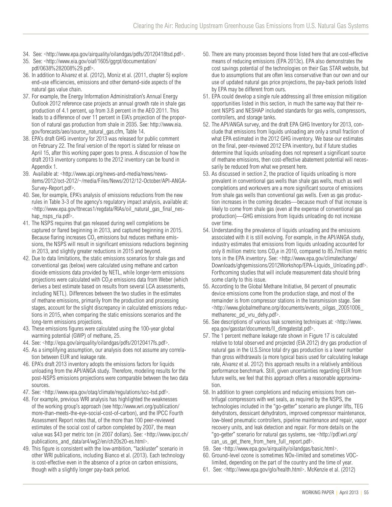- 34. See: <http://www.epa.gov/airquality/oilandgas/pdfs/20120418tsd.pdf>.
- 35. See: <http://www.eia.gov/oiaf/1605/ggrpt/documentation/ pdf/0638%282008%29.pdf>.
- 36. In addition to Alvarez et al. (2012), Moniz et al. (2011, chapter 5) explore end-use efficiencies, emissions and other demand-side aspects of the natural gas value chain.
- 37. For example, the Energy Information Administration's Annual Energy Outlook 2012 reference case projects an annual growth rate in shale gas production of 4.1 percent, up from 3.8 percent in the AEO 2011. This leads to a difference of over 11 percent in EIA's projection of the proportion of natural gas production from shale in 2035. See: http://www.eia. gov/forecasts/aeo/source\_natural\_gas.cfm, Table 14.
- 38. EPA's draft GHG inventory for 2013 was released for public comment on February 22. The final version of the report is slated for release on April 15, after this working paper goes to press. A discussion of how the draft 2013 inventory compares to the 2012 inventory can be found in Appendix 1.
- 39. Available at: <http://www.api.org/news-and-media/news/newsitems/2012/oct-2012/~/media/Files/News/2012/12-October/API-ANGA-Survey-Report.pdf>.
- 40. See, for example, EPA's analysis of emissions reductions from the new rules in Table 3-3 of the agency's regulatory impact analysis, available at: <http://www.epa.gov/ttnecas1/regdata/RIAs/oil\_natural\_gas\_final\_neshap nsps ria.pdf>.
- 41. The NSPS requires that gas released during well completions be captured or flared beginning in 2013, and captured beginning in 2015. Because flaring increases  $CO<sub>2</sub>$  emissions but reduces methane emissions, the NSPS will result in significant emissions reductions beginning in 2013, and slightly greater reductions in 2015 and beyond.
- 42. Due to data limitations, the static emissions scenarios for shale gas and conventional gas (below) were calculated using methane and carbon dioxide emissions data provided by NETL, while longer-term emissions projections were calculated with  $CO<sub>2</sub>e$  emissions data from Weber (which derives a best estimate based on results from several LCA assessments, including NETL). Differences between the two studies in the estimates of methane emissions, primarily from the production and processing stages, account for the slight discrepancy in calculated emissions reductions in 2015, when comparing the static emissions scenarios and the long-term emissions projections.
- 43. These emissions figures were calculated using the 100-year global warming potential (GWP) of methane, 25.
- 44. See: <http://epa.gov/airquality/oilandgas/pdfs/20120417fs.pdf>.
- 45. As a simplifying assumption, our analysis does not assume any correlation between EUR and leakage rate.
- 46. EPA's draft 2013 inventory adopts the emissions factors for liquids unloading from the API/ANGA study. Therefore, modeling results for the post-NSPS emissions projections were comparable between the two data sources.
- 47. See: <http://www.epa.gov/otaq/climate/regulations/scc-tsd.pdf>.
- 48. For example, previous WRI analysis has highlighted the weaknesses of the working group's approach (see http://www.wri.org/publication/ more-than-meets-the-eye-social-cost-of-carbon), and the IPCC Fourth Assessment Report notes that, of the more than 100 peer-reviewed estimates of the social cost of carbon completed by 2007, the mean value was \$43 per metric ton (in 2007 dollars). See: <http://www.ipcc.ch/ publications\_and\_data/ar4/wg2/en/ch20s20-es.html>.
- 49. This figure is consistent with the low-ambition, "lackluster" scenario in other WRI publications, including Bianco et al. (2013). Each technology is cost-effective even in the absence of a price on carbon emissions, though with a slightly longer pay-back period.
- 50. There are many processes beyond those listed here that are cost-effective means of reducing emissions (EPA 2013c). EPA also demonstrates the cost savings potential of the technologies on their Gas STAR website, but due to assumptions that are often less conservative than our own and our use of updated natural gas price projections, the pay-back periods listed by EPA may be different from ours.
- 51. EPA could develop a single rule addressing all three emission mitigation opportunities listed in this section, in much the same way that their recent NSPS and NESHAP included standards for gas wells, compressors, controllers, and storage tanks.
- 52. The API/ANGA survey, and the draft EPA GHG Inventory for 2013, conclude that emissions from liquids unloading are only a small fraction of what EPA estimated in the 2012 GHG inventory. We base our estimates on the final, peer-reviewed 2012 EPA inventory, but if future studies determine that liquids unloading does not represent a significant source of methane emissions, then cost-effective abatement potential will necessarily be reduced from what we present here.
- 53. As discussed in section 2, the practice of liquids unloading is more prevalent in conventional gas wells than shale gas wells, much as well completions and workovers are a more significant source of emissions from shale gas wells than conventional gas wells. Even as gas production increases in the coming decades—because much of that increase is likely to come from shale gas (even at the expense of conventional gas production)—GHG emissions from liquids unloading do not increase over time.
- 54. Understanding the prevalence of liquids unloading and the emissions associated with it is still evolving. For example, in the API/ANGA study, industry estimates that emissions from liquids unloading accounted for only 8 million metric tons  $CO<sub>2</sub>e$  in 2010, compared to 85.7 million metric tons in the EPA inventory. See: <http://www.epa.gov/climatechange/ Downloads/ghgemissions/2012Workshop/EPA-Liquids\_Unloading.pdf>. Forthcoming studies that will include measurement data should bring some clarity to this issue.
- 55. According to the Global Methane Initiative, 84 percent of pneumatic device emissions come from the production stage, and most of the remainder is from compressor stations in the transmission stage. See <http://www.globalmethane.org/documents/events\_oilgas\_20051006\_ methanerec\_pd\_vru\_dehy.pdf>.
- 56. See descriptions of various leak screening techniques at: <http://www. epa.gov/gasstar/documents/ll\_dimgatestat.pdf>.
- 57. The 1 percent methane leakage rate shown in Figure 17 is calculated relative to total observed and projected (EIA 2012) dry gas production of natural gas in the U.S.Since total dry gas production is a lower number than gross withdrawals (a more typical basis used for calculating leakage rate, Alvarez et al. 2012) this approach results in a relatively ambitious performance benchmark. Still, given uncertainties regarding EUR from future wells, we feel that this approach offers a reasonable approximation.
- 58. In addition to green completions and reducing emissions from centrifugal compressors with wet seals, as required by the NSPS, the technologies included in the "go-getter" scenario are plunger lifts, TEG dehydrators, dessicant dehydrators, improved compressor maintenance, low-bleed pneumatic controllers, pipeline maintenance and repair, vapor recovery units, and leak detection and repair. For more details on the "go-getter" scenario for natural gas systems, see <http://pdf.wri.org/ can\_us\_get\_there\_from\_here\_full\_report.pdf>.
- 59. See <http://www.epa.gov/airquality/oilandgas/basic.html>.
- 60. Ground-level ozone is sometimes NOx-limited and sometimes VOClimited, depending on the part of the country and the time of year.
- 61. See: <http://www.epa.gov/glo/health.html>. McKenzie et al. (2012)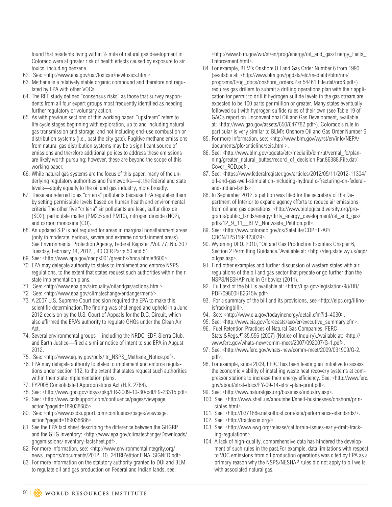found that residents living within ½ mile of natural gas development in Colorado were at greater risk of health effects caused by exposure to air toxics, including benzene.

- 62. See: <http://www.epa.gov/oar/toxicair/newtoxics.html>.
- 63. Methane is a relatively stable organic compound and therefore not regulated by EPA with other VOCs.
- 64. The RFF study defined "consensus risks" as those that survey respondents from all four expert groups most frequently identified as needing further regulatory or voluntary action.
- 65. As with previous sections of this working paper, "upstream" refers to life cycle stages beginning with exploration, up to and including natural gas transmission and storage, and not including end-use combustion or distribution systems (i.e., past the city gate). Fugitive methane emissions from natural gas distribution systems may be a significant source of emissions and therefore additional polices to address these emissions are likely worth pursuing; however, these are beyond the scope of this working paper.
- 66. While natural gas systems are the focus of this paper, many of the underlying regulatory authorities and frameworks—at the federal and state levels—apply equally to the oil and gas industry, more broadly.
- 67. These are referred to as "criteria" pollutants because EPA regulates them by setting permissible levels based on human health and environmental criteria.The other five "criteria" air pollutants are lead, sulfur dioxide (SO2), particulate matter (PM2.5 and PM10), nitrogen dioxide (NO2), and carbon monoxide (CO).
- 68. An updated SIP is not required for areas in marginal nonattainment areas (only in moderate, serious, severe and extreme nonattainment areas). See Environmental Protection Agency, Federal Register /Vol. 77, No. 30 / Tuesday, February 14, 2012, , 40 CFR Parts 50 and 51.
- 69. See: <http://www.epa.gov/oaqps001/greenbk/hnca.html#8600>.
- 70. EPA may delegate authority to states to implement and enforce NSPS regulations, to the extent that states request such authorities within their state implementation plans.
- 71. See: <http://www.epa.gov/airquality/oilandgas/actions.html>.
- 72. See: <http://www.epa.gov/climatechange/endangerment/>.
- 73. A 2007 U.S. Supreme Court decision required the EPA to make this scientific determination.The finding was challenged and upheld in a June 2012 decision by the U.S. Court of Appeals for the D.C. Circuit, which also affirmed the EPA's authority to regulate GHGs under the Clean Air Act.
- 74. Several environmental groups—including the NRDC, EDF, Sierra Club, and Earth Justice—filed a similar notice of intent to sue EPA in August 2012.
- 75. See: <http://www.ag.ny.gov/pdfs/ltr\_NSPS\_Methane\_Notice.pdf>.
- 76. EPA may delegate authority to states to implement and enforce regulations under section 112, to the extent that states request such authorities within their state implementation plans.
- 77. FY2008 Consolidated Appropriations Act (H.R. 2764).
- 78. See: <http://www.gpo.gov/fdsys/pkg/FR-2009-10-30/pdf/E9-23315.pdf>.
- 79. See: <http://www.ccdsupport.com/confluence/pages/viewpage. action?pageId=189038685>.
- 80. See: <http://www.ccdsupport.com/confluence/pages/viewpage. action?pageId=189038686>.
- 81. See the EPA fact sheet describing the difference between the GHGRP and the GHG inventory: <http://www.epa.gov/climatechange/Downloads/ ghgemissions/inventory-factsheet.pdf>.
- 82. For more information, see: <http://www.environmentalintegrity.org/ news\_reports/documents/2012\_10\_24TRIPetitionFINALSIGNED.pdf>.
- 83. For more information on the statutory authority granted to DOI and BLM to regulate oil and gas production on Federal and Indian lands, see:

<http://www.blm.gov/wo/st/en/prog/energy/oil\_and\_gas/Energy\_Facts\_ Enforcement.html>.

- 84. For example, BLM's Onshore Oil and Gas Order Number 6 from 1990 (available at: <http://www.blm.gov/pgdata/etc/medialib/blm/nm/ programs/0/og\_docs/onshore\_orders.Par.54461.File.dat/ord6.pdf>) requires gas drillers to submit a drilling operations plan with their application for permit to drill if hydrogen sulfide levels in the gas stream are expected to be 100 parts per million or greater. Many states eventually followed suit with hydrogen sulfide rules of their own (see Table 19 of GAO's report on Unconventional Oil and Gas Development, available at: <http://www.gao.gov/assets/650/647782.pdf>). Colorado's rule in particular is very similar to BLM's Onshore Oil and Gas Order Number 6.
- 85. For more information, see: <http://www.blm.gov/wy/st/en/info/NEPA/ documents/pfo/anticline/seis.html>.
- 86. See: <http://www.blm.gov/pgdata/etc/medialib/blm/ut/vernal\_fo/planning/greater\_natural\_buttes/record\_of\_decision.Par.86388.File.dat/ Cover\_ROD.pdf>.
- 87. See: <https://www.federalregister.gov/articles/2012/05/11/2012-11304/ oil-and-gas-well-stimulation-including-hydraulic-fracturing-on-federaland-indian-lands>.
- 88. In September 2012, a petition was filed for the secretary of the Department of Interior to expand agency efforts to reduce air emissions from oil and gas operations: <http://www.biologicaldiversity.org/programs/public\_lands/energy/dirty\_energy\_development/oil\_and\_gas/ pdfs/12\_9\_11\_\_BLM\_Nonwaste\_Petition.pdf>.
- 89. See: <http://www.colorado.gov/cs/Satellite/CDPHE-AP/ CBON/1251594423029>.
- 90. Wyoming DEQ. 2010, "Oil and Gas Production Facilities Chapter 6, Section 2 Permitting Guidance."Available at: <http://deq.state.wy.us/aqd/ oilgas.asp>.
- 91. Find other examples and further discussion of western states with air regulations of the oil and gas sector that predate or go further than the NSPS/NESHAP rule in Gribovicz (2011).
- 92. Full text of the bill is available at: <http://ilga.gov/legislation/98/HB/ PDF/09800HB2615lv.pdf>.
- 93. For a summary of the bill and its provisions, see <http://elpc.org/illinoisfrackingbill>.
- 94. See: <http://www.eia.gov/todayinenergy/detail.cfm?id=4030>.
- 95. See: <http://www.eia.gov/forecasts/aeo/er/executive\_summary.cfm>.
- 96. Fuel Retention Practices of Natural Gas Companies, FERC Stats.&Regs.¶ 35,556 (2007) (Notice of Inquiry).Available at: <http:// www.ferc.gov/whats-new/comm-meet/2007/092007/G-1.pdf>.
- 97. See: <http://www.ferc.gov/whats-new/comm-meet/2009/031909/G-2. pdf>.
- 98. For example, since 2009, FERC has been leading an initiative to assess the economic viability of installing waste heat recovery systems at compressor stations to increase their energy efficiency. See: <http://www.ferc. gov/about/strat-docs/FY-09-14-strat-plan-print.pdf>.
- 99. See: <http://www.naturalgas.org/business/industry.asp>.
- 100. See: <http://www.shell.us/aboutshell/shell-businesses/onshore/principles.html>.
- 101. See: <http://037186e.netsolhost.com/site/performance-standards/>.
- 102. See: <http://fracfocus.org/>.
- 103. See: <http://www.ewg.org/release/california-issues-early-draft-fracking-regulations>.
- 104. A lack of high-quality, comprehensive data has hindered the development of such rules in the past.For example, data limitations with respect to VOC emissions from oil production operations was cited by EPA as a primary reason why the NSPS/NESHAP rules did not apply to oil wells with associated natural gas.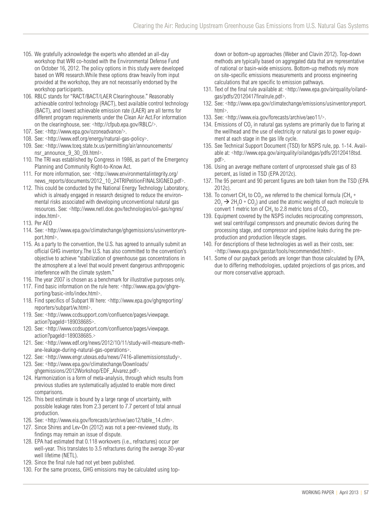- 105. We gratefully acknowledge the experts who attended an all-day workshop that WRI co-hosted with the Environmental Defense Fund on October 16, 2012. The policy options in this study were developed based on WRI research.While these options draw heavily from input provided at the workshop, they are not necessarily endorsed by the workshop participants.
- 106. RBLC stands for "RACT/BACT/LAER Clearinghouse." Reasonably achievable control technology (RACT), best available control technology (BACT), and lowest achievable emission rate (LAER) are all terms for different program requirements under the Clean Air Act.For information on the clearinghouse, see: <http://cfpub.epa.gov/RBLC/>.
- 107. See: <http://www.epa.gov/ozoneadvance/>.
- 108. See: <http://www.edf.org/energy/natural-gas-policy>.
- 109. See: <http://www.tceq.state.tx.us/permitting/air/announcements/ nsr\_announce\_9\_30\_09.html>.
- 110. The TRI was established by Congress in 1986, as part of the Emergency Planning and Community Right-to-Know Act.
- 111. For more information, see: <http://www.environmentalintegrity.org/ news\_reports/documents/2012\_10\_24TRIPetitionFINALSIGNED.pdf>.
- 112. This could be conducted by the National Energy Technology Laboratory, which is already engaged in research designed to reduce the environmental risks associated with developing unconventional natural gas resources. See: <http://www.netl.doe.gov/technologies/oil-gas/ngres/ index.html>.
- 113. Per AEO
- 114. See: <http://www.epa.gov/climatechange/ghgemissions/usinventoryreport.html>.
- 115. As a party to the convention, the U.S. has agreed to annually submit an official GHG inventory.The U.S. has also committed to the convention's objective to achieve "stabilization of greenhouse gas concentrations in the atmosphere at a level that would prevent dangerous anthropogenic interference with the climate system."
- 116. The year 2007 is chosen as a benchmark for illustrative purposes only.
- 117. Find basic information on the rule here: <http://www.epa.gov/ghgreporting/basic-info/index.html>.
- 118. Find specifics of Subpart W here: <http://www.epa.gov/ghgreporting/ reporters/subpart/w.html>.
- 119. See: <http://www.ccdsupport.com/confluence/pages/viewpage. action?pageId=189038685>.
- 120. See: <http://www.ccdsupport.com/confluence/pages/viewpage. action?pageId=189038685.>
- 121. See: <http://www.edf.org/news/2012/10/11/study-will-measure-methane-leakage-during-natural-gas-operations>.
- 122. See: <http://www.engr.utexas.edu/news/7416-allenemissionsstudy>.
- 123. See: <http://www.epa.gov/climatechange/Downloads/ ghgemissions/2012Workshop/EDF\_Alvarez.pdf>.
- 124. Harmonization is a form of meta-analysis, through which results from previous studies are systematically adjusted to enable more direct comparisons.
- 125. This best estimate is bound by a large range of uncertainty, with possible leakage rates from 2.3 percent to 7.7 percent of total annual production.
- 126. See: <http://www.eia.gov/forecasts/archive/aeo12/table\_14.cfm>.
- 127. Since Shires and Lev-On (2012) was not a peer-reviewed study, its findings may remain an issue of dispute.
- 128. EPA had estimated that 0.118 workovers (i.e., refractures) occur per well-year. This translates to 3.5 refractures during the average 30-year well lifetime (NETL).
- 129. Since the final rule had not yet been published.
- 130. For the same process, GHG emissions may be calculated using top-

down or bottom-up approaches (Weber and Clavin 2012). Top-down methods are typically based on aggregated data that are representative of national or basin-wide emissions. Bottom-up methods rely more on site-specific emissions measurements and process engineering calculations that are specific to emission pathways.

- 131. Text of the final rule available at: <http://www.epa.gov/airquality/oilandgas/pdfs/20120417finalrule.pdf>.
- 132. See: <http://www.epa.gov/climatechange/emissions/usinventoryreport. html>.
- 133. See: <http://www.eia.gov/forecasts/archive/aeo11/>.
- 134. Emissions of  $CO<sub>2</sub>$  in natural gas systems are primarily due to flaring at the wellhead and the use of electricity or natural gas to power equipment at each stage in the gas life cycle.
- 135. See Technical Support Document (TSD) for NSPS rule, pp. 1-14. Available at: <http://www.epa.gov/airquality/oilandgas/pdfs/20120418tsd. pdf>.
- 136. Using an average methane content of unprocessed shale gas of 83 percent, as listed in TSD (EPA 2012c).
- 137. The 95 percent and 90 percent figures are both taken from the TSD (EPA 2012c).
- 138. To convert CH<sub>4</sub> to CO<sub>2</sub>, we referred to the chemical formula (CH<sub>4</sub> +  $20, \rightarrow 2H, 0 + CO$ , and used the atomic weights of each molecule to convert 1 metric ton of  $CH<sub>4</sub>$  to 2.8 metric tons of  $CO<sub>2</sub>$ .
- 139. Equipment covered by the NSPS includes reciprocating compressors, wet seal centrifugal compressors and pneumatic devices during the processing stage, and compressor and pipeline leaks during the preproduction and production lifecycle stages.
- 140. For descriptions of these technologies as well as their costs, see: <http://www.epa.gov/gasstar/tools/recommended.html>.
- 141. Some of our payback periods are longer than those calculated by EPA, due to differing methodologies, updated projections of gas prices, and our more conservative approach.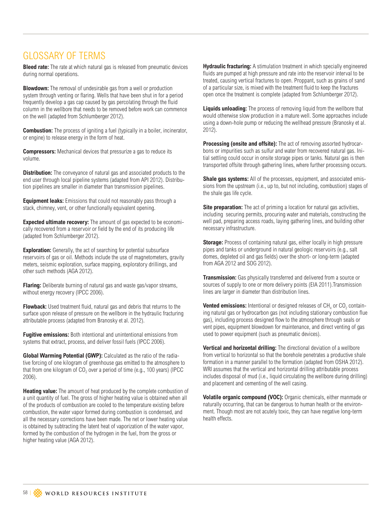## GLOSSARY OF TERMS

**Bleed rate:** The rate at which natural gas is released from pneumatic devices during normal operations.

**Blowdown:** The removal of undesirable gas from a well or production system through venting or flaring. Wells that have been shut in for a period frequently develop a gas cap caused by gas percolating through the fluid column in the wellbore that needs to be removed before work can commence on the well (adapted from Schlumberger 2012).

**Combustion:** The process of igniting a fuel (typically in a boiler, incinerator, or engine) to release energy in the form of heat.

**Compressors:** Mechanical devices that pressurize a gas to reduce its volume.

**Distribution:** The conveyance of natural gas and associated products to the end user through local pipeline systems (adapted from API 2012). Distribution pipelines are smaller in diameter than transmission pipelines.

**Equipment leaks:** Emissions that could not reasonably pass through a stack, chimney, vent, or other functionally equivalent opening.

**Expected ultimate recovery:** The amount of gas expected to be economically recovered from a reservoir or field by the end of its producing life (adapted from Schlumberger 2012).

**Exploration:** Generally, the act of searching for potential subsurface reservoirs of gas or oil. Methods include the use of magnetometers, gravity meters, seismic exploration, surface mapping, exploratory drillings, and other such methods (AGA 2012).

**Flaring:** Deliberate burning of natural gas and waste gas/vapor streams, without energy recovery (IPCC 2006).

**Flowback:** Used treatment fluid, natural gas and debris that returns to the surface upon release of pressure on the wellbore in the hydraulic fracturing attributable process (adapted from Branosky et al. 2012).

**Fugitive emissions:** Both intentional and unintentional emissions from systems that extract, process, and deliver fossil fuels (IPCC 2006).

**Global Warming Potential (GWP):** Calculated as the ratio of the radiative forcing of one kilogram of greenhouse gas emitted to the atmosphere to that from one kilogram of  $CO<sub>2</sub>$  over a period of time (e.g., 100 years) (IPCC 2006).

**Heating value:** The amount of heat produced by the complete combustion of a unit quantity of fuel. The gross of higher heating value is obtained when all of the products of combustion are cooled to the temperature existing before combustion, the water vapor formed during combustion is condensed, and all the necessary corrections have been made. The net or lower heating value is obtained by subtracting the latent heat of vaporization of the water vapor, formed by the combustion of the hydrogen in the fuel, from the gross or higher heating value (AGA 2012).

**Hydraulic fracturing:** A stimulation treatment in which specially engineered fluids are pumped at high pressure and rate into the reservoir interval to be treated, causing vertical fractures to open. Proppant, such as grains of sand of a particular size, is mixed with the treatment fluid to keep the fractures open once the treatment is complete (adapted from Schlumberger 2012).

**Liquids unloading:** The process of removing liquid from the wellbore that would otherwise slow production in a mature well. Some approaches include using a down-hole pump or reducing the wellhead pressure (Branosky et al. 2012).

**Processing (onsite and offsite):** The act of removing assorted hydrocarbons or impurities such as sulfur and water from recovered natural gas. Initial settling could occur in onsite storage pipes or tanks. Natural gas is then transported offsite through gathering lines, where further processing occurs.

**Shale gas systems:** All of the processes, equipment, and associated emissions from the upstream (i.e., up to, but not including, combustion) stages of the shale gas life cycle.

**Site preparation:** The act of priming a location for natural gas activities, including securing permits, procuring water and materials, constructing the well pad, preparing access roads, laying gathering lines, and building other necessary infrastructure.

**Storage:** Process of containing natural gas, either locally in high pressure pipes and tanks or underground in natural geologic reservoirs (e.g., salt domes, depleted oil and gas fields) over the short- or long-term (adapted from AGA 2012 and SOG 2012).

**Transmission:** Gas physically transferred and delivered from a source or sources of supply to one or more delivery points (EIA 2011).Transmission lines are larger in diameter than distribution lines.

**Vented emissions:** Intentional or designed releases of CH<sub>4</sub> or CO<sub>2</sub> containing natural gas or hydrocarbon gas (not including stationary combustion flue gas), including process designed flow to the atmosphere through seals or vent pipes, equipment blowdown for maintenance, and direct venting of gas used to power equipment (such as pneumatic devices).

**Vertical and horizontal drilling:** The directional deviation of a wellbore from vertical to horizontal so that the borehole penetrates a productive shale formation in a manner parallel to the formation (adapted from OSHA 2012). WRI assumes that the vertical and horizontal drilling attributable process includes disposal of mud (i.e., liquid circulating the wellbore during drilling) and placement and cementing of the well casing.

**Volatile organic compound (VOC):** Organic chemicals, either manmade or naturally occurring, that can be dangerous to human health or the environment. Though most are not acutely toxic, they can have negative long-term health effects.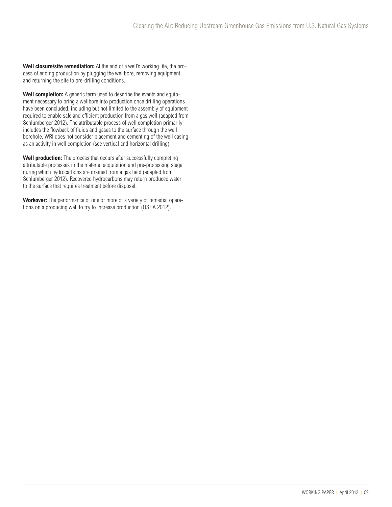**Well closure/site remediation:** At the end of a well's working life, the process of ending production by plugging the wellbore, removing equipment, and returning the site to pre-drilling conditions.

**Well completion:** A generic term used to describe the events and equipment necessary to bring a wellbore into production once drilling operations have been concluded, including but not limited to the assembly of equipment required to enable safe and efficient production from a gas well (adapted from Schlumberger 2012). The attributable process of well completion primarily includes the flowback of fluids and gases to the surface through the well borehole. WRI does not consider placement and cementing of the well casing as an activity in well completion (see vertical and horizontal drilling).

**Well production:** The process that occurs after successfully completing attributable processes in the material acquisition and pre-processing stage during which hydrocarbons are drained from a gas field (adapted from Schlumberger 2012). Recovered hydrocarbons may return produced water to the surface that requires treatment before disposal.

**Workover:** The performance of one or more of a variety of remedial operations on a producing well to try to increase production (OSHA 2012).